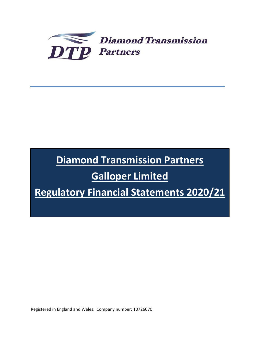

# Diamond Transmission Partners

# Galloper Limited

Regulatory Financial Statements 2020/21

Registered in England and Wales. Company number: 10726070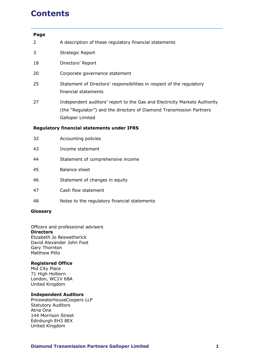# **Contents**

## Page

- **2**<br> **Page**<br>
2 A description of these regulatory financial statements<br>
3 Strategic Report<br>
18 Directors' Report **Contents**<br> **Page**<br>
2 A description of these regulatory financial statements<br>
3 Strategic Report<br>
18 Directors' Report<br>
20 Corporate governance statement
- 
- 18 Directors' Report
- 
- **Example 20 Corporation**<br>
20 A description of these regulatory financial statements<br>
31 Strategic Report<br>
20 Corporate governance statement<br>
25 Statement of Directors' responsibilities in respect of the regulator<br>
51 Finan 25 Statement of Directors' responsibilities in respect of the regulatory financial statements
- 27 Independent auditors' report to the Gas and Electricity Markets Authority (the "Regulator") and the directors of Diamond Transmission Partners Galloper Limited

\_\_\_\_\_\_\_\_\_\_\_\_\_\_\_\_\_\_\_\_\_\_\_\_\_\_\_\_\_\_\_\_\_\_\_\_\_\_\_\_\_\_\_\_\_\_\_\_\_\_\_\_\_\_\_\_\_\_\_\_\_\_\_\_\_\_\_\_\_\_\_\_\_\_\_\_\_\_\_\_\_\_\_\_\_\_\_\_\_\_

# Regulatory financial statements under IFRS

| A description of these regulatory financial statements                                                                                                                |
|-----------------------------------------------------------------------------------------------------------------------------------------------------------------------|
| Strategic Report                                                                                                                                                      |
| Directors' Report                                                                                                                                                     |
| Corporate governance statement                                                                                                                                        |
| Statement of Directors' responsibilities in respect of the regulatory<br>financial statements                                                                         |
| Independent auditors' report to the Gas and Electricity Markets Authority<br>(the "Regulator") and the directors of Diamond Transmission Partners<br>Galloper Limited |
| <b>Regulatory financial statements under IFRS</b>                                                                                                                     |
| Accounting policies                                                                                                                                                   |
| Income statement                                                                                                                                                      |
| Statement of comprehensive income                                                                                                                                     |
| <b>Balance sheet</b>                                                                                                                                                  |
| Statement of changes in equity                                                                                                                                        |
| Cash flow statement                                                                                                                                                   |
| Notes to the regulatory financial statements                                                                                                                          |
|                                                                                                                                                                       |
|                                                                                                                                                                       |

# Glossary

Officers and professional advisers **Directors** Elizabeth Jo Beswetherick David Alexander John Foot Gary Thornton Matthew Pitts

# Registered Office

Mid City Place 71 High Holborn London, WC1V 6BA United Kingdom

# Independent Auditors

PricewaterhouseCoopers LLP Statutory Auditors Atria One 144 Morrison Street Edinburgh EH3 8EX United Kingdom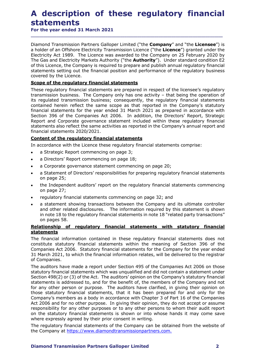# A description of these regulatory financial statements

\_\_\_\_\_\_\_\_\_\_\_\_\_\_\_\_\_\_\_\_\_\_\_\_\_\_\_\_\_\_\_\_\_\_\_\_\_\_\_\_\_\_\_\_\_\_\_\_\_\_\_\_\_\_\_\_\_\_\_\_\_\_\_\_\_\_\_\_\_\_\_\_\_\_\_\_\_\_\_\_\_\_\_\_\_\_\_\_\_\_

For the year ended 31 March 2021

Diamond Transmission Partners Galloper Limited ("the Company" and "the Licensee") is a holder of an Offshore Electricity Transmission Licence ("the Licence") granted under the Electricity Act 1989. The Licence was awarded to the Company on 25 February 2020 by **A description of these regulatory financial<br>
statements**<br>
For the year ended 31 March 2021<br>
Diamond Transmission Partners Galloper Limited ("the Company" and "the Licensee") is<br>
a holder of an Offshore Electricity Transmi The Gas and Electricity Markets Authority ("the **Authority**"). Under standard condition E2 **A description of these regulatory financial<br>statements**<br>for the year ended 31 March 2021<br>Diamond Transmission Partners Galloper Limited ("the **Company**" and "the **Licensee**") is<br>a holder of an Offshore Electricity Transmi statements setting out the financial position and performance of the regulatory business covered by the Licence.

# Scope of the regulatory financial statements

These regulatory financial statements are prepared in respect of the licensee's regulatory transmission business. The Company only has one activity – that being the operation of its regulated transmission business; consequently, the regulatory financial statements contained herein reflect the same scope as that reported in the Company's statutory financial statements for the year ended 31 March 2021 as prepared in accordance with Section 396 of the Companies Act 2006. In addition, the Directors' Report, Strategic Report and Corporate governance statement included within these regulatory financial statements also reflect the same activities as reported in the Company's annual report and financial statements 2020/2021. nond Transmission Partners Galloper Limited ("the **Company**" and "the<br>Ider of an Offshore Electricity Transmission Licence ("the **Licence**") granticity Act 1989. The Licence was awarded to the Company on 25 Februalis<br>Gas a

# Content of the regulatory financial statements

In accordance with the Licence these regulatory financial statements comprise:

- $\bullet$
- a Directors' Report commencing on page 18;  $\bullet$
- a Corporate governance statement commencing on page 20;
- a Statement of Directors' responsibilities for preparing regulatory financial statements on page 25;
- the Independent auditors' report on the regulatory financial statements commencing on page 27;
- regulatory financial statements commencing on page 32; and
- a statement showing transactions between the Company and its ultimate controller and other related disclosures. The information required by this statement is shown in note 18 to the regulatory financial statements in note 18 "related party transactions" on pages 58.

# Relationship of regulatory financial statements with statutory financial **statements**

The financial information contained in these regulatory financial statements does not constitute statutory financial statements within the meaning of Section 396 of the Companies Act 2006. Statutory financial statements for the Company for the year ended 31 March 2021, to which the financial information relates, will be delivered to the registrar of Companies.

The auditors have made a report under Section 495 of the Companies Act 2006 on those statutory financial statements which was unqualified and did not contain a statement under Section 498(2) or (3) of the Act. The auditors' opinion on the Company's statutory financial **Statement of Directors' responsibilities for preparing regulatory financial statements<br>
• the Independent auditors' report on the regulatory financial statements commencing<br>
• regulatory financial statements commencing on** for any other person or purpose. The auditors have clarified, in giving their opinion on those statutory financial statements, that it has been prepared for and only for the Company's members as a body in accordance with Chapter 3 of Part 16 of the Companies Act 2006 and for no other purpose. In giving their opinion, they do not accept or assume responsibility for any other purposes or to any other persons to whom their audit report on the statutory financial statements is shown or into whose hands it may come save • a statement showing transactions between the Company and its ultimate controller and other related disclosures. The information required by this statement is shown in note 18 to the regulatory financial statements in no where expressly agreed by their prior consent in writing.

The regulatory financial statements of the Company can be obtained from the website of the Company at https://www.diamondtransmissionpartners.com.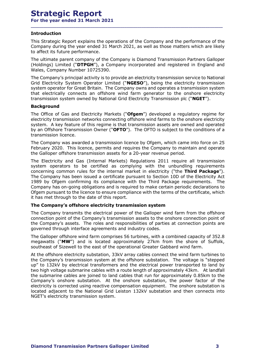# Strategic Report For the year ended 31 March 2021

# **Introduction**

This Strategic Report explains the operations of the Company and the performance of the Company during the year ended 31 March 2021, as well as those matters which are likely to affect its future performance.

\_\_\_\_\_\_\_\_\_\_\_\_\_\_\_\_\_\_\_\_\_\_\_\_\_\_\_\_\_\_\_\_\_\_\_\_\_\_\_\_\_\_\_\_\_\_\_\_\_\_\_\_\_\_\_\_\_\_\_\_\_\_\_\_\_\_\_\_\_\_\_\_\_\_\_\_\_\_\_\_\_\_\_\_\_\_\_\_\_\_

The ultimate parent company of the Company is Diamond Transmission Partners Galloper (Holdings) Limited ("DTPGH"), a Company incorporated and registered in England and Wales, Company Number 10725390.

The Company's principal activity is to provide an electricity transmission service to National Grid Electricity System Operator Limited ("NGESO"), being the electricity transmission **Strategic Report**<br> **Example 18 This Strategic Report explains the operations of the Company and the performance of the Company during the year ended 31 March 2021, as well as those matters which are likely to affect its f** that electrically connects an offshore wind farm generator to the onshore electricity transmission system owned by National Grid Electricity Transmission plc ("NGET").

# Background

The Office of Gas and Electricity Markets ("Ofgem") developed a regulatory regime for electricity transmission networks connecting offshore wind farms to the onshore electricity system. A key feature of this regime is that transmission assets are owned and operated by an Offshore Transmission Owner ("OFTO"). The OFTO is subject to the conditions of a transmission licence. **Introduction**<br>This Strategic Report explains the operations of the Company and the performance of the<br>Company during the year ended 31 March 2021, as well as those matters which are likely<br>to affect its future performance

February 2020. This licence, permits and requires the Company to maintain and operate the Galloper offshore transmission assets for a 20-year revenue period.

The Electricity and Gas (Internal Markets) Regulations 2011 require all transmission system operators to be certified as complying with the unbundling requirements concerning common rules for the internal market in electricity ("the Third Package"). (Holdings) Limited ("**DTPGH'**"), a Company incorporated and registered in England and<br>
Wales, Company's pimciped 10725390.<br>
The Company's pimcipal activity is to provide an electricity transmission service to National<br>
Gri 1989 by Ofgem confirming its compliance with the Third Package requirements. The Company has on-going obligations and is required to make certain periodic declarations to Ofgem pursuant to the licence to ensure compliance with the terms of the certificate, which it has met through to the date of this report.

# The Company's offshore electricity transmission system

The Company transmits the electrical power of the Galloper wind farm from the offshore connection point of the Company's transmission assets to the onshore connection point of the Company's assets. The roles and responsibilities of parties at connection points are governed through interface agreements and industry codes.

The Galloper offshore wind farm comprises 56 turbines, with a combined capacity of 352.8 megawatts ("MW") and is located approximately 27km from the shore of Suffolk, southeast of Sizewell to the east of the operational Greater Gabbard wind farm.

At the offshore electricity substation, 33kV array cables connect the wind farm turbines to the Company's transmission system at the offshore substation. The voltage is "stepped up" to 132kV by electrical transformers and the electrical power transported to land by two high voltage submarine cables with a route length of approximately 43km. At landfall the submarine cables are joined to land cables that run for approximately 0.85km to the Company's onshore substation. At the onshore substation, the power factor of the electricity is corrected using reactive compensation equipment. The onshore substation is Concerning continuor dues for the interinar market in electricity (see time **Fackage** 7). Of the Electricity Act 1989 by Ofgem confirming its compliance with the Third Package requirements. The Company has on-going obligat Ine Company has been issued a certificate pursual to Section 100 of the etecticity were to the the Nation Connects in Company has on-going obligations and is requirements and Sequely of the Hind Package requirements. The C NGET's electricity transmission system.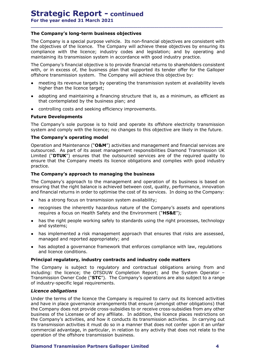For the year ended 31 March 2021

# The Company's long-term business objectives

The Company is a special purpose vehicle. Its non-financial objectives are consistent with the objectives of the licence. The Company will achieve these objectives by ensuring its compliance with the licence; industry codes and legislation; and by operating and maintaining its transmission system in accordance with good industry practice.

\_\_\_\_\_\_\_\_\_\_\_\_\_\_\_\_\_\_\_\_\_\_\_\_\_\_\_\_\_\_\_\_\_\_\_\_\_\_\_\_\_\_\_\_\_\_\_\_\_\_\_\_\_\_\_\_\_\_\_\_\_\_\_\_\_\_\_\_\_\_\_\_\_\_\_\_\_\_\_\_\_\_\_\_\_\_\_\_\_\_

The Company's financial objective is to provide financial returns to shareholders consistent with, or in excess of, the business plan that supported its tender offer for the Galloper offshore transmission system. The Company will achieve this objective by:

- meeting its revenue targets by operating the transmission system at availability levels higher than the licence target;
- adopting and maintaining a financing structure that is, as a minimum, as efficient as that contemplated by the business plan; and
- $\bullet$ controlling costs and seeking efficiency improvements.

# Future Developments

The Company's sole purpose is to hold and operate its offshore electricity transmission system and comply with the licence; no changes to this objective are likely in the future.

# The Company's operating model

Operation and Maintenance (" $O&M$ ") activities and management and financial services are outsourced. As part of its asset management responsibilities Diamond Transmission UK Limited ("DTUK") ensures that the outsourced services are of the required quality to ensure that the Company meets its licence obligations and complies with good industry practice.

# The Company's approach to managing the business

The Company's approach to the management and operation of its business is based on ensuring that the right balance is achieved between cost, quality, performance, innovation and financial returns in order to optimise the cost of its services. In doing so the Company:

- has a strong focus on transmission system availability;  $\bullet$
- recognises the inherently hazardous nature of the Company's assets and operations requires a focus on Health Safety and the Environment ("HS&E");
- has the right people working safely to standards using the right processes, technology and systems;
- has implemented a risk management approach that ensures that risks are assessed, managed and reported appropriately; and
- has adopted a governance framework that enforces compliance with law, regulations and licence conditions.

# Principal regulatory, industry contracts and industry code matters

The Company is subject to regulatory and contractual obligations arising from and including: the licence; the OTSDUW Completion Report; and the System Operator – Transmission Owner Code ("STC"). The Company's operations are also subject to a range of industry-specific legal requirements.

# Licence obligations

Under the terms of the licence the Company is required to carry out its licenced activities and have in place governance arrangements that ensure (amongst other obligations) that the Company does not provide cross-subsidies to or receive cross-subsidies from any other business of the Licensee or of any affiliate. In addition, the licence places restrictions on the Company's activities, and how it conducts its transmission activities. In carrying out its transmission activities it must do so in a manner that does not confer upon it an unfair commercial advantage, in particular, in relation to any activity that does not relate to the operation of the offshore transmission business.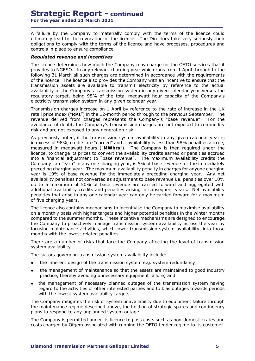A failure by the Company to materially comply with the terms of the licence could ultimately lead to the revocation of the licence. The Directors take very seriously their obligations to comply with the terms of the licence and have processes, procedures and controls in place to ensure compliance.

\_\_\_\_\_\_\_\_\_\_\_\_\_\_\_\_\_\_\_\_\_\_\_\_\_\_\_\_\_\_\_\_\_\_\_\_\_\_\_\_\_\_\_\_\_\_\_\_\_\_\_\_\_\_\_\_\_\_\_\_\_\_\_\_\_\_\_\_\_\_\_\_\_\_\_\_\_\_\_\_\_\_\_\_\_\_\_\_\_\_

# Regulated revenue and incentives

The licence determines how much the Company may charge for the OFTO services that it provides to NGESO. In any relevant charging year which runs from 1 April through to the following 31 March all such charges are determined in accordance with the requirements of the licence. The licence also provides the Company with an incentive to ensure that the transmission assets are available to transmit electricity by reference to the actual availability of the Company's transmission system in any given calendar year versus the regulatory target, being 98% of the total megawatt hour capacity of the Company's electricity transmission system in any given calendar year. **Strategic Report - continued**<br>For the year ended 31 March 2021<br>A failure by the Company to materially comply with the terms of the licence could<br>ubligations to comply with the terms of the licence. The Directors take very

retail price index ("**RPI**") in the 12-month period through to the previous September. The revenue derived from charges represents the Company's "base revenue". For the avoidance of doubt, the Company's transmission charges are not exposed to commodity risk and are not exposed to any generation risk.

As previously noted, if the transmission system availability in any given calendar year is in excess of 98%, credits are "earned" and if availability is less than 98% penalties accrue, measured in megawatt hours ("MWhrs"). The Company is then required under the licence, to change its prices to convert the availability credits earned or penalties accrued into a financial adjustment to "base revenue". The maximum availability credits the Company can "earn" in any one charging year, is 5% of base revenue for the immediately preceding charging year. The maximum availability penalty in charges for anyone charging year is 10% of base revenue for the immediately preceding charging year. Any net availability penalties not converted as adjustment to base revenue i.e. penalties over 10% up to a maximum of 50% of base revenue are carried forward and aggregated with additional availability credits and penalties arising in subsequent years. Net availability penalties that arise in any one calendar year can only be carried forward for a maximum of five charging years.

The licence also contains mechanisms to incentivise the Company to maximise availability on a monthly basis with higher targets and higher potential penalties in the winter months compared to the summer months. These incentive mechanisms are designed to encourage the Company to proactively manage transmission system availability across the year by focusing maintenance activities, which lower transmission system availability, into those months with the lowest related penalties.

There are a number of risks that face the Company affecting the level of transmission system availability.

The factors governing transmission system availability include:

- the inherent design of the transmission system e.g. system redundancy;
- the management of maintenance so that the assets are maintained to good industry practice, thereby avoiding unnecessary equipment failure; and
- the management of necessary planned outages of the transmission system having regard to the activities of other interested parties and to bias outages towards periods with the lowest system availability targets.

The Company mitigates the risk of system unavailability due to equipment failure through the maintenance regime described above, the holding of strategic spares and contingency plans to respond to any unplanned system outage.

The Company is permitted under its licence to pass costs such as non-domestic rates and costs charged by Ofgem associated with running the OFTO tender regime to its customer.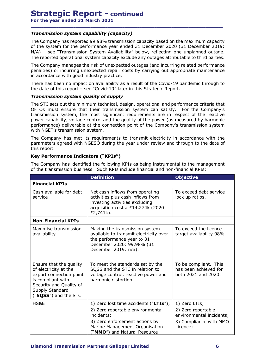For the year ended 31 March 2021

# Transmission system capability (capacity)

The Company has reported 99.98% transmission capacity based on the maximum capacity of the system for the performance year ended 31 December 2020 (31 December 2019: **Strategic Report - continued**<br>
For the year ended 31 March 2021<br>
Transmission system capability (capacity)<br>
The Company has reported 99.98% transmission capacity based on the maximum capacity<br>
of the system for the perfor The reported operational system capacity exclude any outages attributable to third parties. **Strategic Report – continued**<br>
For the year ended 31 March 2021<br>
Transmission system capability (capacity)<br>
The Company has reported 99.98% transmission capacity based on the maximum capacity<br>
of the system for the perfor **Strategic Report – continued**<br> **For the year ended 31 March 2021**<br> **Transmission system capability (capacity)**<br>
The Company has reported 99.98% transmission capacity based on the maximum capacity<br>
of the system for the pe

\_\_\_\_\_\_\_\_\_\_\_\_\_\_\_\_\_\_\_\_\_\_\_\_\_\_\_\_\_\_\_\_\_\_\_\_\_\_\_\_\_\_\_\_\_\_\_\_\_\_\_\_\_\_\_\_\_\_\_\_\_\_\_\_\_\_\_\_\_\_\_\_\_\_\_\_\_\_\_\_\_\_\_\_\_\_\_\_\_\_

penalties) or incurring unexpected repair costs by carrying out appropriate maintenance in accordance with good industry practice.

There has been no impact on availability as a result of the Covid-19 pandemic through to

# Transmission system quality of supply

The STC sets out the minimum technical, design, operational and performance criteria that OFTOs must ensure that their transmission system can satisfy. For the Company's transmission system, the most significant requirements are in respect of the reactive power capability, voltage control and the quality of the power (as measured by harmonic performance) deliverable at the connection point of the Company's transmission system with NGET's transmission system. **Transmission system capability (capacity)**<br>The Company has reported 99.98% transmission capacity based on the maximum capacity<br>of the system for the performance year ended 31 December 2020 (31 December 2019:<br>MyA) – see "T

# Key Performance Indicators ("KPIs")

|                                                                                                                                                                        | the date of this report – see "Covid-19" later in this Strategic Report.                                                                                                                                                                                                                                                                                                                                                                                  |                                                                                                       |
|------------------------------------------------------------------------------------------------------------------------------------------------------------------------|-----------------------------------------------------------------------------------------------------------------------------------------------------------------------------------------------------------------------------------------------------------------------------------------------------------------------------------------------------------------------------------------------------------------------------------------------------------|-------------------------------------------------------------------------------------------------------|
| <b>Transmission system quality of supply</b>                                                                                                                           |                                                                                                                                                                                                                                                                                                                                                                                                                                                           |                                                                                                       |
| with NGET's transmission system.                                                                                                                                       | The STC sets out the minimum technical, design, operational and performance criteria that<br>OFTOs must ensure that their transmission system can satisfy. For the Company's<br>transmission system, the most significant requirements are in respect of the reactive<br>power capability, voltage control and the quality of the power (as measured by harmonic<br>performance) deliverable at the connection point of the Company's transmission system |                                                                                                       |
| this report.                                                                                                                                                           | The Company has met its requirements to transmit electricity in accordance with the<br>parameters agreed with NGESO during the year under review and through to the date of                                                                                                                                                                                                                                                                               |                                                                                                       |
| <b>Key Performance Indicators ("KPIs")</b>                                                                                                                             |                                                                                                                                                                                                                                                                                                                                                                                                                                                           |                                                                                                       |
|                                                                                                                                                                        | The Company has identified the following KPIs as being instrumental to the management<br>of the transmission business. Such KPIs include financial and non-financial KPIs:                                                                                                                                                                                                                                                                                |                                                                                                       |
|                                                                                                                                                                        | <b>Definition</b>                                                                                                                                                                                                                                                                                                                                                                                                                                         | <b>Objective</b>                                                                                      |
| <b>Financial KPIs</b>                                                                                                                                                  |                                                                                                                                                                                                                                                                                                                                                                                                                                                           |                                                                                                       |
| Cash available for debt<br>service                                                                                                                                     | Net cash inflows from operating<br>activities plus cash inflows from<br>investing activities excluding<br>acquisition costs: £14,274k (2020:<br>£2,741k).                                                                                                                                                                                                                                                                                                 | To exceed debt service<br>lock up ratios.                                                             |
| <b>Non-Financial KPIs</b>                                                                                                                                              |                                                                                                                                                                                                                                                                                                                                                                                                                                                           |                                                                                                       |
| Maximise transmission<br>availability                                                                                                                                  | Making the transmission system<br>available to transmit electricity over<br>the performance year to 31<br>December 2020: 99.98% (31<br>December 2019: n/a).                                                                                                                                                                                                                                                                                               | To exceed the licence<br>target availability 98%.                                                     |
| Ensure that the quality<br>of electricity at the<br>export connection point<br>is compliant with<br>Security and Quality of<br>Supply Standard<br>("SQSS") and the STC | To meet the standards set by the<br>SQSS and the STC in relation to<br>voltage control, reactive power and<br>harmonic distortion.                                                                                                                                                                                                                                                                                                                        | To be compliant. This<br>has been achieved for<br>both 2021 and 2020.                                 |
| HS&E                                                                                                                                                                   | 1) Zero lost time accidents ("LTIs");<br>2) Zero reportable environmental<br>incidents;<br>3) Zero enforcement actions by<br>Marine Management Organisation<br>("MMO") and Natural Resource                                                                                                                                                                                                                                                               | 1) Zero LTIs;<br>2) Zero reportable<br>environmental incidents;<br>3) Compliance with MMO<br>Licence; |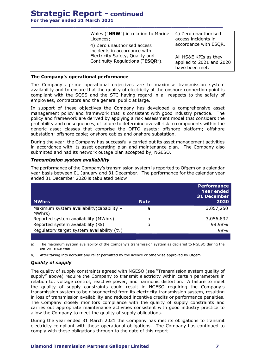For the year ended 31 March 2021

| Wales ("NRW") in relation to Marine<br>Licences;<br>4) Zero unauthorised access                     | 4) Zero unauthorised<br>access incidents in<br>accordance with ESQR. |  |
|-----------------------------------------------------------------------------------------------------|----------------------------------------------------------------------|--|
| incidents in accordance with<br>Electricity Safety, Quality and<br>Continuity Regulations ("ESQR"). | All HS&E KPIs as they<br>applied to 2021 and 2020<br>have been met.  |  |

\_\_\_\_\_\_\_\_\_\_\_\_\_\_\_\_\_\_\_\_\_\_\_\_\_\_\_\_\_\_\_\_\_\_\_\_\_\_\_\_\_\_\_\_\_\_\_\_\_\_\_\_\_\_\_\_\_\_\_\_\_\_\_\_\_\_\_\_\_\_\_\_\_\_\_\_\_\_\_\_\_\_\_\_\_\_\_\_\_\_

# The Company's operational performance

The Company's prime operational objectives are to maximise transmission system availability and to ensure that the quality of electricity at the onshore connection point is compliant with the SQSS and the STC having regard in all respects to the safety of employees, contractors and the general public at large.

# Transmission system availability

|                                                                                                                                                                                                                                                                                                                                                                                                                                                                                                                           | employees, contractors and the general public at large. | compliant with the SQSS and the STC having regard in all respects to the safety of |
|---------------------------------------------------------------------------------------------------------------------------------------------------------------------------------------------------------------------------------------------------------------------------------------------------------------------------------------------------------------------------------------------------------------------------------------------------------------------------------------------------------------------------|---------------------------------------------------------|------------------------------------------------------------------------------------|
| In support of these objectives the Company has developed a comprehensive asset<br>management policy and framework that is consistent with good industry practice. The<br>policy and framework are derived by applying a risk assessment model that considers the<br>probability and consequences, of failure to determine overall risk to components within the<br>generic asset classes that comprise the OFTO assets: offshore platform; offshore<br>substation; offshore cable; onshore cables and onshore substation. |                                                         |                                                                                    |
| During the year, the Company has successfully carried out its asset management activities<br>in accordance with its asset operating plan and maintenance plan. The Company also<br>submitted and had its network outage plan accepted by, NGESO.                                                                                                                                                                                                                                                                          |                                                         |                                                                                    |
| <b>Transmission system availability</b>                                                                                                                                                                                                                                                                                                                                                                                                                                                                                   |                                                         |                                                                                    |
| The performance of the Company's transmission system is reported to Ofgem on a calendar<br>year basis between 01 January and 31 December. The performance for the calendar year<br>ended 31 December 2020 is tabulated below:                                                                                                                                                                                                                                                                                             |                                                         |                                                                                    |
|                                                                                                                                                                                                                                                                                                                                                                                                                                                                                                                           |                                                         | <b>Performance</b>                                                                 |
|                                                                                                                                                                                                                                                                                                                                                                                                                                                                                                                           |                                                         | <b>Year ended</b><br><b>31 December</b>                                            |
| <b>MWhrs</b>                                                                                                                                                                                                                                                                                                                                                                                                                                                                                                              | <b>Note</b>                                             | 2020                                                                               |
| Maximum system availability (capability -<br>MWhrs)                                                                                                                                                                                                                                                                                                                                                                                                                                                                       | a                                                       | 3,057,250                                                                          |
| Reported system availability (MWhrs)                                                                                                                                                                                                                                                                                                                                                                                                                                                                                      | b                                                       | 3,056,832                                                                          |
| Reported system availability (%)                                                                                                                                                                                                                                                                                                                                                                                                                                                                                          | b                                                       | 99.98%                                                                             |
| Regulatory target system availability (%)                                                                                                                                                                                                                                                                                                                                                                                                                                                                                 |                                                         | 98%                                                                                |
|                                                                                                                                                                                                                                                                                                                                                                                                                                                                                                                           |                                                         |                                                                                    |
| The maximum system availability of the Company's transmission system as declared to NGESO during the<br>performance year.                                                                                                                                                                                                                                                                                                                                                                                                 |                                                         |                                                                                    |
| b) After taking into account any relief permitted by the licence or otherwise approved by Ofgem.                                                                                                                                                                                                                                                                                                                                                                                                                          |                                                         |                                                                                    |
| <b>Quality of supply</b>                                                                                                                                                                                                                                                                                                                                                                                                                                                                                                  |                                                         |                                                                                    |

# Quality of supply

The quality of supply constraints agreed with NGESO (see "Transmission system quality of supply" above) require the Company to transmit electricity within certain parameters in relation to: voltage control; reactive power; and harmonic distortion. A failure to meet the quality of supply constraints could result in NGESO requiring the Company's transmission system to be disconnected from its electricity transmission system, resulting in loss of transmission availability and reduced incentive credits or performance penalties. The Company closely monitors compliance with the quality of supply constraints and carries out appropriate maintenance activities consistent with good industry practice to allow the Company to meet the quality of supply obligations.

During the year ended 31 March 2021 the Company has met its obligations to transmit electricity compliant with these operational obligations. The Company has continued to comply with these obligations through to the date of this report.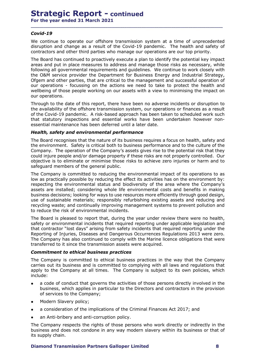For the year ended 31 March 2021

# Covid-19

We continue to operate our offshore transmission system at a time of unprecedented disruption and change as a result of the Covid-19 pandemic. The health and safety of contractors and other third parties who manage our operations are our top priority.

\_\_\_\_\_\_\_\_\_\_\_\_\_\_\_\_\_\_\_\_\_\_\_\_\_\_\_\_\_\_\_\_\_\_\_\_\_\_\_\_\_\_\_\_\_\_\_\_\_\_\_\_\_\_\_\_\_\_\_\_\_\_\_\_\_\_\_\_\_\_\_\_\_\_\_\_\_\_\_\_\_\_\_\_\_\_\_\_\_\_

The Board has continued to proactively execute a plan to identify the potential key impact areas and put in place measures to address and manage those risks as necessary, while following all governmental requirements and guidelines. We continue to work closely with the O&M service provider the Department for Business Energy and Industrial Strategy, Ofgem and other parties, that are critical to the management and successful operation of **Strategic Report – continued**<br> **Covid-19**<br> **Covid-19**<br>
We continue to operate our offshore transmission system at a time of unprecedented<br>
disruption and change as a result of the Covid-19 pandemic. The health and safety wellbeing of those people working on our assets with a view to minimising the impact on our operations.

Through to the date of this report, there have been no adverse incidents or disruption to the availability of the offshore transmission system, our operations or finances as a result of the Covid-19 pandemic. A risk-based approach has been taken to scheduled work such that statutory inspections and essential works have been undertaken however nonessential maintenance has been deferred until a later date.

# Health, safety and environmental performance

The Board recognises that the nature of its business requires a focus on health, safety and the environment. Safety is critical both to business performance and to the culture of the Company. The operation of the Company's assets gives rise to the potential risk that they could injure people and/or damage property if these risks are not properly controlled. Our objective is to eliminate or minimise those risks to achieve zero injuries or harm and to safeguard members of the general public.

The Company is committed to reducing the environmental impact of its operations to as low as practically possible by reducing the effect its activities has on the environment by: respecting the environmental status and biodiversity of the area where the Company's assets are installed; considering whole life environmental costs and benefits in making business decisions; looking for ways to use resources more efficiently through good design, use of sustainable materials; responsibly refurbishing existing assets and reducing and recycling waste; and continually improving management systems to prevent pollution and to reduce the risk of environmental incidents. Company is committed to reducing the environmental impact of its operations to as<br>excited py ossible by reducing the effect its activities has on the environmental status and biodiversity of the area where the Company's<br>ex

The Board is pleased to report that, during the year under review there were no health, safety or environmental incidents that required reporting under applicable legislation and that contractor "lost days" arising from safety incidents that required reporting under the Reporting of Injuries, Diseases and Dangerous Occurrences Regulations 2013 were zero. The Company has also continued to comply with the Marine licence obligations that were transferred to it since the transmission assets were acquired. ies uecusions; looking tor ways to use resources lione encelling was the digital and reducing and of ustainable materials; responsibly refurbishing existing existing assets and reducing and cduce the risk of environmental

# Commitment to ethical business practices

The Company is committed to ethical business practices in the way that the Company carries out its business and is committed to complying with all laws and regulations that apply to the Company at all times. The Company is subject to its own policies, which include:

- business, which applies in particular to the Directors and contractors in the provision of services to the Company;
- Modern Slavery policy;  $\bullet$
- $\bullet$
- an Anti-bribery and anti-corruption policy.

The Company respects the rights of those persons who work directly or indirectly in the business and does not condone in any way modern slavery within its business or that of its supply chain.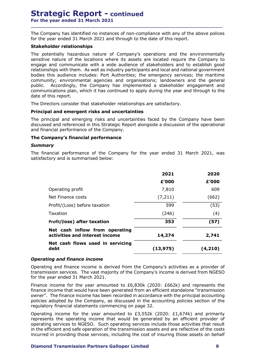The Company has identified no instances of non-compliance with any of the above polices for the year ended 31 March 2021 and through to the date of this report.

\_\_\_\_\_\_\_\_\_\_\_\_\_\_\_\_\_\_\_\_\_\_\_\_\_\_\_\_\_\_\_\_\_\_\_\_\_\_\_\_\_\_\_\_\_\_\_\_\_\_\_\_\_\_\_\_\_\_\_\_\_\_\_\_\_\_\_\_\_\_\_\_\_\_\_\_\_\_\_\_\_\_\_\_\_\_\_\_\_\_

# Stakeholder relationships

The potentially hazardous nature of Company's operations and the environmentally sensitive nature of the locations where its assets are located require the Company to engage and communicate with a wide audience of stakeholders and to establish good relationships with them. As well as industry participants and local and national government bodies this audience includes: Port Authorities; the emergency services; the maritime community; environmental agencies and organisations; landowners and the general public. Accordingly, the Company has implemented a stakeholder engagement and communications plan, which it has continued to apply during the year and through to the date of this report. for the year entoto at martin 2021 and through to the date of this report.<br> **Stakeholder relationships**<br> **Stakeholders and the locations where its assets are located require the Company<br>
engage and communicate with a wide** Sensiuve instant of the tocatons where the sases are located require the complany conseques and communicate with a wide audience of stakeholders and to establish good<br>tedistionships with them. As will as industry participa

The Directors consider that stakeholder relationships are satisfactory.

# Principal and emergent risks and uncertainties

The principal and emerging risks and uncertainties faced by the Company have been discussed and referenced in this Strategic Report alongside a discussion of the operational and financial performance of the Company.

# The Company's financial performance

# Summary

satisfactory and is summarised below:

| ships with them. As well as industry participants and local and national government<br>this audience includes: Port Authorities; the emergency services; the maritime<br>nity; environmental agencies and organisations; landowners and the general<br>Accordingly, the Company has implemented a stakeholder engagement and |           |          |  |
|------------------------------------------------------------------------------------------------------------------------------------------------------------------------------------------------------------------------------------------------------------------------------------------------------------------------------|-----------|----------|--|
| nications plan, which it has continued to apply during the year and through to the<br>this report.                                                                                                                                                                                                                           |           |          |  |
| ectors consider that stakeholder relationships are satisfactory.                                                                                                                                                                                                                                                             |           |          |  |
| al and emergent risks and uncertainties                                                                                                                                                                                                                                                                                      |           |          |  |
| ncipal and emerging risks and uncertainties faced by the Company have been<br>ed and referenced in this Strategic Report alongside a discussion of the operational<br>incial performance of the Company.                                                                                                                     |           |          |  |
| mpany's financial performance                                                                                                                                                                                                                                                                                                |           |          |  |
| <b>iry</b>                                                                                                                                                                                                                                                                                                                   |           |          |  |
| ancial performance of the Company for the year ended 31 March 2021, was<br>tory and is summarised below:                                                                                                                                                                                                                     |           |          |  |
|                                                                                                                                                                                                                                                                                                                              | 2021      | 2020     |  |
|                                                                                                                                                                                                                                                                                                                              | £'000     | £'000    |  |
| Operating profit                                                                                                                                                                                                                                                                                                             | 7,810     | 609      |  |
| Net Finance costs                                                                                                                                                                                                                                                                                                            | (7, 211)  | (662)    |  |
| Profit/(Loss) before taxation                                                                                                                                                                                                                                                                                                | 599       | (53)     |  |
| Taxation                                                                                                                                                                                                                                                                                                                     | (246)     | (4)      |  |
| Profit/(loss) after taxation                                                                                                                                                                                                                                                                                                 | 353       | (57)     |  |
| Net cash inflow from operating<br>activities and interest income                                                                                                                                                                                                                                                             | 14,274    | 2,741    |  |
| Net cash flows used in servicing<br>debt                                                                                                                                                                                                                                                                                     | (13, 975) | (4, 210) |  |
| ing and finance income                                                                                                                                                                                                                                                                                                       |           |          |  |
| ng and finance income is derived from the Company's activities as a provider of                                                                                                                                                                                                                                              |           |          |  |
| ssion services. The vast majority of the Company's income is derived from NGESO                                                                                                                                                                                                                                              |           |          |  |

# Operating and finance income

Operating and finance income is derived from the Company's activities as a provider of transmission services. The vast majority of the Company's income is derived from NGESO for the year ended 31 March 2021.

Finance income for the year amounted to £6,830k (2020: £662k) and represents the finance income that would have been generated from an efficient standalone "transmission owner". The finance income has been recorded in accordance with the principal accounting policies adopted by the Company, as discussed in the accounting policies section of the regulatory financial statements commencing on page 32.

Operating income for the year amounted to  $£3,552k$  (2020: £1,674k) and primarily represents the operating income that would be generated by an efficient provider of operating services to NGESO. Such operating services include those activities that result in the efficient and safe operation of the transmission assets and are reflective of the costs incurred in providing those services, including the cost of insuring those assets on behalf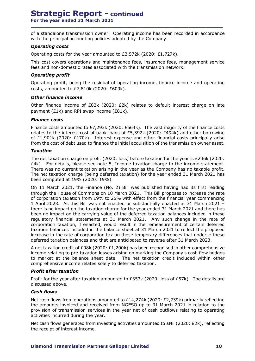of a standalone transmission owner. Operating income has been recorded in accordance with the principal accounting policies adopted by the Company. **Strategic Report - continued**<br>For the year ended 31 March 2021<br>of a standalone transmission owner. Operating income has been recorded in accordance<br>with the principal accounting policies adopted by the Company.<br>Operating

\_\_\_\_\_\_\_\_\_\_\_\_\_\_\_\_\_\_\_\_\_\_\_\_\_\_\_\_\_\_\_\_\_\_\_\_\_\_\_\_\_\_\_\_\_\_\_\_\_\_\_\_\_\_\_\_\_\_\_\_\_\_\_\_\_\_\_\_\_\_\_\_\_\_\_\_\_\_\_\_\_\_\_\_\_\_\_\_\_\_

# Operating costs

Operating costs for the year amounted to £2,572k (2020: £1,727k).

This cost covers operations and maintenance fees, insurance fees, management service

# Operating profit

Operating profit, being the residual of operating income, finance income and operating costs, amounted to £7,810k (2020: £609k).

# Other finance income

Other finance income of £82k (2020: £2k) relates to default interest charge on late payment (£1k) and RPI swap income (£81k).

# Finance costs

Finance costs amounted to £7,293k (2020: £664k). The vast majority of the finance costs relates to the interest cost of bank loans of £5,392k (2020: £494k) and other borrowing of £1,901k (2020: £170k). Interest expense and other financial costs principally arise from the cost of debt used to finance the initial acquisition of the transmission owner asset.

# Taxation

The net taxation charge on profit (2020: loss) before taxation for the year is £246k (2020: £4k). For details, please see note 5, Income taxation charge to the income statement. There was no current taxation arising in the year as the Company has no taxable profit. The net taxation charge (being deferred taxation) for the year ended 31 March 2021 has been computed at 19% (2020: 19%).

**Operating profit**<br> **Operating** profit, being the residual of operating income, finance income and operating<br>
costs, amounted to £7,810k (2020: £609k).<br> **Other finance income**<br>
Other finance income of £82k (2020: £2k) rel through the House of Commons on 10 March 2021. This Bill proposes to increase the rate of corporation taxation from 19% to 25% with effect from the financial year commencing 1 April 2023. As this Bill was not enacted or substantially enacted at 31 March 2021 – there is no impact on the taxation charge for the year ended 31 March 2021 and there has been no impact on the carrying value of the deferred taxation balances included in these regulatory financial statements at 31 March 2021. Any such change in the rate of corporation taxation, if enacted, would result in the remeasurement of certain deferred taxation balances included in the balance sheet at 31 March 2021 to reflect the proposed increase in the rate of corporation tax on those temporary differences that underlie these deferred taxation balances and that are anticipated to reverse after 31 March 2023. mete is no impact on the castavor transper of the deferred taxation balances included in these<br>theen no impact on the carrying value of the deferred taxation balances included in these<br>regulatory financial statements at 31

A net taxation credit of £98k (2020: £1,200k) has been recognised in other comprehensive income relating to pre-taxation losses arising on marking the Company's cash flow hedges to market at the balance sheet date. The net taxation credit included within other comprehensive income relates solely to deferred taxation.

# Profit after taxation

Profit for the year after taxation amounted to £353k (2020: loss of £57k). The details are discussed above.

# Cash flows

Net cash flows from operations amounted to £14,274k (2020: £2,739k) primarily reflecting the amounts invoiced and received from NGESO up to 31 March 2021 in relation to the provision of transmission services in the year net of cash outflows relating to operating activities incurred during the year.

the receipt of interest income.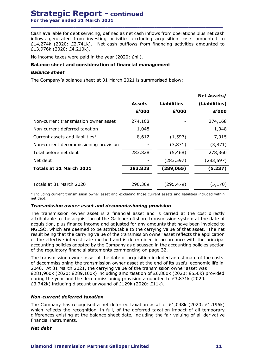Cash available for debt servicing, defined as net cash inflows from operations plus net cash **Strategic Report – continued**<br>
For the year ended 31 March 2021<br>
Cash available for debt servicing, defined as net cash inflows from operations plus net cash<br>
inflows generated from investing activities excluding acquisit £14,274k (2020: £2,741k). Net cash outflows from financing activities amounted to £13,976k (2020: £4,210k).

# Balance sheet and consideration of financial management

# Balance sheet

| Cash available for debt servicing, defined as net cash inflows from operations plus net cash<br>inflows generated from investing activities excluding acquisition costs amounted to<br>£14,274k (2020: £2,741k). Net cash outflows from financing activities amounted to<br>£13,976k (2020: £4,210k).                                                                                                                                                                                                                                                                    |         |                                                                                            |               |
|--------------------------------------------------------------------------------------------------------------------------------------------------------------------------------------------------------------------------------------------------------------------------------------------------------------------------------------------------------------------------------------------------------------------------------------------------------------------------------------------------------------------------------------------------------------------------|---------|--------------------------------------------------------------------------------------------|---------------|
| No income taxes were paid in the year (2020: £nil).                                                                                                                                                                                                                                                                                                                                                                                                                                                                                                                      |         |                                                                                            |               |
| Balance sheet and consideration of financial management                                                                                                                                                                                                                                                                                                                                                                                                                                                                                                                  |         |                                                                                            |               |
| <b>Balance sheet</b>                                                                                                                                                                                                                                                                                                                                                                                                                                                                                                                                                     |         |                                                                                            |               |
| The Company's balance sheet at 31 March 2021 is summarised below:                                                                                                                                                                                                                                                                                                                                                                                                                                                                                                        |         |                                                                                            |               |
|                                                                                                                                                                                                                                                                                                                                                                                                                                                                                                                                                                          |         |                                                                                            | Net Assets/   |
|                                                                                                                                                                                                                                                                                                                                                                                                                                                                                                                                                                          | Assets  | <b>Liabilities</b>                                                                         | (Liabilities) |
|                                                                                                                                                                                                                                                                                                                                                                                                                                                                                                                                                                          | £'000   | £'000                                                                                      | £'000         |
| Non-current transmission owner asset                                                                                                                                                                                                                                                                                                                                                                                                                                                                                                                                     | 274,168 |                                                                                            | 274,168       |
| Non-current deferred taxation                                                                                                                                                                                                                                                                                                                                                                                                                                                                                                                                            | 1,048   |                                                                                            | 1,048         |
| Current assets and liabilities <sup>+</sup>                                                                                                                                                                                                                                                                                                                                                                                                                                                                                                                              | 8,612   | (1, 597)                                                                                   | 7,015         |
| Non-current decommissioning provision                                                                                                                                                                                                                                                                                                                                                                                                                                                                                                                                    |         | (3,871)                                                                                    | (3,871)       |
| Total before net debt                                                                                                                                                                                                                                                                                                                                                                                                                                                                                                                                                    | 283,828 | (5, 468)                                                                                   | 278,360       |
| Net debt                                                                                                                                                                                                                                                                                                                                                                                                                                                                                                                                                                 |         | (283, 597)                                                                                 | (283, 597)    |
| Totals at 31 March 2021                                                                                                                                                                                                                                                                                                                                                                                                                                                                                                                                                  | 283,828 | (289,065)                                                                                  | (5, 237)      |
| Totals at 31 March 2020                                                                                                                                                                                                                                                                                                                                                                                                                                                                                                                                                  | 290,309 | (295, 479)                                                                                 | (5, 170)      |
| + Including current transmission owner asset and excluding those current assets and liabilities included within<br>net debt.                                                                                                                                                                                                                                                                                                                                                                                                                                             |         |                                                                                            |               |
| Transmission owner asset and decommissioning provision                                                                                                                                                                                                                                                                                                                                                                                                                                                                                                                   |         |                                                                                            |               |
| The transmission owner asset is a financial asset and is carried at the cost directly<br>attributable to the acquisition of the Galloper offshore transmission system at the date of<br>acquisition, plus finance income and adjusted for any amounts that have been invoiced to<br>NGESO, which are deemed to be attributable to the carrying value of that asset. The net<br>result being that the carrying value of the transmission owner asset reflects the application<br>of the effective interest rate method and is determined in accordance with the principal |         | accounting policies adopted by the Company as discussed in the accounting policies section |               |

# Transmission owner asset and decommissioning provision

The transmission owner asset is a financial asset and is carried at the cost directly attributable to the acquisition of the Galloper offshore transmission system at the date of acquisition, plus finance income and adjusted for any amounts that have been invoiced to NGESO, which are deemed to be attributable to the carrying value of that asset. The net result being that the carrying value of the transmission owner asset reflects the application of the effective interest rate method and is determined in accordance with the principal accounting policies adopted by the Company as discussed in the accounting policies section Total before net debt<br>
Net debt<br>
Net debt<br> **Totals at 31 March 2021**<br> **Totals at 31 March 2020**<br> **CB3,597**<br>
Totals at 31 March 2020<br>
<br>
Totals at 31 March 2020<br>
<br>
Totals at 31 March 2020<br>
<br> **Transmission owner asset and de** 

The transmission owner asset at the date of acquisition included an estimate of the costs 2040. At 31 March 2021, the carrying value of the transmission owner asset was £281,960k (2020: £289,100k) including amortisation of £6,800k (2020: £550k) provided during the year and the decommissioning provision amounted to £3,871k (2020: £3,742k) including discount unwound of £129k (2020: £11k).

# Non-current deferred taxation

The Company has recognised a net deferred taxation asset of  $£1,048k$  (2020: £1,196k) which reflects the recognition, in full, of the deferred taxation impact of all temporary differences existing at the balance sheet date, including the fair valuing of all derivative financial instruments.

# Net debt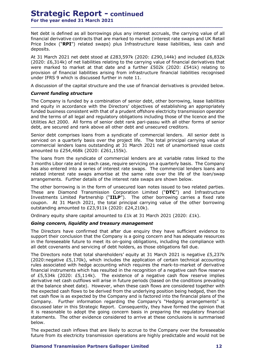Net debt is defined as all borrowings plus any interest accruals, the carrying value of all financial derivative contracts that are marked to market (interest rate swaps and UK Retail Price Index ("RPI") related swaps) plus Infrastructure lease liabilities, less cash and deposits.

\_\_\_\_\_\_\_\_\_\_\_\_\_\_\_\_\_\_\_\_\_\_\_\_\_\_\_\_\_\_\_\_\_\_\_\_\_\_\_\_\_\_\_\_\_\_\_\_\_\_\_\_\_\_\_\_\_\_\_\_\_\_\_\_\_\_\_\_\_\_\_\_\_\_\_\_\_\_\_\_\_\_\_\_\_\_\_\_\_\_

At 31 March 2021 net debt stood at £283,597k (2020: £290,144k) and included £6,832k (2020: £6,314k) of net liabilities relating to the carrying value of financial derivatives that were marked to market at that date and a further £502k (2020: £541k) relating to provision of financial liabilities arising from infrastructure financial liabilities recognised under IFRS 9 which is discussed further in note 11.

A discussion of the capital structure and the use of financial derivatives is provided below.

# Current funding structure

The Company is funded by a combination of senior debt, other borrowing, lease liabilities and equity in accordance with the Directors' objectives of establishing an appropriately funded business consistent with that of a prudent offshore electricity transmission operator and the terms of all legal and regulatory obligations including those of the licence and the Utilities Act 2000. All forms of senior debt rank pari-passu with all other forms of senior debt, are secured and rank above all other debt and unsecured creditors. deposits. An and included for the the stored at £283,597k (2020: £290,144k) and included £6,832k (2020: £6,314k) of net liabilities relating to the carrying value of financial derivatives that were marked to market at that

Senior debt comprises loans from a syndicate of commercial lenders. All senior debt is serviced on a quarterly basis over the project life. The total principal carrying value of commercial lenders loans outstanding at 31 March 2021 net of unamortised issue costs amounted to £254,468k (2020: £261,155k).

The loans from the syndicate of commercial lenders are at variable rates linked to the has also entered into a series of interest rate swaps. The commercial lenders loans and related interest rate swaps amortise at the same rate over the life of the loan/swap arrangements. Further details of the interest rate swaps are shown below.

The other borrowing is in the form of unsecured loan notes issued to two related parties. These are Diamond Transmission Corporation Limited ("DTC") and Infrastructure Investments Limited Partnership ("IILP"). The other borrowing carries a fixed rate coupon. At 31 March 2021, the total principal carrying value of the other borrowing outstanding amounted to £23,911k (2020: £24,210k).

Ordinary equity share capital amounted to  $E1k$  at 31 March 2021 (2020:  $E1k$ ).

# Going concern, liquidity and treasury management

The Directors have confirmed that after due enquiry they have sufficient evidence to support their conclusion that the Company is a going concern and has adequate resources in the foreseeable future to meet its on-going obligations, including the compliance with all debt covenants and servicing of debt holders, as those obligations fall due.

The Directors note that total shareholders' equity at 31 March 2021 is negative £5,237k  $(2020)$ : negative £5,170k), which includes the application of certain technical accounting rules associated with hedge accounting which requires the mark-to-market of derivative financial instruments which has resulted in the recognition of a negative cash flow reserve of £5,534k (2020: £5,114k). The existence of a negative cash flow reserve implies derivative net cash outflows will arise in future periods (based on the conditions prevailing at the balance sheet date). However, when these cash flows are considered together with the expected cash flows to be derived from the underlying position being hedged, then the net cash flow is as expected by the Company and is factored into the financial plans of the Company. Further information regarding the Company's "Hedging arrangements" is These are Diamonion Transmission Contentation Consequent Conceptom. At 31 March 2021, the total principal carrying value of the other borrowing carries a fixed protection conseport. At 31 March 2021, the total principal ca it is reasonable to adopt the going concern basis in preparing the regulatory financial statements. The other evidence considered to arrive at these conclusions is summarised below.

The expected cash inflows that are likely to accrue to the Company over the foreseeable future from its electricity transmission operations are highly predictable and would not be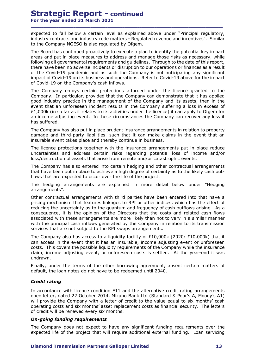expected to fall below a certain level as explained above under "Principal regulatory, industry contracts and industry code matters - Regulated revenue and incentives". Similar to the Company NGESO is also regulated by Ofgem.

\_\_\_\_\_\_\_\_\_\_\_\_\_\_\_\_\_\_\_\_\_\_\_\_\_\_\_\_\_\_\_\_\_\_\_\_\_\_\_\_\_\_\_\_\_\_\_\_\_\_\_\_\_\_\_\_\_\_\_\_\_\_\_\_\_\_\_\_\_\_\_\_\_\_\_\_\_\_\_\_\_\_\_\_\_\_\_\_\_\_

The Board has continued proactively to execute a plan to identify the potential key impact areas and put in place measures to address and manage those risks as necessary, while following all governmental requirements and guidelines. Through to the date of this report, there have been no adverse incidents or disruption to our operations or finances as a result of the Covid-19 pandemic and as such the Company is not anticipating any significant impact of Covid-19 on its business and operations. Refer to Covid-19 above for the impact of Covid-19 on the Company's cash inflows.

The Company enjoys certain protections afforded under the licence granted to the Company. In particular, provided that the Company can demonstrate that it has applied good industry practice in the management of the Company and its assets, then in the event that an unforeseen incident results in the Company suffering a loss in excess of  $£1,000k$  (in so far as it relates to its activities under the licence) it can apply to Ofgem for an income adjusting event. In these circumstances the Company can recover any loss it has suffered.

The Company has also put in place prudent insurance arrangements in relation to property damage and third-party liabilities, such that it can make claims in the event that an insurable event takes place and thereby continue in business.

The licence protections together with the insurance arrangements put in place reduce uncertainties and address certain risks regarding potential loss of income and/or loss/destruction of assets that arise from remote and/or catastrophic events.

The Company has also entered into certain hedging and other contractual arrangements that have been put in place to achieve a high degree of certainty as to the likely cash outflows that are expected to occur over the life of the project.

The hedging arrangements are explained in more detail below under "Hedging arrangements".

Other contractual arrangements with third parties have been entered into that have a pricing mechanism that features linkages to RPI or other indices, which has the effect of reducing the uncertainty as to the quantum and frequency of cash outflows arising. As a consequence, it is the opinion of the Directors that the costs and related cash flows associated with these arrangements are more likely than not to vary in a similar manner  $\pm1,000k$  (in so far as it relates to its activities under the licence) it can apply to Ofgem for<br>an income adjusting event. In these circumstances the Company can recover any loss it<br>has suffered.<br>The Company has also p services that are not subject to the RPI swaps arrangements. Other contractual arrangements with time parties have been enterea into that<br>pricing mechanism that features linkages to RPI or other indices, which has the<br>reducing the uncertainty as to the quantum and frequency of cash

The Company also has access to a liquidity facility of £10,000k (2020: £10,000k) that it can access in the event that it has an insurable, income adjusting event or unforeseen costs. This covers the possible liquidity requirements of the Company while the insurance claim, income adjusting event, or unforeseen costs is settled. At the year-end it was undrawn.

Finally, under the terms of the other borrowing agreement, absent certain matters of default, the loan notes do not have to be redeemed until 2040.

# Credit rating

In accordance with licence condition E11 and the alternative credit rating arrangements open letter, dated 22 October 2014, Mizuho Bank Ltd (Standard & Poor's A, Moody's A1) will provide the Company with a letter of credit to the value equal to six months' cash operating costs and six months' asset replacement costs as financial security. The letters

# On-going funding requirements

The Company does not expect to have any significant funding requirements over the expected life of the project that will require additional external funding. Loan servicing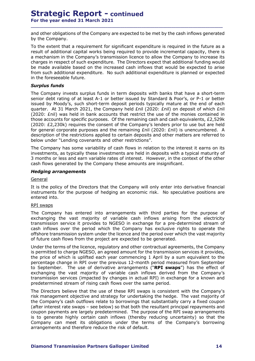and other obligations of the Company are expected to be met by the cash inflows generated by the Company.

\_\_\_\_\_\_\_\_\_\_\_\_\_\_\_\_\_\_\_\_\_\_\_\_\_\_\_\_\_\_\_\_\_\_\_\_\_\_\_\_\_\_\_\_\_\_\_\_\_\_\_\_\_\_\_\_\_\_\_\_\_\_\_\_\_\_\_\_\_\_\_\_\_\_\_\_\_\_\_\_\_\_\_\_\_\_\_\_\_\_

To the extent that a requirement for significant expenditure is required in the future as a result of additional capital works being required to provide incremental capacity, there is a mechanism in the Company's transmission licence to allow the Company to increase its charges in respect of such expenditure. The Directors expect that additional funding would be made available based on the increased cash inflows that would be expected to arise from such additional expenditure. No such additional expenditure is planned or expected in the foreseeable future.

# Surplus funds

The Company invests surplus funds in term deposits with banks that have a short-term senior debt rating of at least A-1 or better issued by Standard & Poor's, or P-1 or better issued by Moody's, such short-term deposit periods typically mature at the end of each quarter. At 31 March 2021, the Company held £nil (2020: £nil) on deposit of which £nil **Strategic Report – continued**<br>For the year ended 31 March 2021<br>and other obligations of the Company are expected to be met by the cash inflows generated<br>by the Company.<br>To the extent that a requirement for significant exp those accounts for specific purposes. Of the remaining cash and cash equivalents, £2,529k (2020: £2,230k) requires the consent of the Company's lenders prior to use but are held for general corporate purposes and the remaining £nil (2020: £nil) is unencumbered. A description of the restrictions applied to certain deposits and other matters are referred to below under "Lending covenants and other restrictions".

The Company has some variability of cash flows in relation to the interest it earns on its investments, as typically these investments are held in deposits with a typical maturity of 3 months or less and earn variable rates of interest. However, in the context of the other cash flows generated by the Company these amounts are insignificant.

# Hedging arrangements

# General

It is the policy of the Directors that the Company will only enter into derivative financial instruments for the purpose of hedging an economic risk. No speculative positions are entered into.

# RPI swaps

The Company has entered into arrangements with third parties for the purpose of exchanging the vast majority of variable cash inflows arising from the electricity transmission service it provides to NGESO in exchange for a pre-determined stream of cash inflows over the period which the Company has exclusive rights to operate the offshore transmission system under the licence and the period over which the vast majority of future cash flows from the project are expected to be generated.

Under the terms of the licence, regulatory and other contractual agreements, the Company is permitted to charge NGESO, an agreed amount for the transmission services it provides, the price of which is uplifted each year commencing 1 April by a sum equivalent to the percentage change in RPI over the previous 12-month period measured from September to September. The use of derivative arrangements ("RPI swaps") has the effect of exchanging the vast majority of variable cash inflows derived from the Company's transmission services (impacted by changes in actual RPI) in exchange for a known and predetermined stream of rising cash flows over the same period. It is the policy of the Directors that the Company will only enter into derivative financial instruments for the purpose of hedging an economic risk. No speculative positions are RPI swans<br>entered into.<br>The Company has ent

The Directors believe that the use of these RPI swaps is consistent with the Company's the Company's cash outflows relate to borrowings that substantially carry a fixed coupon (after interest rate swaps – see below) so that both the resultant principal repayments and coupon payments are largely predetermined. The purpose of the RPI swap arrangements is to generate highly certain cash inflows (thereby reducing uncertainty) so that the Company can meet its obligations under the terms of the Company's borrowing arrangements and therefore reduce the risk of default.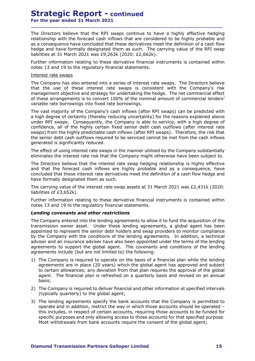For the year ended 31 March 2021

The Directors believe that the RPI swaps continue to have a highly effective hedging relationship with the forecast cash inflows that are considered to be highly probable and as a consequence have concluded that these derivatives meet the definition of a cash flow hedge and have formally designated them as such. The carrying value of the RPI swap liabilities at 31 March 2021 was £9,263k (2020: £2,662k).

\_\_\_\_\_\_\_\_\_\_\_\_\_\_\_\_\_\_\_\_\_\_\_\_\_\_\_\_\_\_\_\_\_\_\_\_\_\_\_\_\_\_\_\_\_\_\_\_\_\_\_\_\_\_\_\_\_\_\_\_\_\_\_\_\_\_\_\_\_\_\_\_\_\_\_\_\_\_\_\_\_\_\_\_\_\_\_\_\_\_

Further information relating to these derivative financial instruments is contained within notes 13 and 19 to the regulatory financial statements.

# Interest rate swaps

The Company has also entered into a series of interest rate swaps. The Directors believe that the use of these interest rate swaps is consistent with the Company's risk management objective and strategy for undertaking the hedge. The net commercial effect of these arrangements is to convert 100% of the nominal amount of commercial lenders' variable rate borrowings into fixed rate borrowings.

The vast majority of the Company's cash inflows (after RPI swaps) can be predicted with a high degree of certainty (thereby reducing uncertainty) for the reasons explained above under RPI swaps. Consequently, the Company is able to service, with a high degree of confidence, all of the highly certain fixed senior debt cash outflows (after interest rate swaps) from the highly predictable cash inflows (after RPI swaps). Therefore, the risk that the senior debt cash outflows required to be serviced cannot be met from the cash inflows generated is significantly reduced. management objective and stratety for undertaking the hedge. The net commercial effect<br>of these arrangements is to convert 100% of the nominal amount of commercial effect<br>variable rate borrowings into fixed rate borrowings

The effect of using interest rate swaps in the manner utilised by the Company substantially eliminates the interest rate risk that the Company might otherwise have been subject to.

The Directors believe that the interest rate swap hedging relationship is highly effective and that the forecast cash inflows are highly probable and as a consequence, have concluded that these interest rate derivatives meet the definition of a cash flow hedge and have formally designated them as such.

The carrying value of the interest rate swap assets at 31 March 2021 was £2,431k (2020: liabilities of £3,652k).

Further information relating to these derivative financial instruments is contained within

# Lending covenants and other restrictions

The Company entered into the lending agreements to allow it to fund the acquisition of the transmission owner asset. Under these lending agreements, a global agent has been appointed to represent the senior debt holders and swap providers to monitor compliance under it is wayb. Cousing that company sale to serve, with a mayin experience of the highly predictable cash inflows (after interest rate the senior debt cash outflows (after interest rate swaps). Therefore, the risk that adviser and an insurance adviser have also been appointed under the terms of the lending swaps from the mignity peductable cash unions (alter key swipps). Therefore, the risk that the senior debt cash outflows equired to be serviced cannot be met from the cash inflows generated is significantly reduced.<br>The e agreements include (but are not limited to) the following: The effect of using interest rate swaps in the manner utilised by the Company substantially eliminates the interest rate in the interest rate is wap hedging relationship is highly effective and that the forecast cash infl enect of using interest rate swaps in the inamier tunised by the company substantially since<br>the chierest the interest rate is skin the formany might otherwise have been subject to.<br>Directors believe that the interest rate Conclude untaries interest rate the venture of a cash how hedge and<br>
The carrying value of the interest rate swap assets at 31 March 2021 was £2,431k (2020;<br>
The carrying value of the interest rate swap assets at 31 March The Campany is required to deliver financial and other information at specified purpose.<br>
The company entered into the hending agreements is contained within<br> **Chombany and 19 to the requisition financial statements**.<br> **Ex** 

- to certain allowances; any deviation from that plan requires the approval of the global agent. The financial plan is refreshed on a quarterly basis and revised on an annual basis;
- (typically quarterly) to the global agent;
- operate and in addition, restrict the way in which those accounts should be operated this includes, in respect of certain accounts, requiring those accounts to be funded for specific purposes and only allowing access to those accounts for that specified purpose. Most withdrawals from bank accounts require the consent of the global agent;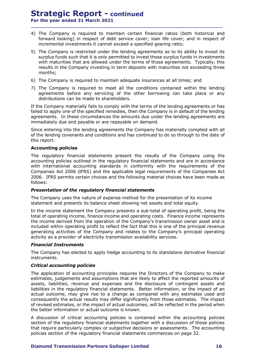For the year ended 31 March 2021

**Strategic Report - continued**<br>
For the year ended 31 March 2021<br>
4) The Company is required to maintain certain financial ratios (both historical and<br>
forward looking) in respect of debt service cover; loan life cover; an forward looking) in respect of debt service cover; loan life cover; and in respect of incremental investments it cannot exceed a specified gearing ratio;

\_\_\_\_\_\_\_\_\_\_\_\_\_\_\_\_\_\_\_\_\_\_\_\_\_\_\_\_\_\_\_\_\_\_\_\_\_\_\_\_\_\_\_\_\_\_\_\_\_\_\_\_\_\_\_\_\_\_\_\_\_\_\_\_\_\_\_\_\_\_\_\_\_\_\_\_\_\_\_\_\_\_\_\_\_\_\_\_\_\_

- **Strategic Report continued**<br>For the year ended 31 March 2021<br>4) The Company is required to maintain certain financial ratios (both historical and<br>forward looking) in respect of debt service cover; loan life cover; and i surplus funds such that it is only permitted to invest those surplus funds in investments with maturities that are allowed under the terms of those agreements. Typically, this results in the Company investing in term deposits with maturities not exceeding three months; **Strategic Report – continued**<br> **For the year ended 31 March 2021**<br>
4) The Company is required to maintain certain financial ratios (both historical and<br>
forward looking) in respect of debt service cover; loan life cover; **Strategic Report – continued**<br>
The vear ended 31 March 2021<br>
The Company is required to maintain certain financial ratios (both historical and<br>
forward looking) in respect of debt service cover; loan life cover; and in re **Strategic Report – continued**<br>For the year ended 31 March 2021<br>4) The Company is required to maintain certain financial ratios (both historical and<br>forward looking) in respect of debt service cover; loon life cover; and i
- 
- agreements before any servicing of the other borrowing can take place or any distributions can be made to shareholders.

If the Company materially fails to comply with the terms of the lending agreements or has agreements. In these circumstances the amounts due under the lending agreements are immediately due and payable or are repayable on demand.

Since entering into the lending agreements the Company has materially complied with all of the lending covenants and conditions and has continued to do so through to the date of this report.

# Accounting policies

The regulatory financial statements present the results of the Company using the 5) The Company is restricted under the lending agreements as to its ability to invest its surplus funds such that it is only permitted to invest those surplus funds in investments with maturities that are allowed under the with international accounting standards in conformity with the requirements of the sumus such that is omig y emimited to moves those suppose thus the mathemate of the company investing in term deposits with maturities not exceeding three results in the Company investing in term deposits with maturities n 2006. IFRS permits certain choices and the following material choices have been made as follows: 6) The Company is required to maintain adequate insurances at all times; and<br>7) The Company is required to meet all the conditions contained within the lending<br>distributions can be made to shareholders.<br>This comply materia

The Company uses the nature of expense method for the presentation of its income statement and presents its balance sheet showing net assets and total equity.

In the income statement the Company presents a sub-total of operating profit, being the total of operating income, finance income and operating costs. Finance income represents the income derived from the operation of the Company's transmission owner asset and is included within operating profit to reflect the fact that this is one of the principal revenue generating activities of the Company and relates to the Company's principal operating activity as a provider of electricity transmission availability services.

# Financial Instruments

The Company has elected to apply hedge accounting to its standalone derivative financial instruments.

# Critical accounting policies

The application of accounting principles requires the Directors of the Company to make estimates, judgements and assumptions that are likely to affect the reported amounts of assets, liabilities, revenue and expenses and the disclosure of contingent assets and 2006. IFRS permits certain choices and the following material choices have been made as follows:<br> **Cholons:**<br> **Cholons:**<br> **Presentation of the regulatory financial statements**<br> **The Company uses the nature of expense metho** actual outcome, may give rise to a change as compared with any estimates used and consequently the actual results may differ significantly from those estimates. The impact of revised estimates, or the impact of actual outcomes, will be reflected in the period when the better information or actual outcome is known. the income derived from the operation of the Company's transmission owner asset and is<br>included within operating profit to reflect the fact that this is one of the principal revenue<br>generating activities of the Company and

A discussion of critical accounting policies is contained within the accounting policies section of the regulatory financial statements together with a discussion of those policies that require particularly complex or subjective decisions or assessments. The accounting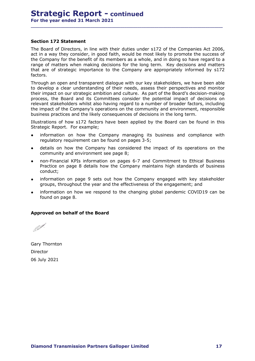# Section 172 Statement

**Strategic Report - continued**<br>For the year ended 31 March 2021<br>The Board of Directors, in line with their duties under s172 of the Companies Act 2006,<br>act in a way they consider, in good faith, would be most likely to pro act in a way they consider, in good faith, would be most likely to promote the success of the Company for the benefit of its members as a whole, and in doing so have regard to a range of matters when making decisions for the long term. Key decisions and matters that are of strategic importance to the Company are appropriately informed by s172 factors.

\_\_\_\_\_\_\_\_\_\_\_\_\_\_\_\_\_\_\_\_\_\_\_\_\_\_\_\_\_\_\_\_\_\_\_\_\_\_\_\_\_\_\_\_\_\_\_\_\_\_\_\_\_\_\_\_\_\_\_\_\_\_\_\_\_\_\_\_\_\_\_\_\_\_\_\_\_\_\_\_\_\_\_\_\_\_\_\_\_\_

Through an open and transparent dialogue with our key stakeholders, we have been able to develop a clear understanding of their needs, assess their perspectives and monitor their impact on our strategic ambition and culture. As part of the Board's decision-making process, the Board and its Committees consider the potential impact of decisions on relevant stakeholders whilst also having regard to a number of broader factors, including the impact of the Company's operations on the community and environment, responsible business practices and the likely consequences of decisions in the long term. Board of Directors, in line with heir duities under s172 of the Companies Act 2006,<br>non a way they consider, in good faith, would be most likely to promote the success of<br>Company for the benefit of its members as a whole, n a way they consider, in good faith, would be most likely to promote the success of<br>Company for the benefit of its members as a whole, and in doing so have regard to a<br>e of matters when making decisions for the long term. is on intations wither intaring decisions for the long term. Hey eventions are of strategic importance to the Company are appropriately informed by s172 sys.<br>Surface evelop a clear understanding of their needs, assess thei

Illustrations of how s172 factors have been applied by the Board can be found in this Strategic Report. For example;

- information on how the Company managing its business and compliance with regulatory requirement can be found on pages 3-5;
- details on how the Company has considered the impact of its operations on the community and environment see page 8;
- conduct; details on how the Company has considered the impact of identify and environment see page 8;<br>
non-Frimacial KPIs information on pages 6-7 and Commitmer<br>
Practice on page 8 details how the Company maintains high s<br>
conduct;
- groups, throughout the year and the effectiveness of the engagement; and
- information on how we respond to the changing global pandemic COVID19 can be found on page 8.

# Approved on behalf of the Board

Gary Thornton Director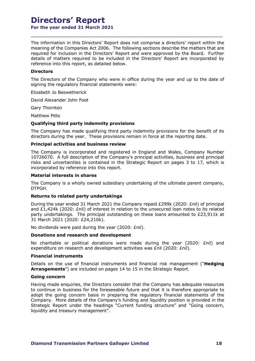# Directors' Report

For the year ended 31 March 2021

The information in this Directors' Report does not comprise a directors' report within the **Directors' Report**<br>For the year ended 31 March 2021<br>The information in this Directors' Report does not comprise a directors' report within the<br>meaning of the Companies Act 2006. The following sections describe the matters required for inclusion in the Directors' Report and were approved by the Board. Further details of matters required to be included in the Directors' Report are incorporated by reference into this report, as detailed below. **Directors' Report**<br>For the year ended 31 March 2021<br>The information in this Directors' Report does not comprise a directors' report within the<br>meaning of the Companies Act 2006. The following sections describe the matters

\_\_\_\_\_\_\_\_\_\_\_\_\_\_\_\_\_\_\_\_\_\_\_\_\_\_\_\_\_\_\_\_\_\_\_\_\_\_\_\_\_\_\_\_\_\_\_\_\_\_\_\_\_\_\_\_\_\_\_\_\_\_\_\_\_\_\_\_\_\_\_\_\_\_\_\_\_\_\_\_\_\_\_\_\_\_\_\_\_\_

## **Directors**

The Directors of the Company who were in office during the year and up to the date of

Elizabeth Jo Beswetherick

David Alexander John Foot

Gary Thornton

Matthew Pitts

# Qualifying third party indemnity provisions

The Company has made qualifying third party indemnity provisions for the benefit of its directors during the year. These provisions remain in force at the reporting date.

## Principal activities and business review

The Company is incorporated and registered in England and Wales, Company Number 10726070. A full description of the Company's principal activities, business and principal risks and uncertainties is contained in the Strategic Report on pages 3 to 17, which is meaning of the Companies Act 2000. The following sections describe the finiters that are<br>required for inclusion in the Directors' Report and were approved by the Board. Further<br>details of matters required to be included in incorporated by reference into this report.

## Material interests in shares

The Company is a wholly owned subsidiary undertaking of the ultimate parent company, DTPGH.

# Returns to related party undertakings

During the year ended 31 March 2021 the Company repaid £299k (2020: £nil) of principal and £1,424k (2020: £nil) of interest in relation to the unsecured loan notes to its related party undertakings. The principal outstanding on these loans amounted to  $£23,911k$  at 31 March 2021 (2020: £24,210k). 10726070. A full description of the Company's principal activities, business and principal<br>nisks and uncertainties is contained in the Strategic Report on pages 3 to 17, which is<br>incorporated by reference into this report.

No dividends were paid during the year (2020: £nil).

# Donations and research and development

No charitable or political donations were made during the year (2020: £nil) and expenditure on research and development activities was £nil (2020: £nil).

## Financial instruments

Details on the use of financial instruments and financial risk management ("**Hedging** 

## Going concern

Having made enquiries, the Directors consider that the Company has adequate resources to continue in business for the foreseeable future and that it is therefore appropriate to The Company is a wholly owned subsidiary undertaking of the ultimate parent company,<br> **DEVACUAL RECONATION**<br> **Returns to related party undertakings**<br>
During the year ended 31 March 2021 the Company repaid £299k (2020: £nil Company. More details of the Company's funding and liquidity position is provided in the Strategic Report under the headings "Current funding structure" and "Going concern, liquidity and treasury management".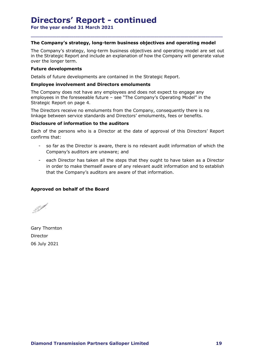For the year ended 31 March 2021

# The Company's strategy, long-term business objectives and operating model

The Company's strategy, long-term business objectives and operating model are set out in the Strategic Report and include an explanation of how the Company will generate value over the longer term. **Directors' Report – continued**<br>For the year ended 31 March 2021<br>The Company's strategy, long-term business objectives and operating model<br>The Company's strategy, long-term business objectives and operating model are set o **Example Synch (Synch) Form business objectives and operating model**<br>
Company's strategy, long-term business objectives and operating model are set out<br>
the Exrategic Report and include an explanation of how the Company wi

\_\_\_\_\_\_\_\_\_\_\_\_\_\_\_\_\_\_\_\_\_\_\_\_\_\_\_\_\_\_\_\_\_\_\_\_\_\_\_\_\_\_\_\_\_\_\_\_\_\_\_\_\_\_\_\_\_\_\_\_\_\_\_\_\_\_\_\_\_\_\_\_\_\_\_\_\_\_\_\_\_\_\_\_\_\_\_\_\_\_

# Future developments

Details of future developments are contained in the Strategic Report.

# Employee involvement and Directors emoluments

The Company does not have any employees and does not expect to engage any Strategic Report on page 4.

The Directors receive no emoluments from the Company, consequently there is no linkage between service standards and Directors' emoluments, fees or benefits.

# Disclosure of information to the auditors

Each of the persons who is a Director at the date of approval of this Directors' Report confirms that:

- 
- **IMPLAT Strategy, long-term business objectives and operating model<br>
Impany's strategy, long-term business objectives and operating model are set out<br>
Intrategic Report and include an explanation of how the Company will ge** Company's strategy, long-term business objectives and operating model are set out<br>expected Report and include an explanation of how the Company will generate value<br>of the longer term.<br> **ure developments**<br>
alls of future de in order to make themself aware of any relevant audit information and to establish e longer term.<br>
of educed poments<br>
of future developments are contained in the Strategic Report.<br>
special information and Directors emoluments<br>
mpany does not have any employees and does not expect to engage any<br>
incluse t Each of the persons who is a Director at the date of approval of if<br>confirms that:<br><br><br><br><br>
o far as the Director is aware, there is no relevant audit inform<br>
company's auditors are unaware; and<br>
- each Director has taken all

# Approved on behalf of the Board

Gary Thornton Director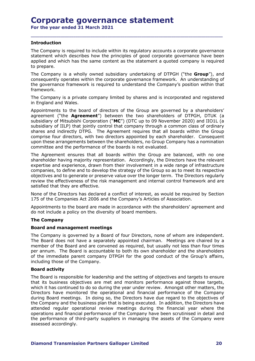# Corporate governance statement

For the year ended 31 March 2021

# **Introduction**

The Company is required to include within its regulatory accounts a corporate governance **Corporate governance statement**<br>For the year ended 31 March 2021<br>Introduction<br>The Company is required to include within its regulatory accounts a corporate governance<br>statement which describes how the principles of good c applied and which has the same content as the statement a quoted company is required to prepare.

\_\_\_\_\_\_\_\_\_\_\_\_\_\_\_\_\_\_\_\_\_\_\_\_\_\_\_\_\_\_\_\_\_\_\_\_\_\_\_\_\_\_\_\_\_\_\_\_\_\_\_\_\_\_\_\_\_\_\_\_\_\_\_\_\_\_\_\_\_\_\_\_\_\_\_\_\_\_\_\_\_\_\_\_\_\_\_\_\_\_

The Company is a wholly owned subsidiary undertaking of DTPGH ("the **Group**"), and consequently operates within the corporate governance framework. An understanding of the governance framework is required to understand the Company's position within that framework.

The Company is a private company limited by shares and is incorporated and registered in England and Wales.

Appointments to the board of directors of the Group are governed by a shareholders' agreement ("the **Agreement**") between the two shareholders of DTPGH, DTUK (a subsidiary of Mitsubishi Corporation ("MC") (DTC up to 09 November 2020) and IIO1L (a subsidiary of IILP) that jointly control that company through a common class of ordinary shares and indirectly DTPG. The Agreement requires that all boards within the Group comprise four directors, with two directors appointed by each shareholder. Consequent upon these arrangements between the shareholders, no Group Company has a nomination committee and the performance of the boards is not evaluated.

The Agreement ensures that all boards within the Group are balanced, with no one shareholder having majority representation. Accordingly, the Directors have the relevant expertise and experience, drawn from their involvement in a wide range of infrastructure companies, to define and to develop the strategy of the Group so as to meet its respective objectives and to generate or preserve value over the longer term. The Directors regularly review the effectiveness of the risk management and internal control framework and are satisfied that they are effective.

None of the Directors has declared a conflict of interest, as would be required by Section 175 of the Companies Act 2006 and the Company's Articles of Association.

Appointments to the board are made in accordance with the shareholders' agreement and do not include a policy on the diversity of board members.

# The Company

# Board and management meetings

The Company is governed by a Board of four Directors, none of whom are independent. The Board does not have a separately appointed chairman. Meetings are chaired by a member of the Board and are convened as required, but usually not less than four times per annum. The Board is accountable to both its own shareholder and the shareholders of the immediate parent company DTPGH for the good conduct of the Group's affairs, including those of the Company.

# Board activity

The Board is responsible for leadership and the setting of objectives and targets to ensure that its business objectives are met and monitors performance against those targets, which it has continued to do so during the year under review. Amongst other matters, the Directors have monitored the operational and financial performance of the Company during Board meetings. In doing so, the Directors have due regard to the objectives of None of the Directors has declared a conflict of interest, as would be required by Section<br>175 of the Companies Act 2006 and the Company's Articles of Association.<br>
Algo in thicklude a policy on the diversity of board memb attended regular operational review meetings during the financial year where the operations and financial performance of the Company have been scrutinised in detail and the performance of third-party suppliers in managing the assets of the Company were assessed accordingly.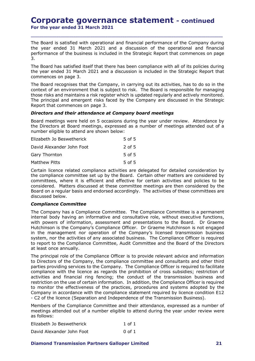# **Corporate governance statement - continued**<br>For the year ended 31 March 2021<br>The Board is satisfied with operational and financial performance of the Company during

For the year ended 31 March 2021

The Board is satisfied with operational and financial performance of the Company during the year ended 31 March 2021 and a discussion of the operational and financial performance of the business is included in the Strategic Report that commences on page 3.

\_\_\_\_\_\_\_\_\_\_\_\_\_\_\_\_\_\_\_\_\_\_\_\_\_\_\_\_\_\_\_\_\_\_\_\_\_\_\_\_\_\_\_\_\_\_\_\_\_\_\_\_\_\_\_\_\_\_\_\_\_\_\_\_\_\_\_\_\_\_\_\_\_\_\_\_\_\_\_\_\_\_\_\_\_\_\_\_\_\_

The Board has satisfied itself that there has been compliance with all of its policies during the year ended 31 March 2021 and a discussion is included in the Strategic Report that commences on page 3.

The Board recognises that the Company, in carrying out its activities, has to do so in the context of an environment that is subject to risk. The Board is responsible for managing those risks and maintains a risk register which is updated regularly and actively monitored. The principal and emergent risks faced by the Company are discussed in the Strategic Report that commences on page 3. For the year ended 31 March 2021<br>
The Board is satisfied with operational and financial performance of the Company during<br>
the year ended 31 March 2021 and a discussion of the operational and financial<br>
3.<br>
3.<br>
The Board h The Board is satisfied with operational and financial performance of the Company during<br>the year ended 31 March 2021 and a discussion of the operational and financial<br>performance of the business is included in the Strategi The Board is satisfied with operational and financial performance of the Company during<br>the year ended 31 March 2021 and a discussion of the operational and financial<br>performance of the business is included in the Strateg The vent entered 31 Matri 2021 and a discussion of the operatomial and unitation<br>performance of the business is included in the Strategic Report that commences on page<br>3.<br>The Board has satisfied itself that there has been

# Directors and their attendance at Company board meetings

Board meetings were held on 5 occasions during the year under review. Attendance by the Directors at Board meetings, expressed as a number of meetings attended out of a number eligible to attend are shown below:

| Elizabeth Jo Beswetherick | $5$ of $5$ |
|---------------------------|------------|
| David Alexander John Foot | $2$ of 5   |
| <b>Gary Thornton</b>      | 5 of 5     |
| <b>Matthew Pitts</b>      | 5 of 5     |

Certain licence related compliance activities are delegated for detailed consideration by the compliance committee set up by the Board. Certain other matters are considered by committees, where it is efficient and effective for certain activities and policies to be considered. Matters discussed at these committee meetings are then considered by the Board on a regular basis and endorsed accordingly. The activities of these committees are discussed below. The principal and emergent risks faced by the Company are discussed in the Strategic<br> **Report that commences on page 3.**<br> **Company board meetings**<br> **Board meetings**<br> **Board meetings** were held on 5 occasions during the yea

# Compliance Committee

internal body having an informative and consultative role, without executive functions, with powers of information, assessment and presentations to the Board. Dr Graeme Hutchinson is the Company's Compliance Officer. Dr Graeme Hutchinson is not engaged in the management nor operation of the Company's licensed transmission business system, nor the activities of any associated business. The Compliance Officer is required to report to the Compliance Committee, Audit Committee and the Board of the Directors at least once annually.

The principal role of the Compliance Officer is to provide relevant advice and information to Directors of the Company, the compliance committee and consultants and other third parties providing services to the Company. The Compliance Officer is required to facilitate compliance with the licence as regards the prohibition of cross subsidies; restriction of activities and financial ring fencing; the conduct of the transmission business and restriction on the use of certain information. In addition, the Compliance Officer is required to monitor the effectiveness of the practices, procedures and systems adopted by the Company in accordance with the compliance statement required by licence condition E12 considered. Matters discussed at these committee meetings are then considered by the Board on a regular basis and endorsed accordingly. The activities of these committees are discussed below.<br> **Compliance Committee**<br>
The C metria booy nawing an initiative and Constative the, which the board. Detective the board. Dr Graeme<br>with powers of information, assessment and presentations to the Board. Dr Graeme<br>Hutchinson is the Company's Compliance O

Members of the Compliance Committee and their attendance, expressed as a number of meetings attended out of a number eligible to attend during the year under review were as follows:

| Elizabeth Jo Beswetherick | 1 of 1 |
|---------------------------|--------|
| David Alexander John Foot | 0 of 1 |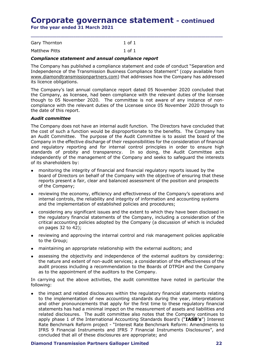# Corporate governance statement - continued<br>For the year ended 31 March 2021<br>Gary Thornton 1 of 1 **Corporate governance statement - continued**<br>
For the year ended 31 March 2021<br>
Gary Thornton 1 of 1<br>
Matthew Pitts 1 of 1<br> **Compliance statement and annual compliance report**<br>
The Company has published a compliance statem

For the year ended 31 March 2021

| Gary Thornton | $1$ of $1$ |
|---------------|------------|
| Matthew Pitts | $1$ of $1$ |

**Corporate governance statement - continued**<br>For the year ended 31 March 2021<br>
The Version of 1<br>
Matthew Pitts 1061<br>
Matthew Pitts 1061<br> **Compliance statement and annual compliance report**<br>
The Company has published a comp **Corporate governance statement - continued**<br>For the year ended 31 March 2021<br>
The Sary Thornton and annual compliance report<br>
The Company has published a compliance statement and code of conduct "Separation and<br>
Independe The Company has published a compliance statement and code of conduct "Separation and Independence of the Transmission Business Compliance Statement" (copy available from www.diamondtransmissionpartners.com) that addresses how the Company has addressed its licence obligations.

\_\_\_\_\_\_\_\_\_\_\_\_\_\_\_\_\_\_\_\_\_\_\_\_\_\_\_\_\_\_\_\_\_\_\_\_\_\_\_\_\_\_\_\_\_\_\_\_\_\_\_\_\_\_\_\_\_\_\_\_\_\_\_\_\_\_\_\_\_\_\_\_\_\_\_\_\_\_\_\_\_\_\_\_\_\_\_\_\_\_

The Company's last annual compliance report dated 05 November 2020 concluded that the Company, as licensee, had been compliance with the relevant duties of the licensee though to 05 November 2020. The committee is not aware of any instance of non-**Corporate governance statement - continued**<br>For the year ended 31 March 2021<br>
Cary Thornton 1001<br>
Matthew Pitts 1001<br>
Matthew Pitts 1001<br>
Compliance statement and annual compliance report<br>
Inferiompary has published a com the date of this report.

# Audit committee

The Company does not have an internal audit function. The Directors have concluded that the cost of such a function would be disproportionate to the benefits. The Company has an Audit Committee. The purpose of the Audit Committee is to assist the board of the Company in the effective discharge of their responsibilities for the consideration of financial and regulatory reporting and for internal control principles in order to ensure high standards of probity and transparency. In so doing, the Audit Committee acts independently of the management of the Company and seeks to safeguard the interests of its shareholders by: **dit committee**<br>Company does not have an internal audit function. The Directors have conclusted of such a function would be disproportionate to the benefits. The Compa<br>Audit Committee. The purpose of the Audit Committee i metericour entercive unstrained or the methom simulation of minimizary and for internal control principles in order to ensure high data's of probity and for internal control principles in order to ensure high appeared<br>enti

- monitoring the integrity of financial and financial regulatory reports issued by the board of Directors on behalf of the Company with the objective of ensuring that these reports present a fair, clear and balanced assessment of the position and prospects of the Company;
- reviewing the economy, efficiency and effectiveness of the Company's operations and internal controls, the reliability and integrity of information and accounting systems and the implementation of established policies and procedures;
- considering any significant issues and the extent to which they have been disclosed in the regulatory financial statements of the Company, including a consideration of the critical accounting policies adopted by the Company (a discussion of which is included
- reviewing and approving the internal control and risk management policies applicable to the Group;
- maintaining an appropriate relationship with the external auditors; and
- the nature and extent of non-audit services; a consideration of the effectiveness of the audit process including a recommendation to the Boards of DTPGH and the Company as to the appointment of the auditors to the Company.

In carrying out the above activities, the audit committee have noted in particular the following:

reports present a fair, clear and balanced assessment of the position and prospects<br>relationships the economy, efficiency and effectiveness of the Company's operations and<br>internal controls, the reliability and integrity o to the implementation of new accounting standards during the year, interpretations and other pronouncements that apply for the first time to these regulatory financial interial of the measurement of the statement of established policies and other considering any significant issues and the extent to which they have been disclosed in and the implementation of established policies and proce related disclosures. The audit committee also notes that the Company continues to apply phase 1 of the International Accounting Standards Board's ("IASB's") Interest Rate Benchmark Reform project - "Interest Rate Benchmark Reform: Amendments to IFRS 9 Financial Instruments and IFRS 7 Financial Instruments Disclosures", and concluded that all of these disclosures are appropriate; and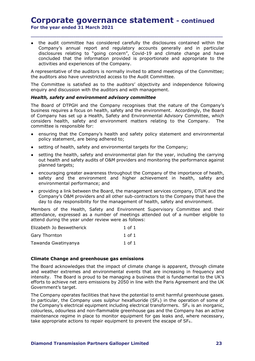# **Corporate governance statement** - continued<br>For the year ended 31 March 2021<br>• the audit committee has considered carefully the disclosures contained within the For the year ended 31 March 2021

the audit committee has considered carefully the disclosures contained within the Company's annual report and regulatory accounts generally and in particular disclosures relating to "going concern", Covid-19 and climate change and have concluded that the information provided is proportionate and appropriate to the activities and experiences of the Company.

\_\_\_\_\_\_\_\_\_\_\_\_\_\_\_\_\_\_\_\_\_\_\_\_\_\_\_\_\_\_\_\_\_\_\_\_\_\_\_\_\_\_\_\_\_\_\_\_\_\_\_\_\_\_\_\_\_\_\_\_\_\_\_\_\_\_\_\_\_\_\_\_\_\_\_\_\_\_\_\_\_\_\_\_\_\_\_\_\_\_

A representative of the auditors is normally invited to attend meetings of the Committee; the auditors also have unrestricted access to the Audit Committee.

The Committee is satisfied as to the auditors' objectivity and independence following enquiry and discussion with the auditors and with management.

# Health, safety and environment advisory committee

The Board of DTPGH and the Company recognises that the nature of the Company's business requires a focus on health, safety and the environment. Accordingly, the Board of Company has set up a Health, Safety and Environmental Advisory Committee, which considers health, safety and environment matters relating to the Company. The committee is responsible for: Ine board or Direct and the Company recognises that the flatter of the Company<br>
and the Company has set up a Health, safety and the environment. Accordingly, the Boar<br>
business requires a focus on health, safety and Enviro

- ensuring that the Company's health and safety policy statement and environmental policy statement, are being adhered to;
- setting of health, safety and environmental targets for the Company;
- setting the health, safety and environmental plan for the year, including the carrying out health and safety audits of O&M providers and monitoring the performance against planned targets;
- encouraging greater awareness throughout the Company of the importance of health, safety and the environment and higher achievement in health, safety and environmental performance; and
- providing a link between the Board, the management services company, DTUK and the Company's O&M providers and all other sub-contractors to the Company that have the day to day responsibility for the management of health, safety and environment.

Members of the Health, Safety and Environment Supervisory Committee and their attendance, expressed as a number of meetings attended out of a number eligible to of Company has set up a Health, Safety and Environmental Advisory Committee, which<br>
or considers health, safety and environment matters relating to the Company. The<br>
committee is responsible for:<br>
• ensuring that the Compa Considers Teadin, Statey and environment matters Ferangy to the Company. The<br>committee is responsible for:<br>• ensuring that the Company's health and safety policy statement and environmental<br>• setting of health, safety and • ensuring that the Company's health and safety policy statement and environmental<br>policy statement, are being adhered to;<br> $\bullet$  setting of health, safety and environmental targets for the Company;<br> $\bullet$  setting the health,

| Elizabeth Jo Beswetherick | 1 of 1 |
|---------------------------|--------|
| Gary Thornton             | 1 of 1 |
| Tawanda Gwatinyanya       | 1 of 1 |

# Climate Change and greenhouse gas emissions

The Board acknowledges that the impact of climate change is apparent, through climate and weather extremes and environmental events that are increasing in frequency and intensity. The Board is proud to be managing a business that is fundamental to the UK's efforts to achieve net zero emissions by 2050 in line with the Paris Agreement and the UK Government's target.

The Company operates facilities that have the potential to emit harmful greenhouse gases. In particular, the Company uses sulphur hexafluoride ( $SF<sub>6</sub>$ ) in the operation of some of the Company's electrical equipment including electrical transformers.  $SF<sub>6</sub>$  is an inorganic, colourless, odourless and non-flammable greenhouse gas and the Company has an active maintenance regime in place to monitor equipment for gas leaks and, where necessary, take appropriate actions to repair equipment to prevent the escape of SF6.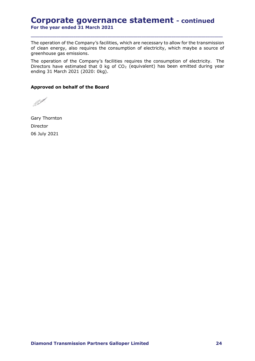# **Corporate governance statement - continued**<br>For the year ended 31 March 2021<br>The operation of the Company's facilities, which are necessary to allow for the transmission For the year ended 31 March 2021

The operation of the Company's facilities, which are necessary to allow for the transmission of clean energy, also requires the consumption of electricity, which maybe a source of greenhouse gas emissions. **Composite governance statement** -<br>For the year ended 31 March 2021<br>The operation of the Company's facilities, which are necessary to allow<br>of clean energy, also requires the consumption of electricity, whic<br>greenhouse gas

\_\_\_\_\_\_\_\_\_\_\_\_\_\_\_\_\_\_\_\_\_\_\_\_\_\_\_\_\_\_\_\_\_\_\_\_\_\_\_\_\_\_\_\_\_\_\_\_\_\_\_\_\_\_\_\_\_\_\_\_\_\_\_\_\_\_\_\_\_\_\_\_\_\_\_\_\_\_\_\_\_\_\_\_\_\_\_\_\_\_

The operation of the Company's facilities requires the consumption of electricity. The Directors have estimated that  $0 \text{ kg of CO}_2$  (equivalent) has been emitted during year ending 31 March 2021 (2020: 0kg).

# Approved on behalf of the Board

Gary Thornton Director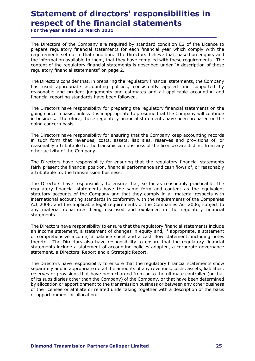# Statement of directors' responsibilities in respect of the financial statements

For the year ended 31 March 2021

The Directors of the Company are required by standard condition E2 of the Licence to prepare regulatory financial statements for each financial year which comply with the requirements set out in that condition. The Directors' believe that, based on enquiry and the information available to them, that they have complied with these requirements. The content of the regulatory financial statements is described under "A description of these regulatory financial statements" on page 2. **Statement of directors' responsibilities in respect of the financial statements**<br>For the year ended 31 March 2021<br>The Directors of the Company are required by standard condition E2 of the Licence to<br>prepare regulatory fin

 $\_$  ,  $\_$  ,  $\_$  ,  $\_$  ,  $\_$  ,  $\_$  ,  $\_$  ,  $\_$  ,  $\_$  ,  $\_$  ,  $\_$  ,  $\_$  ,  $\_$  ,  $\_$  ,  $\_$  ,  $\_$  ,  $\_$  ,  $\_$  ,  $\_$  ,  $\_$  ,  $\_$  ,  $\_$  ,  $\_$  ,  $\_$  ,  $\_$  ,  $\_$  ,  $\_$  ,  $\_$  ,  $\_$  ,  $\_$  ,  $\_$  ,  $\_$  ,  $\_$  ,  $\_$  ,  $\_$  ,  $\_$  ,  $\_$  ,

has used appropriate accounting policies, consistently applied and supported by reasonable and prudent judgements and estimates and all applicable accounting and financial reporting standards have been followed.

The Directors have responsibility for preparing the regulatory financial statements on the going concern basis, unless it is inappropriate to presume that the Company will continue in business. Therefore, these regulatory financial statements have been prepared on the going concern basis.

The Directors have responsibility for ensuring that the Company keep accounting records in such form that revenues, costs, assets, liabilities, reserves and provisions of, or reasonably attributable to, the transmission business of the licensee are distinct from any other activity of the Company.

The Directors have responsibility for ensuring that the regulatory financial statements fairly present the financial position, financial performance and cash flows of, or reasonably attributable to, the transmission business.

The Directors have responsibility to ensure that, so far as reasonably practicable, the regulatory financial statements have the same form and content as the equivalent statutory accounts of the Company and that they comply in all material respects with international accounting standards in conformity with the requirements of the Companies Act 2006, and the applicable legal requirements of the Companies Act 2006, subject to any material departures being disclosed and explained in the regulatory financial statements.

The Directors have responsibility to ensure that the regulatory financial statements include an income statement, a statement of changes in equity and, if appropriate, a statement of comprehensive income, a balance sheet and a cash flow statement, including notes thereto. The Directors also have responsibility to ensure that the regulatory financial statements include a statement of accounting policies adopted, a corporate governance statement, a Directors' Report and a Strategic Report.

The Directors have responsibility to ensure that the regulatory financial statements show separately and in appropriate detail the amounts of any revenues, costs, assets, liabilities, reserves or provisions that have been charged from or to the ultimate controller (or that of its subsidiaries other than the Company) of the Company, or that have been determined by allocation or apportionment to the transmission business or between any other business of the licensee or affiliate or related undertaking together with a description of the basis of apportionment or allocation.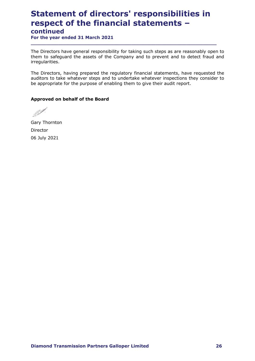# Statement of directors' responsibilities in respect of the financial statements – continued

For the year ended 31 March 2021

The Directors have general responsibility for taking such steps as are reasonably open to them to safeguard the assets of the Company and to prevent and to detect fraud and irregularities.

 $\_$  ,  $\_$  ,  $\_$  ,  $\_$  ,  $\_$  ,  $\_$  ,  $\_$  ,  $\_$  ,  $\_$  ,  $\_$  ,  $\_$  ,  $\_$  ,  $\_$  ,  $\_$  ,  $\_$  ,  $\_$  ,  $\_$  ,  $\_$  ,  $\_$  ,  $\_$  ,  $\_$  ,  $\_$  ,  $\_$  ,  $\_$  ,  $\_$  ,  $\_$  ,  $\_$  ,  $\_$  ,  $\_$  ,  $\_$  ,  $\_$  ,  $\_$  ,  $\_$  ,  $\_$  ,  $\_$  ,  $\_$  ,  $\_$  ,

The Directors, having prepared the regulatory financial statements, have requested the auditors to take whatever steps and to undertake whatever inspections they consider to be appropriate for the purpose of enabling them to give their audit report. **CONTINUE TREAT STATE STATE STATE STATE STATE STATE STATE OF the year ended 31 March 2021**<br>The Directors have general responsibility for taking such steps as an<br>them to safeguard the assets of the Company and to prevent an

# Approved on behalf of the Board

Gary Thornton Director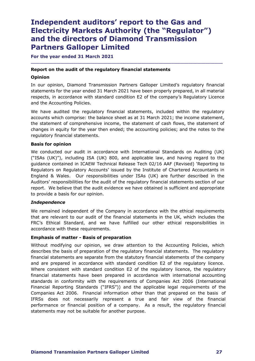# Independent auditors' report to the Gas and Electricity Markets Authority (the "Regulator") and the directors of Diamond Transmission Partners Galloper Limited

For the year ended 31 March 2021

# Report on the audit of the regulatory financial statements

# Opinion

In our opinion, Diamond Transmission Partners Galloper Limited's regulatory financial statements for the year ended 31 March 2021 have been properly prepared, in all material respects, in accordance with standard condition E2 of the company's Regulatory Licence and the Accounting Policies.

\_\_\_\_\_\_\_\_\_\_\_\_\_\_\_\_\_\_\_\_\_\_\_\_\_\_\_\_\_\_\_\_\_\_\_\_\_\_\_\_\_\_\_\_\_\_\_\_\_\_\_\_\_\_\_\_\_\_\_\_\_\_\_\_\_\_\_\_\_\_\_\_\_\_\_\_\_\_\_\_\_\_\_\_\_\_\_\_\_\_

We have audited the regulatory financial statements, included within the regulatory accounts which comprise: the balance sheet as at 31 March 2021; the income statement, the statement of comprehensive income, the statement of cash flows, the statement of changes in equity for the year then ended; the accounting policies; and the notes to the regulatory financial statements.

# Basis for opinion

We conducted our audit in accordance with International Standards on Auditing (UK) ("ISAs (UK)"), including ISA (UK) 800, and applicable law, and having regard to the guidance contained in ICAEW Technical Release Tech 02/16 AAF (Revised) 'Reporting to Regulators on Regulatory Accounts' issued by the Institute of Chartered Accountants in England & Wales. Our responsibilities under ISAs (UK) are further described in the Auditors' responsibilities for the audit of the regulatory financial statements section of our report. We believe that the audit evidence we have obtained is sufficient and appropriate to provide a basis for our opinion.

# **Independence**

We remained independent of the Company in accordance with the ethical requirements that are relevant to our audit of the financial statements in the UK, which includes the FRC's Ethical Standard, and we have fulfilled our other ethical responsibilities in accordance with these requirements.

# Emphasis of matter - Basis of preparation

Without modifying our opinion, we draw attention to the Accounting Policies, which describes the basis of preparation of the regulatory financial statements. The regulatory financial statements are separate from the statutory financial statements of the company and are prepared in accordance with standard condition E2 of the regulatory licence. Where consistent with standard condition E2 of the regulatory licence, the regulatory financial statements have been prepared in accordance with international accounting standards in conformity with the requirements of Companies Act 2006 (International Financial Reporting Standards ("IFRS")) and the applicable legal requirements of the Companies Act 2006. Financial information other than that prepared on the basis of IFRSs does not necessarily represent a true and fair view of the financial performance or financial position of a company. As a result, the regulatory financial statements may not be suitable for another purpose.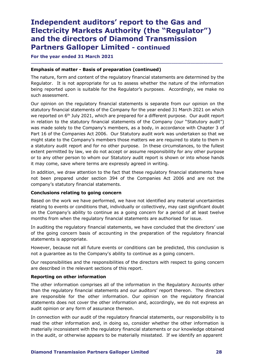# Independent auditors' report to the Gas and Electricity Markets Authority (the "Regulator") and the directors of Diamond Transmission Independent auditors' report to the Gas and<br>Electricity Markets Authority (the "Regulator")<br>and the directors of Diamond Transmission<br>Partners Galloper Limited - continued<br>For the year ended 31 March 2021<br>Emphasis of matte **Independent auditors' report to the Gas and Electricity Markets Authority (the "Regulator")**<br> **and the directors of Diamond Transmission**<br> **Partners Galloper Limited - continued**<br>
For the year ended 31 March 2021<br> **Emphas Independent auditors' report to the Gas and Electricity Markets Authority (the "Regulator")**<br> **and the directors of Diamond Transmission**<br> **Partners Galloper Limited - continued**<br>
For the year ended 31 March 2021<br>
—<br> **Emp**

For the year ended 31 March 2021

The nature, form and content of the regulatory financial statements are determined by the being reported upon is suitable for the Regulator's purposes. Accordingly, we make no such assessment.

\_\_\_\_\_\_\_\_\_\_\_\_\_\_\_\_\_\_\_\_\_\_\_\_\_\_\_\_\_\_\_\_\_\_\_\_\_\_\_\_\_\_\_\_\_\_\_\_\_\_\_\_\_\_\_\_\_\_\_\_\_\_\_\_\_\_\_\_\_\_\_\_\_\_\_\_\_\_\_\_\_\_\_\_\_\_\_\_\_\_

Our opinion on the regulatory financial statements is separate from our opinion on the statutory financial statements of the Company for the year ended 31 March 2021 on which **Independent auditors' report to the Gas and Electricity Markets Authority (the "Regulator")**<br> **and the directors of Diamond Transmission**<br> **Partners Galloper Limited - continued**<br> **From the year ended 31 March 2021**<br> **Em** in relation to the statutory financial statements of the Company (our "Statutory audit") was made solely to the Company's members, as a body, in accordance with Chapter 3 of Part 16 of the Companies Act 2006. Our Statutory audit work was undertaken so that we might state to the Company's members those matters we are required to state to them in a statutory audit report and for no other purpose. In these circumstances, to the fullest extent permitted by law, we do not accept or assume responsibility for any other purpose or to any other person to whom our Statutory audit report is shown or into whose hands it may come, save where terms are expressly agreed in writing. Part 10 of the Company show the other and the predicter of the restriction and the restriction of the company's members those matters we are required to state to them in a statutory audit report and for no other purpose. I

In addition, we draw attention to the fact that these regulatory financial statements have not been prepared under section 394 of the Companies Act 2006 and are not the company's statutory financial statements.

# Conclusions relating to going concern

Based on the work we have performed, we have not identified any material uncertainties relating to events or conditions that, individually or collectively, may cast significant doubt on the Company's ability to continue as a going concern for a period of at least twelve months from when the regulatory financial statements are authorised for issue. or to any other person to whom our Statutory audit report is shown or into whose hands<br>ti may come, save where terms are expressly agreed in writing.<br>In addition, we draw attention to the fact that these regulatory financi

In auditing the regulatory financial statements, we have concluded that the directors' use of the going concern basis of accounting in the preparation of the regulatory financial statements is appropriate.

not a guarantee as to the Company's ability to continue as a going concern.

Our responsibilities and the responsibilities of the directors with respect to going concern

# Reporting on other information

The other information comprises all of the information in the Regulatory Accounts other than the regulatory financial statements and our auditors' report thereon. The directors company's statutory financial statements.<br> **Conclusions relating to going concern**<br>
Based on the work we have performed relating to events or conditions that, individually or collectively, may cast significant doubt<br>
on th statements does not cover the other information and, accordingly, we do not express an audit opinion or any form of assurance thereon. In auditing the regulatory financial statements, we have concluded that the directors' use<br>of the going concern basis of accounting in the preparation of the regulatory financial<br>statements is appropriate.<br>However, because

In connection with our audit of the regulatory financial statements, our responsibility is to read the other information and, in doing so, consider whether the other information is materially inconsistent with the regulatory financial statements or our knowledge obtained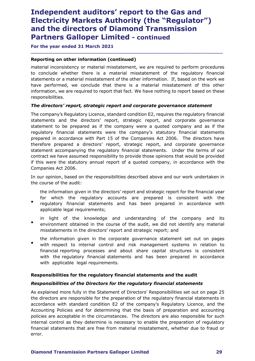# Independent auditors' report to the Gas and Electricity Markets Authority (the "Regulator") and the directors of Diamond Transmission Independent auditors' report to the Gas and<br>Electricity Markets Authority (the "Regulator")<br>and the directors of Diamond Transmission<br>Partners Galloper Limited - continued<br>For the year ended 31 March 2021<br>Reporting on othe **Independent auditors' report to the Gas and<br>
Electricity Markets Authority (the "Regulator")<br>
and the directors of Diamond Transmission<br>
Partners Galloper Limited - continued<br>
For the year ended 31 March 2021<br>
The year en**

For the year ended 31 March 2021

# Reporting on other information (continued)

to conclude whether there is a material misstatement of the regulatory financial **Independent auditors' report to the Gas and Electricity Markets Authority (the "Regulator")**<br> **and the directors of Diamond Transmission**<br> **Partners Galloper Limited - continued**<br>
For the year ended 31 March 2021<br> **Report** have performed, we conclude that there is a material misstatement of this other information, we are required to report that fact. We have nothing to report based on these responsibilities.

\_\_\_\_\_\_\_\_\_\_\_\_\_\_\_\_\_\_\_\_\_\_\_\_\_\_\_\_\_\_\_\_\_\_\_\_\_\_\_\_\_\_\_\_\_\_\_\_\_\_\_\_\_\_\_\_\_\_\_\_\_\_\_\_\_\_\_\_\_\_\_\_\_\_\_\_\_\_\_\_\_\_\_\_\_\_\_\_\_\_

# The directors' report, strategic report and corporate governance statement

The company's Regulatory Licence, standard condition E2, requires the regulatory financial statements and the directors' report, strategic report, and corporate governance statement to be prepared as if the company were a quoted company and as if the regulatory financial statements were the company's statutory financial statements **and the directors of Diamond Transmission**<br> **Partners Galloper Limited - continued**<br>
For the year ended 31 March 2021<br> **Reporting on other information (continued)**<br>
material inconsistency or material misstatement, we are therefore prepared a directors' report, strategic report, and corporate governance **Partners Galloper Limited - continued**<br>For the year ended 31 March 2021<br>Reporting on other information (continued)<br>material inconsistency or material misstatement, we are required to perform procedures<br>to conclude whether contract we have assumed responsibility to provide those opinions that would be provided if this were the statutory annual report of a quoted company, in accordance with the Companies Act 2006.

In our opinion, based on the responsibilities described above and our work undertaken in the course of the audit:

the information given in the directors' report and strategic report for the financial year for which the regulatory accounts are prepared is consistent with the

- regulatory financial statements and has been prepared in accordance with applicable legal requirements;
- in light of the knowledge and understanding of the company and its environment obtained in the course of the audit, we did not identify any material misstatements in the directors' report and strategic report; and
- the information given in the corporate governance statement set out on pages with respect to internal control and risk management systems in relation to financial reporting processes and about share capital structures is consistent with the regulatory financial statements and has been prepared in accordance with applicable legal requirements. if this were the statutory annual report of a quoted company, in accordance with the<br>Companies Act 2006.<br>In our opinion, based on the responsibilities described above and our work undertaken in<br>the course of the audit:<br>the Examplement are traces to the regulatory financial statements in accordance with sated on the regulatory accounts are prepared is consistent with the regulatory financial statements and has been prepared in accordance wit

As explained more fully in the Statement of Directors' Responsibilities set out on page 25 the directors are responsible for the preparation of the regulatory financial statements in accordance with standard condition E2 of the company's Regulatory Licence, and the Accounting Policies and for determining that the basis of preparation and accounting policies are acceptable in the circumstances. The directors are also responsible for such internal control as they determine is necessary to enable the preparation of regulatory financial statements that are free from material misstatement, whether due to fraud or error.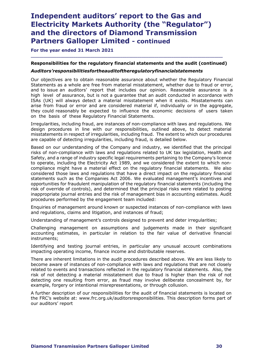# Independent auditors' report to the Gas and Electricity Markets Authority (the "Regulator") and the directors of Diamond Transmission Partners Galloper Limited - continued

For the year ended 31 March 2021

# Responsibilities for the regulatory financial statements and the audit (continued)

\_\_\_\_\_\_\_\_\_\_\_\_\_\_\_\_\_\_\_\_\_\_\_\_\_\_\_\_\_\_\_\_\_\_\_\_\_\_\_\_\_\_\_\_\_\_\_\_\_\_\_\_\_\_\_\_\_\_\_\_\_\_\_\_\_\_\_\_\_\_\_\_\_\_\_\_\_\_\_\_\_\_\_\_\_\_\_\_\_\_

# Auditors' responsibilities for the audit of the regulatory financial statements

Our objectives are to obtain reasonable assurance about whether the Regulatory Financial Statements as a whole are free from material misstatement, whether due to fraud or error, and to issue an auditors' report that includes our opinion. Reasonable assurance is a high level of assurance, but is not a guarantee that an audit conducted in accordance with ISAs (UK) will always detect a material misstatement when it exists. Misstatements can arise from fraud or error and are considered material if, individually or in the aggregate, they could reasonably be expected to influence the economic decisions of users taken on the basis of these Regulatory Financial Statements.

Irregularities, including fraud, are instances of non-compliance with laws and regulations. We design procedures in line with our responsibilities, outlined above, to detect material misstatements in respect of irregularities, including fraud. The extent to which our procedures are capable of detecting irregularities, including fraud, is detailed below.

Based on our understanding of the Company and industry, we identified that the principal risks of non-compliance with laws and regulations related to UK tax legislation, Health and Safety, and a range of industry specific legal requirements pertaining to the Company's licence to operate, including the Electricity Act 1989, and we considered the extent to which noncompliance might have a material effect on the regulatory financial statements. We also considered those laws and regulations that have a direct impact on the regulatory financial statements such as the Companies Act 2006. We evaluated management's incentives and opportunities for fraudulent manipulation of the regulatory financial statements (including the risk of override of controls), and determined that the principal risks were related to posting inappropriate journal entries and the risk of management bias in accounting estimates. Audit procedures performed by the engagement team included:

Enquiries of management around known or suspected instances of non-compliance with laws and regulations, claims and litigation, and instances of fraud;

Understanding of management's controls designed to prevent and deter irregularities;

Challenging management on assumptions and judgements made in their significant accounting estimates, in particular in relation to the fair value of derivative financial instruments;

Identifying and testing journal entries, in particular any unusual account combinations impacting operating income, finance income and distributable reserves.

There are inherent limitations in the audit procedures described above. We are less likely to become aware of instances of non-compliance with laws and regulations that are not closely related to events and transactions reflected in the regulatory financial statements. Also, the risk of not detecting a material misstatement due to fraud is higher than the risk of not detecting one resulting from error, as fraud may involve deliberate concealment by, for example, forgery or intentional misrepresentations, or through collusion.

A further description of our responsibilities for the audit of financial statements is located on the FRC's website at: www.frc.org.uk/auditorsresponsibilities. This description forms part of our auditors' report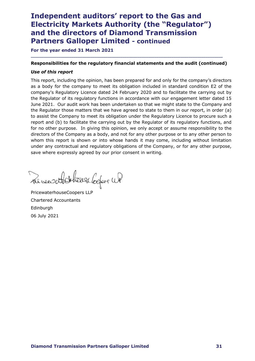# Independent auditors' report to the Gas and Electricity Markets Authority (the "Regulator") and the directors of Diamond Transmission Partners Galloper Limited - continued

For the year ended 31 March 2021

# Responsibilities for the regulatory financial statements and the audit (continued)

\_\_\_\_\_\_\_\_\_\_\_\_\_\_\_\_\_\_\_\_\_\_\_\_\_\_\_\_\_\_\_\_\_\_\_\_\_\_\_\_\_\_\_\_\_\_\_\_\_\_\_\_\_\_\_\_\_\_\_\_\_\_\_\_\_\_\_\_\_\_\_\_\_\_\_\_\_\_\_\_\_\_\_\_\_\_\_\_\_\_

# Use of this report

This report, including the opinion, has been prepared for and only for the company's directors as a body for the company to meet its obligation included in standard condition E2 of the company's Regulatory Licence dated 24 February 2020 and to facilitate the carrying out by the Regulator of its regulatory functions in accordance with our engagement letter dated 15 June 2021. Our audit work has been undertaken so that we might state to the Company and the Regulator those matters that we have agreed to state to them in our report, in order (a) to assist the Company to meet its obligation under the Regulatory Licence to procure such a report and (b) to facilitate the carrying out by the Regulator of its regulatory functions, and for no other purpose. In giving this opinion, we only accept or assume responsibility to the directors of the Company as a body, and not for any other purpose or to any other person to whom this report is shown or into whose hands it may come, including without limitation under any contractual and regulatory obligations of the Company, or for any other purpose, save where expressly agreed by our prior consent in writing.

the weer other there se lookers we

PricewaterhouseCoopers LLP Chartered Accountants Edinburgh 06 July 2021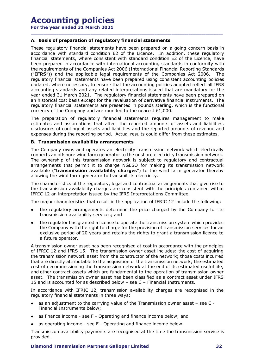# Accounting policies

For the year ended 31 March 2021

**Accounting policies**<br>For the year ended 31 March 2021<br>A. Basis of preparation of regulatory financial statements<br>These regulatory financial statements have been prepared on a going concern basis in<br>accordance with standar These regulatory financial statements have been prepared on a going concern basis in **Accounting policies**<br>For the year ended 31 March 2021<br>**A. Basis of preparation of regulatory financial statements**<br>These regulatory financial statements have been prepared on a going concern basis in<br>accordance with stand financial statements, where consistent with standard condition E2 of the Licence, have **Accounting policies**<br>For the year ended 31 March 2021<br> **A. Basis of preparation of regulatory financial statements**<br>
These regulatory financial statements have been prepared on a going concern basis in<br>
accordance with st the requirements of the Companies Act 2006 (International Financial Reporting Standards ("IFRS")) and the applicable legal requirements of the Companies Act 2006. The regulatory financial statements have been prepared using consistent accounting policies updated, where necessary, to ensure that the accounting policies adopted reflect all IFRS **Accounting policies**<br>For the year ended 31 March 2021<br>A. Basis of preparation of regulatory financial statements<br>These regulatory financial statements have been prepared on a going concern basis in<br>accordance with standar year ended 31 March 2021. The regulatory financial statements have been prepared on an historical cost basis except for the revaluation of derivative financial instruments. The regulatory financial statements are presented in pounds sterling, which is the functional currency of the Company and are rounded to the nearest £1,000. **Accounting policies**<br>For the year ended 31 March 2021<br>**A. Basis of preparation of regulatory financial statements**<br>These regulatory financial statements have been prepared on a going concern basis in<br>accordance with stand **ACCOUNTIMG POLICIES**<br>For the year ended 31 March 2021<br>**A. Basis of preparation of regulatory financial statements**<br>These regulatory financial statements have been prepared on a going concern basis in<br>These regulatory fina For the year ended 31 Marchi 2021<br>
A. Basis of preparation of regulatory financial statements<br>
These regulatory financial statements have been prepared on a goi<br>
accordance with standard condition E2 of the Licence. In add A. **Passis or preparation or regulatory minicial statements** have the prepared on a going concern basis in accordance with standard condition E2 of the Licence. In addition, these regulatory become prepared in accordance w

\_\_\_\_\_\_\_\_\_\_\_\_\_\_\_\_\_\_\_\_\_\_\_\_\_\_\_\_\_\_\_\_\_\_\_\_\_\_\_\_\_\_\_\_\_\_\_\_\_\_\_\_\_\_\_\_\_\_\_\_\_\_\_\_\_\_\_\_\_\_\_\_\_\_\_\_\_\_\_\_\_\_\_\_\_\_\_\_\_\_

estimates and assumptions that affect the reported amounts of assets and liabilities, expenses during the reporting period. Actual results could differ from these estimates.

The Company owns and operates an electricity transmission network which electrically The ownership of this transmission network is subject to regulatory and contractual arrangements that permit it to charge NGESO for making its transmission network available ("transmission availability charges") to the wind farm generator thereby allowing the wind farm generator to transmit its electricity. enceed of Pierici 2021. The regulatory ninarial statements have been prepared on<br>istorical cost basis except for the revaluation of derivative financial instruments. The<br>latory financial statements are presented in pounds

The characteristics of the regulatory, legal and contractual arrangements that give rise to the transmission availability charges are consistent with the principles contained within IFRIC 12 an interpretation issued by the IFRS Interpretations Committee.

The major characteristics that result in the application of IFRIC 12 include the following:

- transmission availability services; and
- the regulator has granted a licence to operate the transmission system which provides the Company with the right to charge for the provision of transmission services for an exclusive period of 20 years and retains the rights to grant a transmission licence to a future operator.

A transmission owner asset has been recognised at cost in accordance with the principles of IFRIC 12 and IFRS 15. The transmission owner asset includes: the cost of acquiring the transmission network asset from the constructor of the network; those costs incurred that are directly attributable to the acquisition of the transmission network; the estimated cost of decommissioning the transmission network at the end of its estimated useful life, and other contract assets which are fundamental to the operation of transmission owner asset. The transmission owner asset has been classified as a contract asset under IFRS 15 and is accounted for as described below – see C – Financial Instruments. The characteristics of the regulatory, legal and contractual arrangements the transmission availability charges are consistent with the principles correlation SERC 12 an interpretation issued by the IFRS Interpretations C IC 12 an interpretation issued by the IPNS interpretations Committee.<br>
Imajor characteristics that result in the application of IFRIC 12 include the<br>
the regulatory arrangements determine the price charged by the Comp<br>
tra Thaylor transcentions tunk results that results that results and results represents the regulatory arrangements determine the price charged by the Company for its transmission availability services; and<br>the regulator has the regulatory arrangements determine the price charged by the Company or rus<br>
transmission availability services; and<br>
the regulator has granted a licence to operate the transmission system which provides<br>
exclusive perio

In accordance with IFRIC 12, transmission availability charges are recognised in the

- as an adjustment to the carrying value of the Transmission owner asset see C -
- 
- 

Transmission availability payments are recognised at the time the transmission service is provided.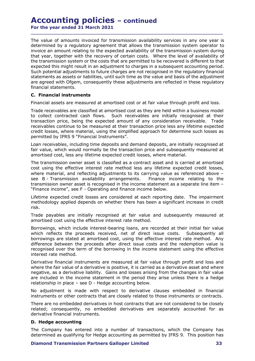For the year ended 31 March 2021

The value of amounts invoiced for transmission availability services in any one year is determined by a regulatory agreement that allows the transmission system operator to invoice an amount relating to the expected availability of the transmission system during that year, together with the recovery of certain costs. Where the level of availability of the transmission system or the costs that are permitted to be recovered is different to that expected this might result in an adjustment to charges in a subsequent accounting period. **Accounting policies – continued**<br>For the year ended 31 March 2021<br>The value of amounts invoiced for transmission availability services in any one year is<br>determined by a regulatory agreement that allows the transmission s statements as assets or liabilities, until such time as the value and basis of the adjustment **Accounting policies** – **continued**<br>For the year ended 31 March 2021<br>The value of amounts invoiced for transmission availability services in any one year is<br>determined by a regulatory agreement that allows the transmission financial statements. **Accounting policies – continued**<br>For the year ended 31 March 2021<br>The value of amounts invoiced for transmission availability service<br>determined by a regulatory agreement that allows the transmission<br>invoice an amount rel

\_\_\_\_\_\_\_\_\_\_\_\_\_\_\_\_\_\_\_\_\_\_\_\_\_\_\_\_\_\_\_\_\_\_\_\_\_\_\_\_\_\_\_\_\_\_\_\_\_\_\_\_\_\_\_\_\_\_\_\_\_\_\_\_\_\_\_\_\_\_\_\_\_\_\_\_\_\_\_\_\_\_\_\_\_\_\_\_\_\_

Financial assets are measured at amortised cost or at fair value through profit and loss.

Trade receivables are classified at amortised cost as they are held within a business model to collect contracted cash flows. Such receivables are initially recognised at their transaction price, being the expected amount of any consideration receivable. Trade receivables continue to be measured at their transaction price less any lifetime expected credit losses, where material, using the simplified approach for determine such losses as permitted by IFRS 9 "Financial Instruments".

Loan receivables, including time deposits and demand deposits, are initially recognised at fair value, which would normally be the transaction price and subsequently measured at amortised cost, less any lifetime expected credit losses, where material.

The transmission owner asset is classified as a contract asset and is carried at amortised cost using the effective interest rate method less any lifetime expected credit losses, where material, and reflecting adjustments to its carrying value as referenced above expected this might result in an adjustment to charges in a subsequent accounting period.<br>Such potential adjustments to future charges are not recognised in the regulatory financial<br>statements as assets or liabilities, unt transmission owner asset is recognised in the income statement as a separate line item – statements as assets or liabilities, until such time as the value and basis of the adjustment<br>statements as assets or liabilities, until such time as the value and basis of the adjustment<br>financial statements.<br>**C. Financ** The transmission owner asset is classified as a contract asset and is carried at amortised<br>cost using the effective interest rate method less any lifetime expected credit losses,<br>where material, and reflecting adjustments

Lifetime expected credit losses are considered at each reporting date. The impairment methodology applied depends on whether there has been a significant increase in credit risk.

Trade payables are initially recognised at fair value and subsequently measured at amortised cost using the effective interest rate method.

Borrowings, which include interest-bearing loans, are recorded at their initial fair value which reflects the proceeds received, net of direct issue costs. Subsequently all borrowings are stated at amortised cost, using the effective interest rate method. Any difference between the proceeds after direct issue costs and the redemption value is recognised over the term of the borrowing in the income statement using the effective interest rate method. tost using the entective interest rate internal instruments. Finance expected between the see B - Transmission owner asset is recognised in the income statement as a separate line item-<br>Transmission owner asset is recognis Trake payables are initially recognised at fair value and subseq<br>Trande payables are initially recognised at fair value and subseq<br>amortised cost using the effective interest rate method.<br>Borrowings, which include interest

Derivative financial instruments are measured at fair value through profit and loss and where the fair value of a derivative is positive, it is carried as a derivative asset and where are included in the income statement in the period they arise unless there is a hedge

No adjustment is made with respect to derivative clauses embedded in financial instruments or other contracts that are closely related to those instruments or contracts.

There are no embedded derivatives in host contracts that are not considered to be closely related; consequently, no embedded derivatives are separately accounted for as derivative financial instruments.

The Company has entered into a number of transactions, which the Company has determined as qualifying for Hedge accounting as permitted by IFRS 9. This position has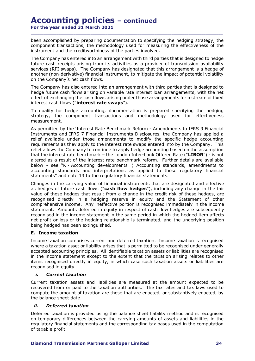For the year ended 31 March 2021 \_\_\_\_\_\_\_\_\_\_\_\_\_\_\_\_\_\_\_\_\_\_\_\_\_\_\_\_\_\_\_\_\_\_\_\_\_\_\_\_\_\_\_\_\_\_\_\_\_\_\_\_\_\_\_\_\_\_\_\_\_\_\_\_\_\_\_\_\_\_\_\_\_\_\_\_\_\_\_\_\_\_\_\_\_\_\_\_\_\_

been accomplished by preparing documentation to specifying the hedging strategy, the component transactions, the methodology used for measuring the effectiveness of the

**Accounting policies – continued**<br>For the year ended 31 March 2021<br>Deen accomplished by preparing documentation to specifying the hedging strategy, the<br>component transactions, the methodology used for measuring the effecti The Company has entered into an arrangement with third parties that is designed to hedge future cash receipts arising from its activities as a provider of transmission availability services (RPI swaps). The Company has designated that this arrangement is a hedge of another (non-derivative) financial instrument, to mitigate the impact of potential volatility on the Company's net cash flows.

The Company has also entered into an arrangement with third parties that is designed to hedge future cash flows arising on variable rate interest loan arrangements, with the net effect of exchanging the cash flows arising under those arrangements for a stream of fixed interest cash flows ("interest rate swaps").

To qualify for hedge accounting, documentation is prepared specifying the hedging strategy, the component transactions and methodology used for effectiveness measurement.

**Accounting policies – continued**<br>For the year ended 31 March 2021<br>Deen accomplished by preparing documentation to specifying the hedging strategy, the<br>component transactions, the methodology used for measuring the effecti Instruments and IFRS 7 Financial Instruments Disclosures, the Company has applied a relief available under those amendments to modify the specific hedge accounting requirements as they apply to the interest rate swaps entered into by the Company. This relief allows the Company to continue to apply hedge accounting based on the assumption been accomplesive of the pering of continentation to spectry are the electiveness of the instrument and the creditworthiness of the parties involved.<br>The Companent transactions, the methodology used for measuring the effec altered as a result of the interest rate benchmark reform. Further details are available Instrumentia and the tractive of the particles of the particle incroating and the particle increasing from its activities as a provider of transmission availability future cash receipts arising from its activities as a pro The Company has entered into an arrangement with this dipartic that is designed to hedge<br>future cash receipts arising from its activities as a provider of transmission availability<br>services (RPI swaps). The Company has des statements" and note 13 to the regulatory financial statements. measurement.<br>As permitted by the 'Interest Rate Benchmark Reform - Amendment<br>Instruments and IFRS 7 Financial Instruments Disclosures, the Contribute Interest and IFRS 7 Financial Instruments to modify the specific<br>require

Changes in the carrying value of financial instruments that are designated and effective as hedges of future cash flows ("cash flow hedges"), including any change in the fair value of those hedges that result from a change in the credit risk of these hedges, are recognised directly in a hedging reserve in equity and the Statement of other comprehensive income. Any ineffective portion is recognised immediately in the income statement. Amounts deferred in equity in respect of cash flow hedges are subsequently recognised in the income statement in the same period in which the hedged item affects net profit or loss or the hedging relationship is terminated, and the underlying position being hedged has been extinguished. Let are as a result of the mere strate betrolliner and a result of the counting standards, counting standards and interpretations as applied to these regitements" and note 13 to the regulatory financial statements. Countin alue of those hedges that result from a change in the credit risk of the Staccogniesed directly in a hedging reserve in equity and the Statement. Amounts deferred in equity in respect of cash flow hedges coogniesed in the

Income taxation comprises current and deferred taxation. Income taxation is recognised where a taxation asset or liability arises that is permitted to be recognised under generally accepted accounting principles. All identifiable taxation assets or liabilities are recognised in the income statement except to the extent that the taxation arising relates to other items recognised directly in equity, in which case such taxation assets or liabilities are recognised in equity. statement. Amionins dererren in regulator, and the corresponding the corresponding the computation percognised in the income statement in the same period in which the hedged item affects net profit or loss or the hedging r

Current taxation assets and liabilities are measured at the amount expected to be recovered from or paid to the taxation authorities. The tax rates and tax laws used to compute the amount of taxation are those that are enacted, or substantively enacted, by the balance sheet date.

Deferred taxation is provided using the balance sheet liability method and is recognised on temporary differences between the carrying amounts of assets and liabilities in the regulatory financial statements and the corresponding tax bases used in the computation of taxable profit.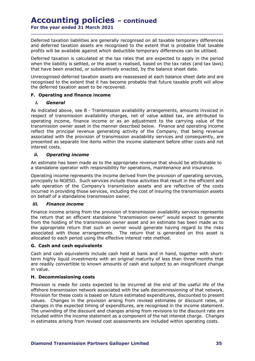Deferred taxation liabilities are generally recognised on all taxable temporary differences and deferred taxation assets are recognised to the extent that is probable that taxable **Accounting policies – continued**<br>
For the year ended 31 March 2021<br>
Deferred taxation liabilities are generally recognised on all taxable temporary differences<br>
and deferred taxation assets are recognised to the extent th **Accounting policies – continued**<br>
The vear ended 31 March 2021<br>
Deferred taxation liabilities are generally recognised on all taxable temporary differences<br>
and deferred taxation assets are recognised to the extent that i **Accounting policies** – **continued**<br>For the year ended 31 March 2021<br>
—<br>Deferred taxation liabilities are generally recognised on all taxable to<br>and deferred taxation assets are recognised to the extent that is p<br>
profits

\_\_\_\_\_\_\_\_\_\_\_\_\_\_\_\_\_\_\_\_\_\_\_\_\_\_\_\_\_\_\_\_\_\_\_\_\_\_\_\_\_\_\_\_\_\_\_\_\_\_\_\_\_\_\_\_\_\_\_\_\_\_\_\_\_\_\_\_\_\_\_\_\_\_\_\_\_\_\_\_\_\_\_\_\_\_\_\_\_\_

Deferred taxation is calculated at the tax rates that are expected to apply in the period when the liability is settled, or the asset is realised, based on the tax rates (and tax laws)

Unrecognised deferred taxation assets are reassessed at each balance sheet date and are recognised to the extent that it has become probable that future taxable profit will allow the deferred taxation asset to be recovered.

**ACCOUNTING POLICIES – continued**<br>
or the year ended 31 March 2021<br>
Ferred taxation liabilities are generally recognised on all taxable temple<br>
of deferred taxation assets are recognised to the extent that is prob<br>
of the **Accounting policies – continued**<br>For the year ended 31 March 2021<br>Deferred taxation liabilities are generally recognised on all taxable temporary differences<br>and deferred taxation assets are recognised to the extent that respect of transmission availability charges, net of value added tax, are attributed to operating income, finance income or as an adjustment to the carrying value of the transmission owner asset in the manner described below. Finance and operating income reflect the principal revenue generating activity of the Company, that being revenue associated with the provision of transmission availability services and consequently, are presented as separate line items within the income statement before other costs and net interest costs. efferent daxation inaunities are generally recognised on the dixation entity of<br>the deferred taxation assets are recognised to the extent that is prob<br>orbits will be available against which deductible temporary differences **Example 2**<br> **Example 3**<br> **Example 3**<br> **Example 3**<br> **Example 2**<br> **Example 3**<br> **Example 3**<br> **Example 2**<br> **Example 2**<br> **Example 2**<br> **Example 2**<br> **Example 2**<br> **Example 2**<br> **Example 2**<br> **Example 2**<br> **Example 3**<br> **Example 2**<br>

An estimate has been made as to the appropriate revenue that should be attributable to a standalone operator with responsibility for operations, maintenance and insurance.

Operating income represents the income derived from the provision of operating services, principally to NGESO. Such services include those activities that result in the efficient and safe operation of the Company's transmission assets and are reflective of the costs incurred in providing those services, including the cost of insuring the transmission assets on behalf of a standalone transmission owner.

Finance income arising from the provision of transmission availability services represents the return that an efficient standalone "transmission owner" would expect to generate from the holding of the transmission owner asset and an estimate has been made as to the appropriate return that such an owner would generate having regard to the risks associated with those arrangements. The return that is generated on this asset is allocated to each period using the effective interest rate method. relect the principal reventive generating activity or the company, the consociated with the provision of transmission availability services and presented as separate line items within the income statement before interest c Are estimate tas been made as to the appropriate revenue that show<br>a standalone operator with responsibility for operations, maintenanc<br>Operating income represents the income derived from the provision of<br>principally to NG

Cash and cash equivalents include cash held at bank and in hand, together with shortterm highly liquid investments with an original maturity of less than three months that are readily convertible to known amounts of cash and subject to an insignificant change in value.

Provision is made for costs expected to be incurred at the end of the useful life of the offshore transmission network associated with the safe decommissioning of that network. Provision for these costs is based on future estimated expenditures, discounted to present values. Changes in the provision arising from revised estimates or discount rates, or changes in the expected timing of expenditures, are recognised in the income statement. The unwinding of the discount and changes arising from revisions to the discount rate are included within the income statement as a component of the net interest charge. Changes in estimates arising from revised cost assessments are included within operating costs.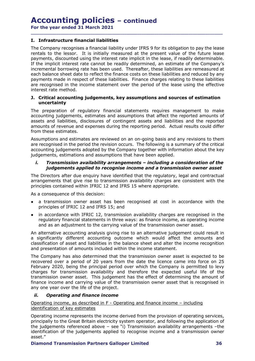For the year ended 31 March 2021

**Accounting policies – continued**<br>
For the year ended 31 March 2021<br>
I. Infrastructure financial liabilities<br>
The Company recognises a financial liability under IFRS 9 for its obligation to p<br>
rentals to the lessor. It is The Company recognises a financial liability under IFRS 9 for its obligation to pay the lease rentals to the lessor. It is initially measured at the present value of the future lease payments, discounted using the interest rate implicit in the lease, if readily determinable. If the implicit interest rate cannot be readily determined, an estimate of the Company's incremental borrowing rate has been used. Thereafter, these liabilities are remeasured at **Accounting policies – continued**<br> **For the year ended 31 March 2021**<br> **T. Infrastructure financial liabilities**<br>
The Company recognises a financial liability under IFRS 9 for its obligation to pay the lease<br>
rentals to th payments made in respect of these liabilities. Finance charges relating to these liabilities are recognised in the income statement over the period of the lease using the effective interest rate method. **Accounting policies – continued**<br>
T. Infrastructure financial liabilities<br>
The Company recognises a financial liability under IFRS 9 for its obligation to pay the lease<br>
rentals to the lessor. It is initially measured at incompany recusting and matical rational results and reading the comparison and the present value of the future lease, if readily determined, discounted using the interest rate implicit interest rate cannot be readily dete

\_\_\_\_\_\_\_\_\_\_\_\_\_\_\_\_\_\_\_\_\_\_\_\_\_\_\_\_\_\_\_\_\_\_\_\_\_\_\_\_\_\_\_\_\_\_\_\_\_\_\_\_\_\_\_\_\_\_\_\_\_\_\_\_\_\_\_\_\_\_\_\_\_\_\_\_\_\_\_\_\_\_\_\_\_\_\_\_\_\_

# uncertainty

The preparation of regulatory financial statements requires management to make accounting judgements, estimates and assumptions that affect the reported amounts of assets and liabilities, disclosures of contingent assets and liabilities and the reported amounts of revenue and expenses during the reporting period. Actual results could differ from these estimates.

Assumptions and estimates are reviewed on an on-going basis and any revisions to them are recognised in the period the revision occurs. The following is a summary of the critical accounting judgements adopted by the Company together with information about the key judgements, estimations and assumptions that have been applied.

# judgements applied to recognise income and a transmission owner asset

The Directors after due enquiry have identified that the regulatory, legal and contractual arrangements that give rise to transmission availability charges are consistent with the principles contained within IFRIC 12 and IFRS 15 where appropriate.

As a consequence of this decision:

- a transmission owner asset has been recognised at cost in accordance with the principles of IFRIC 12 and IFRS 15; and
- in accordance with IFRIC 12, transmission availability charges are recognised in the regulatory financial statements in three ways: as finance income, as operating income and as an adjustment to the carrying value of the transmission owner asset.

An alternative accounting analysis giving rise to an alternative judgement could result in a significantly different accounting outcome which would affect the amounts and classification of asset and liabilities in the balance sheet and alter the income recognition and presentation of amounts included within the income statement.

The Company has also determined that the transmission owner asset is expected to be recovered over a period of 20 years from the date the licence came into force on 25 judgements, estimations and assumptions that have been applied.<br> **Franchission availability arrangements – including a consideration of the** *judgements applied to recognise income and a transmission owner asset***<br>
The Dire** charges for transmission availability and therefore the expected useful life of the **The Direction of any of the effect of determining and a constantion of the principles contained a constanting of the principles contained within IFRIC 12 and IFRS 15 where appropriate.<br>
The Directors after due engainy hav** finance income and carrying value of the transmission owner asset that is recognised in any one year over the life of the project. Transmission and give the to transmission availability charges are comprised and the give the total singlet and IFRS 15 where appropriate.<br>
So a consequence of this decision:<br>
a transmission owner asset has been recognise As a consequence of this decision:<br>
• a transmission owner asset has been recognised at cost in accordance with the principles of FRIC 12 and FRS 15; and<br>
• in accordance with IRRIC 12, transmission availability charges a • in accordance with IFRIC 12, transmission availability charges are recognised in the regulatory financial statements in three ways: as finance income, as operating income and as an adjustment to the carrying value of th

identification of key estimates

Operating income represents the income derived from the provision of operating services, principally to the Great Britain electricity system operator, and following the application of identification of the judgements applied to recognise income and a transmission owner asset."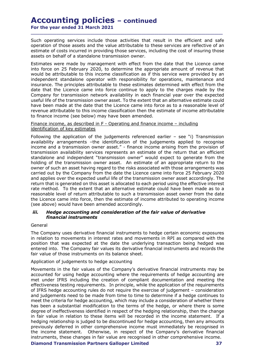For the year ended 31 March 2021

Such operating services include those activities that result in the efficient and safe operation of those assets and the value attributable to these services are reflective of an estimate of costs incurred in providing those services, including the cost of insuring those assets on behalf of a standalone transmission owner.

\_\_\_\_\_\_\_\_\_\_\_\_\_\_\_\_\_\_\_\_\_\_\_\_\_\_\_\_\_\_\_\_\_\_\_\_\_\_\_\_\_\_\_\_\_\_\_\_\_\_\_\_\_\_\_\_\_\_\_\_\_\_\_\_\_\_\_\_\_\_\_\_\_\_\_\_\_\_\_\_\_\_\_\_\_\_\_\_\_\_

Estimates were made by management with effect from the date that the Licence came into force on 25 February 2020, to determine the appropriate amount of revenue that would be attributable to this income classification as if this service were provided by an independent standalone operator with responsibility for operations, maintenance and insurance. The principles attributable to these estimates determined with effect from the date that the Licence came into force continue to apply to the charges made by the Company for transmission network availability in each financial year over the expected useful life of the transmission owner asset. To the extent that an alternative estimate could have been made at the date that the Licence came into force as to a reasonable level of revenue attributable to this income classification then the estimate of income attributable to finance income (see below) may have been amended. **ACCOUNTIME POIICIES – continued**<br>For the year ended 31 March 2021<br>Such operating services include those activities that result in the efficient and safe<br>operation of those assets and the value attributable to these servic Such operating services include those activities that result in the efficient and safe<br>operation of those assets and the value attributable to these services are reflective of an<br>estientale of costs incurred in providing

# identification of key estimates

Following the application of the judgements referenced earlier – see "i) Transmission availability arrangements –the identification of the judgements applied to recognise transmission availability services represents an estimate of the return that an efficient standalone and independent "transmission owner" would expect to generate from the holding of the transmission owner asset. An estimate of an appropriate return to the owner of such an asset having regard to the risks associated with those arrangements was carried out by the Company from the date the Licence came into force 25 February 2020 and applies over the expected useful life of the transmission owner asset accordingly. The mot othe on 23 Fethruary 2020, to determine the appropriate amount of revented the alternation on the education as if this service were provided by an independent standalone operator with responsibility for operations, ma rate method. To the extent that an alternative estimate could have been made as to a reasonable level of return attributable to such a transmission asset owner from the date the Licence came into force, then the estimate of income attributed to operating income (see above) would have been amended accordingly. iseful life of the transmission owner asset. To the extent that an alternative estimate could<br>be an energy to the transmission of the state that and the stimate of income attributable<br>evel of the energy derivative to this Einance income, as described in F - Operating and finance income - including<br>
derivation of key estimates<br>
Following the application of the judgements referenced earlier - see "i) Transmission<br>
availability arrangements -

# financial instruments

# General

in relation to movements in interest rates and movements in RPI as compared with the position that was expected at the date the underlying transaction being hedged was entered into. The Company fair values its derivative financial instruments and records the fair value of those instruments on its balance sheet.

# Application of judgements to hedge accounting

Movements in the fair values of the Company's derivative financial instruments may be accounted for using hedge accounting where the requirements of hedge accounting are met under IFRS including the creation of compliant documentation and meeting the effectiveness testing requirements. In principle, while the application of the requirements of IFRS hedge accounting rules do not require the exercise of judgement – consideration and judgements need to be made from time to time to determine if a hedge continues to meet the criteria for hedge accounting, which may include a consideration of whether there has been a substantial modification to the terms of the hedge, or where there is some degree of ineffectiveness identified in respect of the hedging relationship, then the change in fair value in relation to these items will be recorded in the income statement. If a hedging relationship is judged to be discontinued for hedge accounting, then any amounts previously deferred in other comprehensive income must immediately be recognised in the income statement. Otherwise, in respect of the Company's derivative financial instruments, these changes in fair value are recognised in other comprehensive income.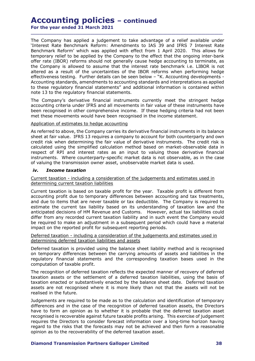For the year ended 31 March 2021

The Company has applied a judgement to take advantage of a relief available under 'Interest Rate Benchmark Reform: Amendments to IAS 39 and IFRS 7 Interest Rate Benchmark Reform' which was applied with effect from 1 April 2020. This allows for temporary relief to be applied by the Company to the effect that the ongoing inter-bank offer rate (IBOR) reforms should not generally cause hedge accounting to terminate, as the Company is allowed to assume that the interest rate benchmark i.e. LIBOR is not altered as a result of the uncertainties of the IBOR reforms when performing hedge **Accounting policies – continued**<br>
The Company has applied a judgement to take advantage of a relief available under<br>
Therest Rate Benchmark Reform: Amendments to IAS 39 and IFRS 7 Interest Rate<br>
Benchmark Reform' which wa to these regulatory financial statements" and additional information is contained within note 13 to the regulatory financial statements. Emporary rener to be applied by the Compary of the compary of the enect that the binder and the perfer rate (IBOR) reforms should not generally cause hedge accounting the Company is allowed to assume that the interest rat

\_\_\_\_\_\_\_\_\_\_\_\_\_\_\_\_\_\_\_\_\_\_\_\_\_\_\_\_\_\_\_\_\_\_\_\_\_\_\_\_\_\_\_\_\_\_\_\_\_\_\_\_\_\_\_\_\_\_\_\_\_\_\_\_\_\_\_\_\_\_\_\_\_\_\_\_\_\_\_\_\_\_\_\_\_\_\_\_\_\_

The Company's derivative financial instruments currently meet the stringent hedge accounting criteria under IFRS and all movements in fair value of these instruments have been recognised in other comprehensive income. If these hedging criteria had not been met these movements would have been recognised in the income statement.

# Application of estimates to hedge accounting

As referred to above, the Company carries its derivative financial instruments in its balance sheet at fair value. IFRS 13 requires a company to account for both counterparty and own credit risk when determining the fair value of derivative instruments. The credit risk is calculated using the simplified calculation method based on market-observable data in respect of RPI and interest rates as an input to valuing those derivative financial instruments. Where counterparty-specific market data is not observable, as in the case of valuing the transmission owner asset, unobservable market data is used. the Company is a lowed to assume that the interest rate benchmark i.e. LIBOR is not the interest rate benchmark i.e. LIBOR is a result of the uncertainties of the IBOR reforms when performing hedge effectiveness testing. F

# determining current taxation liabilities

Current taxation is based on taxable profit for the year. Taxable profit is different from accounting profit due to temporary differences between accounting and tax treatments, and due to items that are never taxable or tax deductible. The Company is required to estimate the current tax liability based on its understanding of taxation law and the anticipated decisions of HM Revenue and Customs. However, actual tax liabilities could differ from any recorded current taxation liability and in such event the Company would be required to make an adjustment in a subsequent period which could have a material impact on the reported profit for subsequent reporting periods. Application of estimates to hedge accounting<br>
Application dote, the Company carries its derivative financial instruments in its balance<br>
As referred to above, the Company to account for both counterparty and own<br>
Screatic calulated using the simplified calculation method based on market-observable data in<br>respect of RPI and interest rates as an input to valuing those derivative financial<br>instruments. Where counterparty-specific market data Coment daxation in intunding a consisted only only in the may determining current taxation in abilities of Compary differences between accounting profit is different and the tries and compary influes to temporary differenc

# determining deferred taxation liabilities and assets

Deferred taxation is provided using the balance sheet liability method and is recognised on temporary differences between the carrying amounts of assets and liabilities in the computation of taxable profit.

The recognition of deferred taxation reflects the expected manner of recovery of deferred taxation assets or the settlement of a deferred taxation liabilities, using the basis of taxation enacted or substantively enacted by the balance sheet date. Deferred taxation assets are not recognised where it is more likely than not that the assets will not be

Judgements are required to be made as to the calculation and identification of temporary differences and in the case of the recognition of deferred taxation assets, the Directors have to form an opinion as to whether it is probable that the deferred taxation asset recognised is recoverable against future taxable profits arising. This exercise of judgement requires the Directors to consider forecast information over a long-time horizon having regard to the risks that the forecasts may not be achieved and then form a reasonable opinion as to the recoverability of the deferred taxation asset.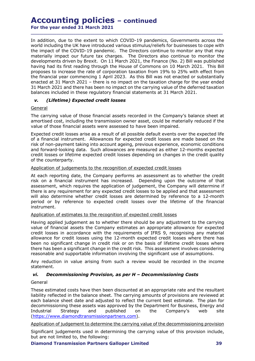For the year ended 31 March 2021 \_\_\_\_\_\_\_\_\_\_\_\_\_\_\_\_\_\_\_\_\_\_\_\_\_\_\_\_\_\_\_\_\_\_\_\_\_\_\_\_\_\_\_\_\_\_\_\_\_\_\_\_\_\_\_\_\_\_\_\_\_\_\_\_\_\_\_\_\_\_\_\_\_\_\_\_\_\_\_\_\_\_\_\_\_\_\_\_\_\_

In addition, due to the extent to which COVID-19 pandemics, Governments across the world including the UK have introduced various stimulus/reliefs for businesses to cope with the impact of the COVID-19 pandemic. The Directors continue to monitor any that may materially impact our future tax charges. The Directors also continue to monitor the developments driven by Brexit. On 11 March 2021, the Finance (No. 2) Bill was published having had its first reading through the House of Commons on 10 March 2021. This Bill proposes to increase the rate of corporation taxation from 19% to 25% with effect from the financial year commencing 1 April 2023. As this Bill was not enacted or substantially enacted at 31 March 2021 – there is no impact on the taxation charge for the year ended 31 March 2021 and there has been no impact on the carrying value of the deferred taxation **Accounting policies** – **continued**<br>For the year ended 31 March 2021<br>In addition, due to the extent to which COVID-19 pandemics, Governments across the<br>world including the UK have introduced various stimulus/reliefs for bu **Accounting policies – continued**<br>
or the year ended 31 March 2021<br>
addition, due to the extent to which COVID-19 pandemics, Governold including the UK have introduced various stimular, Feries for busine<br>
neimpact of the C In addition, due to the extent to which COVID-19 pandemics, Governments across the<br>world including the UK have introduced various stimulus/reliefs for businesses to cope with<br>the impact of the COVID-19 pandemic. The Direct

# **General**

The carrying value of those financial assets recorded in the Company's balance sheet at amortised cost, including the transmission owner asset, could be materially reduced if the value of those financial assets were assessed to have been impaired.

Expected credit losses arise as a result of all possible default events over the expected life of a financial instrument. Allowances for expected credit losses are made based on the and forward-looking data. Such allowances are measured as either 12-months expected credit losses or lifetime expected credit losses depending on changes in the credit quality of the counterparty.

## Application of judgements to the recognition of expected credit losses

At each reporting date, the Company performs an assessment as to whether the credit risk on a financial instrument has increased. Depending upon the outcome of that assessment, which requires the application of judgement, the Company will determine if there is any requirement for any expected credit losses to be applied and that assessment will also determine whether credit losses are determined by reference to a 12-month period or by reference to expected credit losses over the lifetime of the financial instrument. If the Counterparty.<br>
Yie the confinity of the company performs an assessment as to whether the credit<br>
the ach reporting date, the Company performs an assessment as to whether the credit<br>
sisk on a financial instrument ha

# Application of estimates to the recognition of expected credit losses

Having applied judgement as to whether there should be any adjustment to the carrying value of financial assets the Company estimates an appropriate allowance for expected credit losses in accordance with the requirements of IFRS 9, recognising any material allowance for credit losses using the 12-month expected credit losses where there has been no significant change in credit risk or on the basis of lifetime credit losses where there has been a significant change in the credit risk. This assessment involves considering reasonable and supportable information involving the significant use of assumptions.

Any reduction in value arising from such a review would be recorded in the income statement.

## General

These estimated costs have then been discounted at an appropriate rate and the resultant liability reflected in the balance sheet. The carrying amounts of provisions are reviewed at each balance sheet date and adjusted to reflect the current best estimate. The plan for decommissioning these assets was approved by the Department for Business, Energy and<br>Industrial Strategy and published on the Company's web site Industrial Strategy and published on the Company's web site (https://www.diamondtransmissionpartners.com).

Application of judgement to determine the carrying value of the decommissioning provision

Significant judgements used in determining the carrying value of this provision include, but are not limited to, the following: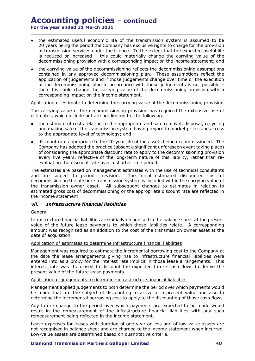For the year ended 31 March 2021

the estimated useful economic life of the transmission system is assumed to be 20 years being the period the Company has exclusive rights to charge for the provision of transmission services under the licence. To the extent that the expected useful life is reduced or increased – this could materially change the carrying value of the decommissioning provision with a corresponding impact on the income statement; and

\_\_\_\_\_\_\_\_\_\_\_\_\_\_\_\_\_\_\_\_\_\_\_\_\_\_\_\_\_\_\_\_\_\_\_\_\_\_\_\_\_\_\_\_\_\_\_\_\_\_\_\_\_\_\_\_\_\_\_\_\_\_\_\_\_\_\_\_\_\_\_\_\_\_\_\_\_\_\_\_\_\_\_\_\_\_\_\_\_\_

the carrying value of the decommissioning reflects the decommissioning assumptions contained in any approved decommissioning plan. These assumptions reflect the application of judgements and if those judgements change over time or the execution of the decommissioning plan in accordance with those judgements is not possible – then this could change the carrying value of the decommissioning provision with a corresponding impact on the income statement.

# Application of estimate to determine the carrying value of the decommissioning provision

The carrying value of the decommissioning provision has required the extensive use of estimates, which include but are not limited to, the following:

- the estimate of costs relating to the appropriate and safe removal, disposal, recycling and making safe of the transmission system having regard to market prices and access to the appropriate level of technology; and
- discount rate appropriate to the 20-year life of the assets being decommissioned. The Company has adopted the practice (absent a significant unforeseen event taking place) of considering the appropriate discount rate to apply to the decommissioning provision every five years, reflective of the long-term nature of this liability, rather than reevaluating the discount rate over a shorter time period.

The estimates are based on management estimates with the use of technical consultants and are subject to periodic revision. The initial estimated discounted cost of decommissioning the offshore transmission system is included within the carrying value of the transmission owner asset. All subsequent changes to estimates in relation to estimated gross cost of decommissioning or the appropriate discount rate are reflected in the income statement. the term units out changing the carrying value of the commissioning provision<br>corresponding impact on the income statement.<br>Application of estimate to determine the carrying value of the decommissioning provision<br>The carry

# General

Infrastructure financial liabilities are initially recognised in the balance sheet at the present value of the future lease payments to which these liabilities relate. A corresponding amount was recognised as an addition to the cost of the transmission owner asset at the date of acquisition.

# Application of estimates to determine infrastructure financial liabilities

Management was required to estimate the incremental borrowing cost to the Company at the date the lease arrangements giving rise to infrastructure financial liabilities were entered into as a proxy for the interest rate implicit in those lease arrangements. This interest rate was then used to discount the expected future cash flows to derive the present value of the future lease payments. Infrastructure financial liabilities are initially recognised in the balance sheet at the present value of the future lease payments to which these liabilities relate. A corresponding amount was recognised as an addition t

# Application of judgements to determine infrastructure financial liabilities

Management applied judgements to both determine the period over which payments would be made that are the subject of discounting to arrive at a present value and also to determine the incremental borrowing cost to apply to the discounting of those cash flows.

Any future change to the period over which payments are expected to be made would result in the remeasurement of the infrastructure financial liabilities with any such remeasurement being reflected in the income statement.

Lease expenses for leases with duration of one year or less and of low-value assets are Low-value assets are determined based on quantitative criteria.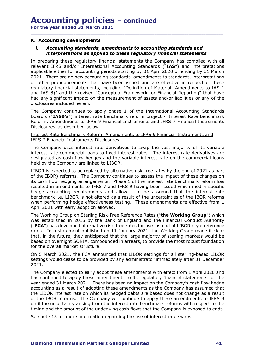# interpretations as applied to these regulatory financial statements

**CCOUNTING POLICIES - continued**<br>
In the year ended 31 March 2021<br>
Accounting developments<br>
i. Accounting standards, amendments to accounting standards and<br>
interpretations as applied to these regulatory financial statemen **Accounting policies** – continued<br>For the year ended 31 March 2021<br> **K.** Accounting developments<br> *i.* Accounting standards, amendments to accounting standards and<br>
interpretations as applied to these regulatory financial relevant IFRS and/or International Accounting Standards ("IAS") and interpretations **Accounting policies** – continued<br>For the year ended 31 March 2021<br>i.<br>**K. Accounting developments**<br>*i.* Accounting standards, amendments to accounting standards and<br>interpretations as applied to these regulatory financial 2021. There are no new accounting standards, amendments to standards, interpretations or other pronouncements that have been issued and are effective in respect of these regulatory financial statements, including "Definition of Material (Amendments to IAS 1 and IAS 8)" and the revised "Conceptual Framework for Financial Reporting" that have had any significant impact on the measurement of assets and/or liabilities or any of the disclosures included herein.

\_\_\_\_\_\_\_\_\_\_\_\_\_\_\_\_\_\_\_\_\_\_\_\_\_\_\_\_\_\_\_\_\_\_\_\_\_\_\_\_\_\_\_\_\_\_\_\_\_\_\_\_\_\_\_\_\_\_\_\_\_\_\_\_\_\_\_\_\_\_\_\_\_\_\_\_\_\_\_\_\_\_\_\_\_\_\_\_\_\_

The Company continues to apply phase 1 of the International Accounting Standards Board's ("IASB's") interest rate benchmark reform project - 'Interest Rate Benchmark Reform: Amendments to IFRS 9 Financial Instruments and IFRS 7 Financial Instruments Disclosures' as described below.

Interest Rate Benchmark Reform: Amendments to IFRS 9 Financial Instruments and IFRS 7 Financial Instruments Disclosures

The Company uses interest rate derivatives to swap the vast majority of its variable interest rate commercial loans to fixed interest rates. The interest rate derivatives are designated as cash flow hedges and the variable interest rate on the commercial loans held by the Company are linked to LIBOR.

LIBOR is expected to be replaced by alternative risk-free rates by the end of 2021 as part of the IBOR) reforms. The Company continues to assess the impact of these changes on its cash flow hedging arrangements. Phase 1 of the interest rate benchmark reform has resulted in amendments to IFRS 7 and IFRS 9 having been issued which modify specific hedge accounting requirements and allow it to be assumed that the interest rate benchmark i.e. LIBOR is not altered as a result of the uncertainties of the IBOR reforms when performing hedge effectiveness testing. These amendments are effective from 1 April 2021 with early adoption allowed. board is (**ASS** 5) millets. Track benchmark retorium project - interest kate benchming the Reform: Amendments to IFRS 9 Financial Instruments and IFRS 7 Financial Instruments Disclosures' as described below.<br>
<u>IFRS 7 Finan</u> neus of the BDON redunded to calonical statements of the mediator of the HBOR is expected to be replaced by alternative risk-free rates by the end of 2021 as part of the IBOR) reforms. The Company continues to assess the i

The Working Group on Sterling Risk-Free Reference Rates ("the Working Group") which was established in 2015 by the Bank of England and the Financial Conduct Authority ("FCA") has developed alternative risk-free rates for use instead of LIBOR-style reference that, in the future, they anticipated that the large majority of sterling markets would be based on overnight SONIA, compounded in arrears, to provide the most robust foundation for the overall market structure.

On 5 March 2021, the FCA announced that LIBOR settings for all sterling-based LIBOR settings would cease to be provided by any administrator immediately after 31 December 2021.

The Company elected to early adopt these amendments with effect from 1 April 2020 and year ended 31 March 2021. There has been no impact on the Company's cash flow hedge accounting as a result of adopting these amendments as the Company has assumed that the LIBOR interest rate on which its hedged debts are based does not change as a result resulted in amendments to IFRS 7 and IFRS 9 having been issued which modify specifical methoms to IFRS 9 having been is the UROR is not altered as a result of the uncertainties of the IBOR reforms when performing hedge eff until the uncertainty arising from the interest rate benchmark reforms with respect to the timing and the amount of the underlying cash flows that the Company is exposed to ends.

See note 13 for more information regarding the use of interest rate swaps.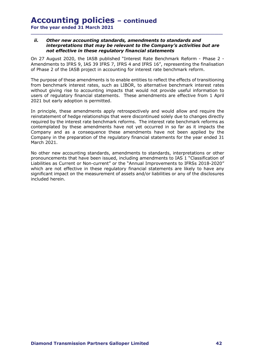# Accounting policies – continued For the year ended 31 March 2021

# **ACCOUNTING POLICIES** – continued<br>or the year ended 31 March 2021<br>ii. Other new accounting standards, amendments to standards and<br>interpretations that may be relevant to the Company's activities but are<br>not effective in th interpretations that may be relevant to the Company's activities but are not effective in these regulatory financial statements

\_\_\_\_\_\_\_\_\_\_\_\_\_\_\_\_\_\_\_\_\_\_\_\_\_\_\_\_\_\_\_\_\_\_\_\_\_\_\_\_\_\_\_\_\_\_\_\_\_\_\_\_\_\_\_\_\_\_\_\_\_\_\_\_\_\_\_\_\_\_\_\_\_\_\_\_\_\_\_\_\_\_\_\_\_\_\_\_\_\_

**Accounting policies** – continued<br>For the year ended 31 March 2021<br>ii. Other new accounting standards, amendments to standards and<br>interpretations that may be relevant to the Company's activities but are<br>not effective in t Amendments to IFRS 9, IAS 39 IFRS 7, IFRS 4 and IFRS 16", representing the finalisation of Phase 2 of the IASB project in accounting for interest rate benchmark reform.

The purpose of these amendments is to enable entities to reflect the effects of transitioning from benchmark interest rates, such as LIBOR, to alternative benchmark interest rates without giving rise to accounting impacts that would not provide useful information to users of regulatory financial statements. These amendments are effective from 1 April 2021 but early adoption is permitted.

In principle, these amendments apply retrospectively and would allow and require the reinstatement of hedge relationships that were discontinued solely due to changes directly required by the interest rate benchmark reforms. The interest rate benchmark reforms as contemplated by these amendments have not yet occurred in so far as it impacts the Company and as a consequence these amendments have not been applied by the For the year ended 31 March 2021<br>
ii. Other new accounting standards, amendments to standards and<br>
interpretations that may be relevant to the Company's activities but are<br>
not effective in these regulatory financial stat March 2021. On 27 August 2020, the IASB published "Interest Rate Benchmark Reform - Phase 2 -<br>Amendments to IFRS 9, JAS 39 IFRS 7, IFRS 4 and IFRS 16", representing the finalisation<br>of Phase 2 of the IASB project in accounting for int

No other new accounting standards, amendments to standards, interpretations or other pronouncements that have been issued, including amendments to IAS 1 "Classification of Liabilities as Current or Non-current" or the "Annual Improvements to IFRSs 2018-2020" significant impact on the measurement of assets and/or liabilities or any of the disclosures included herein.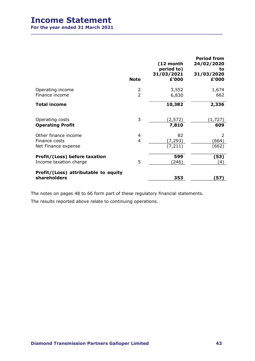# Income Statement

| For the year ended 31 March 2021                             |                     |                                                |                                                               |
|--------------------------------------------------------------|---------------------|------------------------------------------------|---------------------------------------------------------------|
|                                                              |                     |                                                |                                                               |
|                                                              | <b>Note</b>         | (12 month<br>period to)<br>31/03/2021<br>£'000 | <b>Period from</b><br>24/02/2020<br>to<br>31/03/2020<br>£'000 |
| Operating income<br>Finance income                           | $\frac{2}{2}$       | 3,552<br>6,830                                 | 1,674<br>662                                                  |
| <b>Total income</b>                                          |                     | 10,382                                         | 2,336                                                         |
| Operating costs<br><b>Operating Profit</b>                   | 3                   | (2, 572)<br>7,810                              | (1, 727)<br>609                                               |
| Other finance income<br>Finance costs<br>Net Finance expense | 4<br>$\overline{4}$ | 82<br>(7, 293)<br>(7, 211)                     | 2<br>(664)<br>(662)                                           |
| Profit/(Loss) before taxation<br>Income taxation charge      | 5                   | 599<br>(246)                                   | (53)<br>(4)                                                   |
| Profit/(Loss) attributable to equity<br>shareholders         |                     | 353                                            | (57)                                                          |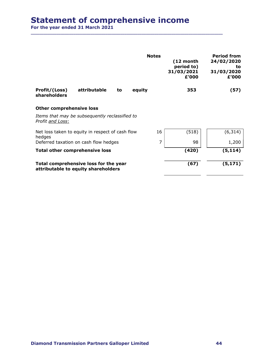# Statement of comprehensive income

For the year ended 31 March 2021 \_\_\_\_\_\_\_\_\_\_\_\_\_\_\_\_\_\_\_\_\_\_\_\_\_\_\_\_\_\_\_\_\_\_\_\_\_\_\_\_\_\_\_\_\_\_\_\_\_\_\_\_\_\_\_\_\_\_\_\_\_\_\_\_\_\_\_\_\_\_\_\_\_\_\_\_\_\_\_\_\_\_\_\_\_\_\_\_\_\_

| 01 the year ended 31 marth 2021 |                                                                              |    |        |                |                                                |                                                               |
|---------------------------------|------------------------------------------------------------------------------|----|--------|----------------|------------------------------------------------|---------------------------------------------------------------|
|                                 |                                                                              |    |        | <b>Notes</b>   | (12 month<br>period to)<br>31/03/2021<br>£'000 | <b>Period from</b><br>24/02/2020<br>to<br>31/03/2020<br>£'000 |
| Profit/(Loss)<br>shareholders   | attributable                                                                 | to | equity |                | 353                                            | (57)                                                          |
| <b>Other comprehensive loss</b> |                                                                              |    |        |                |                                                |                                                               |
| Profit and Loss:                | Items that may be subsequently reclassified to                               |    |        |                |                                                |                                                               |
| hedges                          | Net loss taken to equity in respect of cash flow                             |    |        | 16             | (518)                                          | (6, 314)                                                      |
|                                 | Deferred taxation on cash flow hedges                                        |    |        | $\overline{7}$ | 98                                             | 1,200                                                         |
|                                 | <b>Total other comprehensive loss</b>                                        |    |        |                | (420)                                          | (5, 114)                                                      |
|                                 | Total comprehensive loss for the year<br>attributable to equity shareholders |    |        |                | (67)                                           | (5, 171)                                                      |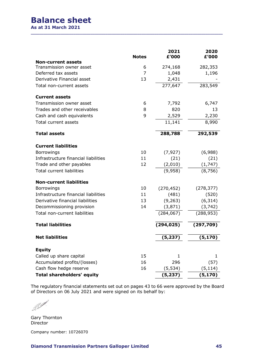# Balance sheet

| <b>Balance sheet</b><br><b>As at 31 March 2021</b>      |              |                 |                      |
|---------------------------------------------------------|--------------|-----------------|----------------------|
|                                                         |              |                 |                      |
|                                                         |              |                 |                      |
|                                                         |              |                 |                      |
|                                                         |              |                 |                      |
|                                                         |              |                 |                      |
|                                                         |              |                 |                      |
|                                                         |              |                 |                      |
|                                                         |              |                 |                      |
|                                                         |              | 2021            | 2020                 |
|                                                         | <b>Notes</b> | £'000           | £'000                |
| <b>Non-current assets</b><br>Transmission owner asset   | 6            | 274,168         | 282,353              |
| Deferred tax assets                                     | 7            | 1,048           | 1,196                |
| Derivative Financial asset                              | 13           | 2,431           |                      |
| Total non-current assets                                |              | 277,647         | 283,549              |
|                                                         |              |                 |                      |
| <b>Current assets</b>                                   |              |                 |                      |
| Transmission owner asset                                | 6            | 7,792           | 6,747                |
| Trades and other receivables                            | 8            | 820             | 13                   |
| Cash and cash equivalents                               | 9            | 2,529           | 2,230                |
| Total current assets                                    |              | 11,141          | 8,990                |
| <b>Total assets</b>                                     |              | 288,788         | 292,539              |
| <b>Current liabilities</b>                              |              |                 |                      |
| <b>Borrowings</b>                                       | 10           | (7, 927)        | (6,988)              |
| Infrastructure financial liabilities                    | 11           | (21)            | (21)                 |
| Trade and other payables                                | 12           | (2,010)         | (1,747)              |
| Total current liabilities                               |              | (9,958)         | (8, 756)             |
| <b>Non-current liabilities</b>                          |              |                 |                      |
| <b>Borrowings</b>                                       | 10           | (270, 452)      | (278, 377)           |
| Infrastructure financial liabilities                    | 11           | (481)           | (520)                |
| Derivative financial liabilities                        | 13           | (9, 263)        | (6, 314)             |
| Decommissioning provision                               | 14           | (3, 871)        | (3, 742)             |
| Total non-current liabilities                           |              | (284, 067)      | (288, 953)           |
| <b>Total liabilities</b>                                |              | (294, 025)      | (297, 709)           |
| <b>Net liabilities</b>                                  |              | (5, 237)        | (5, 170)             |
|                                                         |              |                 |                      |
| <b>Equity</b>                                           |              |                 |                      |
| Called up share capital                                 | 15           | $\mathbf{1}$    | $\mathbf{1}$         |
| Accumulated profits/(losses)<br>Cash flow hedge reserve | 16<br>16     | 296<br>(5, 534) | (57)                 |
| <b>Total shareholders' equity</b>                       |              | (5, 237)        | (5, 114)<br>(5, 170) |
|                                                         |              |                 |                      |

Gary Thornton **Director** 

Company number: 10726070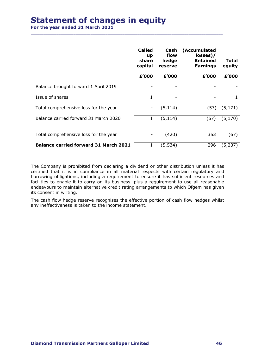# **Statement of changes in equity**<br>For the year ended 31 March 2021

| <b>Statement of changes in equity</b> |                                         |                                  |                                                                |                          |
|---------------------------------------|-----------------------------------------|----------------------------------|----------------------------------------------------------------|--------------------------|
|                                       |                                         |                                  |                                                                |                          |
|                                       |                                         |                                  |                                                                |                          |
|                                       |                                         |                                  |                                                                |                          |
|                                       |                                         |                                  |                                                                |                          |
|                                       |                                         |                                  |                                                                |                          |
|                                       |                                         |                                  |                                                                |                          |
|                                       |                                         |                                  |                                                                |                          |
| For the year ended 31 March 2021      |                                         |                                  |                                                                |                          |
|                                       |                                         |                                  |                                                                |                          |
|                                       | <b>Called</b><br>up<br>share<br>capital | Cash<br>flow<br>hedge<br>reserve | (Accumulated<br>losses)/<br><b>Retained</b><br><b>Earnings</b> | <b>Total</b><br>equity   |
|                                       | £'000                                   | £'000                            | £'000                                                          | £'000                    |
| Balance brought forward 1 April 2019  | $\overline{\phantom{a}}$                | $\overline{\phantom{a}}$         |                                                                | $\overline{\phantom{a}}$ |
|                                       |                                         |                                  |                                                                | $\mathbf{1}$             |
| Issue of shares                       | $\mathbf{1}$                            |                                  |                                                                |                          |
| Total comprehensive loss for the year | $\overline{\phantom{a}}$                | (5, 114)                         |                                                                | $(57)$ $(5,171)$         |
| Balance carried forward 31 March 2020 |                                         | (5, 114)                         | (57)                                                           | (5, 170)                 |
| Total comprehensive loss for the year |                                         | (420)                            | 353                                                            | (67)                     |

The Company is prohibited from declaring a dividend or other distribution unless it has certified that it is in compliance in all material respects with certain regulatory and borrowing obligations, including a requirement to ensure it has sufficient resources and facilities to enable it to carry on its business, plus a requirement to use all reasonable endeavours to maintain alternative credit rating arrangements to which Ofgem has given its consent in writing.

The cash flow hedge reserve recognises the effective portion of cash flow hedges whilst any ineffectiveness is taken to the income statement.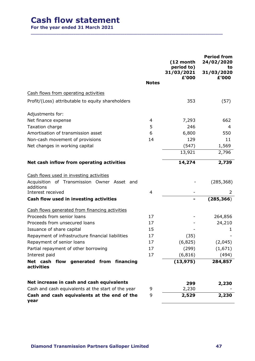# Cash flow statement

|                                                      | <b>Notes</b> | (12 month<br>period to)<br>31/03/2021<br>£'000 | <b>Period from</b><br>24/02/2020<br>to<br>31/03/2020<br>£'000 |
|------------------------------------------------------|--------------|------------------------------------------------|---------------------------------------------------------------|
| Cash flows from operating activities                 |              |                                                |                                                               |
| Profit/(Loss) attributable to equity shareholders    |              | 353                                            | (57)                                                          |
|                                                      |              |                                                |                                                               |
| Adjustments for:                                     |              |                                                |                                                               |
| Net finance expense                                  | 4            | 7,293                                          | 662                                                           |
| Taxation charge                                      | 5            | 246                                            | 4                                                             |
| Amortisation of transmission asset                   | 6            | 6,800                                          | 550                                                           |
| Non-cash movement of provisions                      | 14           | 129                                            | 11                                                            |
| Net changes in working capital                       |              | (547)                                          | 1,569                                                         |
|                                                      |              | 13,921                                         | 2,796                                                         |
| Net cash inflow from operating activities            |              | 14,274                                         | 2,739                                                         |
| Cash flows used in investing activities              |              |                                                |                                                               |
| Acquisition of Transmission Owner Asset and          |              |                                                | (285, 368)                                                    |
| additions                                            |              |                                                |                                                               |
| Interest received                                    | 4            |                                                | $\overline{2}$                                                |
| Cash flow used in investing activities               |              | $\blacksquare$                                 | (285, 366)                                                    |
| Cash flows generated from financing activities       |              |                                                |                                                               |
| Proceeds from senior loans                           | 17           |                                                | 264,856                                                       |
| Proceeds from unsecured loans                        | 17           |                                                | 24,210                                                        |
| Issuance of share capital                            | 15           |                                                | 1                                                             |
| Repayment of infrastructure financial liabilities    | 17           | (35)                                           |                                                               |
| Repayment of senior loans                            | 17           | (6, 825)                                       | (2,045)                                                       |
| Partial repayment of other borrowing                 | 17           | (299)                                          | (1,671)                                                       |
| Interest paid                                        | 17           | (6, 816)                                       | (494)                                                         |
| Net cash flow generated from financing<br>activities |              | (13, 975)                                      | 284,857                                                       |
| Net increase in cash and cash equivalents            |              | 299                                            | 2,230                                                         |
| Cash and cash equivalents at the start of the year   | 9            | 2,230                                          |                                                               |
| Cash and cash equivalents at the end of the<br>year  | 9            | 2,529                                          | 2,230                                                         |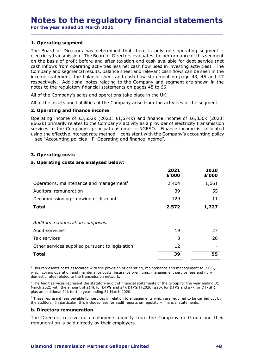\_\_\_\_\_\_\_\_\_\_\_\_\_\_\_\_\_\_\_\_\_\_\_\_\_\_\_\_\_\_\_\_\_\_\_\_\_\_\_\_\_\_\_\_\_\_\_\_\_\_\_\_\_\_\_\_\_\_\_\_\_\_\_\_\_\_\_\_\_\_\_\_\_\_\_\_\_\_\_\_\_\_\_\_\_\_\_\_\_\_

For the year ended 31 March 2021

# 1. Operating segment

The Board of Directors has determined that there is only one operating segment – electricity transmission. The Board of Directors evaluates the performance of this segment on the basis of profit before and after taxation and cash available for debt service (net cash inflows from operating activities less net cash flow used in investing activities). The Company and segmental results, balance sheet and relevant cash flows can be seen in the **Notes to the regulatory financial statements**<br>For the year ended 31 March 2021<br>The Board of Directors has determined that there is only one operating segment electricity transmission. The Board of Directors evaluates the respectively. Additional notes relating to the Company and segment are shown in the **Notes to the regulatory financial statements**<br>For the year ended 31 March 2021<br>1. Operating segment<br>The Board of Directors has determined that there is only one operating segment –<br>electricity transmission. The Board of D **NOTES TO THE FEGUIZIOFY TIMANCIAI STATEMPENTS**<br>For the year ended 31 March 2021<br>1. **Operating segment**<br>The Board of Directors has determined that there is only one operating segment e-<br>electricity transmission. The Board For the year ended 31 March 2021<br>
1. Operating segment<br>
1. Operating segment<br>
The Board of Directors has determined that there is only one operating segme<br>
electricity transmission. The Board of Directors evaluates the per

# 2. Operating and finance income

# 3. Operating costs

## a. Operating costs are analysed below:

| notes to the regulatory financial statements on pages 48 to 66.                                                                                                                                                                                                                                                                                                                                                                                                                                                                                                                                                                                                                                                                                                                                                                                                                                                                                                         |               |               |
|-------------------------------------------------------------------------------------------------------------------------------------------------------------------------------------------------------------------------------------------------------------------------------------------------------------------------------------------------------------------------------------------------------------------------------------------------------------------------------------------------------------------------------------------------------------------------------------------------------------------------------------------------------------------------------------------------------------------------------------------------------------------------------------------------------------------------------------------------------------------------------------------------------------------------------------------------------------------------|---------------|---------------|
| All of the Company's sales and operations take place in the UK.                                                                                                                                                                                                                                                                                                                                                                                                                                                                                                                                                                                                                                                                                                                                                                                                                                                                                                         |               |               |
| All of the assets and liabilities of the Company arise from the activities of the segment.                                                                                                                                                                                                                                                                                                                                                                                                                                                                                                                                                                                                                                                                                                                                                                                                                                                                              |               |               |
| 2. Operating and finance income                                                                                                                                                                                                                                                                                                                                                                                                                                                                                                                                                                                                                                                                                                                                                                                                                                                                                                                                         |               |               |
| Operating income of £3,552k (2020: £1,674k) and finance income of £6,830k (2020:<br>£662k) primarily relates to the Company's activity as a provider of electricity transmission<br>services to the Company's principal customer - NGESO. Finance income is calculated<br>using the effective interest rate method - consistent with the Company's accounting policy<br>- see "Accounting policies - F. Operating and finance income".                                                                                                                                                                                                                                                                                                                                                                                                                                                                                                                                  |               |               |
| 3. Operating costs                                                                                                                                                                                                                                                                                                                                                                                                                                                                                                                                                                                                                                                                                                                                                                                                                                                                                                                                                      |               |               |
| a. Operating costs are analysed below:                                                                                                                                                                                                                                                                                                                                                                                                                                                                                                                                                                                                                                                                                                                                                                                                                                                                                                                                  |               |               |
|                                                                                                                                                                                                                                                                                                                                                                                                                                                                                                                                                                                                                                                                                                                                                                                                                                                                                                                                                                         | 2021<br>£'000 | 2020<br>£'000 |
| Operations, maintenance and management <sup>1</sup>                                                                                                                                                                                                                                                                                                                                                                                                                                                                                                                                                                                                                                                                                                                                                                                                                                                                                                                     | 2,404         | 1,661         |
| Auditors' remuneration                                                                                                                                                                                                                                                                                                                                                                                                                                                                                                                                                                                                                                                                                                                                                                                                                                                                                                                                                  | 39            | 55            |
| Decommissioning - unwind of discount                                                                                                                                                                                                                                                                                                                                                                                                                                                                                                                                                                                                                                                                                                                                                                                                                                                                                                                                    | 129           | 11            |
| <b>Total</b>                                                                                                                                                                                                                                                                                                                                                                                                                                                                                                                                                                                                                                                                                                                                                                                                                                                                                                                                                            | 2,572         | 1,727         |
| Auditors' remuneration comprises:                                                                                                                                                                                                                                                                                                                                                                                                                                                                                                                                                                                                                                                                                                                                                                                                                                                                                                                                       |               |               |
| Audit services <sup>2</sup>                                                                                                                                                                                                                                                                                                                                                                                                                                                                                                                                                                                                                                                                                                                                                                                                                                                                                                                                             | 19            | 27            |
| Tax services                                                                                                                                                                                                                                                                                                                                                                                                                                                                                                                                                                                                                                                                                                                                                                                                                                                                                                                                                            | 8             | 28            |
| Other services supplied pursuant to legislation <sup>3</sup>                                                                                                                                                                                                                                                                                                                                                                                                                                                                                                                                                                                                                                                                                                                                                                                                                                                                                                            | 12            |               |
| <b>Total</b>                                                                                                                                                                                                                                                                                                                                                                                                                                                                                                                                                                                                                                                                                                                                                                                                                                                                                                                                                            | 39            | 55            |
| $1$ This represents costs associated with the provision of operating, maintenance and management to DTPG,<br>which covers operation and maintenance costs, insurance premiums, management service fees and non-<br>domestic rates related to the transmission network.<br>$2$ The Audit services represent the statutory audit of financial statements of the Group for the year ending 31<br>March 2021 with the amount of £14k for DTPG and £4k DTPGH (2020: £20k for DTPG and £7k for DTPGH),<br>plus an additional £1k for the year ending 31 March 2020.<br>$3$ These represent fees payable for services in relation to engagements which are required to be carried out by<br>the auditors. In particular, this includes fees for audit reports on regulatory financial statements.<br><b>b. Directors remuneration</b><br>The Directors receive no emoluments directly from the Company or Group and their<br>remuneration is paid directly by their employers. |               |               |
|                                                                                                                                                                                                                                                                                                                                                                                                                                                                                                                                                                                                                                                                                                                                                                                                                                                                                                                                                                         |               |               |

## b. Directors remuneration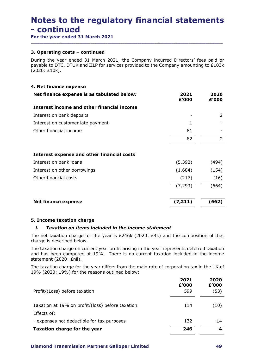# Notes to the regulatory financial statements Notes to the regulatory financial s<br>
- continued<br>
For the year ended 31 March 2021<br>
3. Operating costs – continued

# 3. Operating costs – continued

# 4. Net finance expense

| 3. Operating costs - continued                                                                                                                                                              |               |                |
|---------------------------------------------------------------------------------------------------------------------------------------------------------------------------------------------|---------------|----------------|
| During the year ended 31 March 2021, the Company incurred Directors' fees paid or<br>payable to DTC, DTUK and IILP for services provided to the Company amounting to £103k<br>(2020: £10k). |               |                |
| 4. Net finance expense                                                                                                                                                                      |               |                |
| Net finance expense is as tabulated below:                                                                                                                                                  | 2021<br>£'000 | 2020<br>£'000  |
| Interest income and other financial income                                                                                                                                                  |               |                |
| Interest on bank deposits                                                                                                                                                                   |               | 2              |
| Interest on customer late payment                                                                                                                                                           | 1             |                |
| Other financial income                                                                                                                                                                      | 81            |                |
|                                                                                                                                                                                             | 82            | $\overline{2}$ |
| Interest expense and other financial costs                                                                                                                                                  |               |                |
| Interest on bank loans                                                                                                                                                                      | (5, 392)      | (494)          |
| Interest on other borrowings                                                                                                                                                                | (1,684)       | (154)          |
| Other financial costs                                                                                                                                                                       | (217)         | (16)           |
|                                                                                                                                                                                             | (7, 293)      | (664)          |
|                                                                                                                                                                                             |               |                |

# 5. Income taxation charge

| Other financial costs                                                                                                                                                                                       | (21/)         | (16)                    |
|-------------------------------------------------------------------------------------------------------------------------------------------------------------------------------------------------------------|---------------|-------------------------|
|                                                                                                                                                                                                             | (7, 293)      | (664)                   |
| <b>Net finance expense</b>                                                                                                                                                                                  | (7, 211)      | (662)                   |
| 5. Income taxation charge                                                                                                                                                                                   |               |                         |
| Taxation on items included in the income statement<br>i.                                                                                                                                                    |               |                         |
| The net taxation charge for the year is £246k (2020: £4k) and the composition of that<br>charge is described below.                                                                                         |               |                         |
| The taxation charge on current year profit arising in the year represents deferred taxation<br>and has been computed at 19%. There is no current taxation included in the income<br>statement (2020: £nil). |               |                         |
| The taxation charge for the year differs from the main rate of corporation tax in the UK of<br>19% (2020: 19%) for the reasons outlined below:                                                              |               |                         |
|                                                                                                                                                                                                             | 2021<br>£'000 | 2020<br>£'000           |
| Profit/(Loss) before taxation                                                                                                                                                                               | 599           | (53)                    |
| Taxation at 19% on profit/(loss) before taxation                                                                                                                                                            | 114           | (10)                    |
| Effects of:                                                                                                                                                                                                 |               |                         |
| - expenses not deductible for tax purposes                                                                                                                                                                  | 132           | 14                      |
| <b>Taxation charge for the year</b>                                                                                                                                                                         | 246           | $\overline{\mathbf{4}}$ |
|                                                                                                                                                                                                             |               |                         |
| Diamond Tranemission Dartners Galloner Limited                                                                                                                                                              |               | 40                      |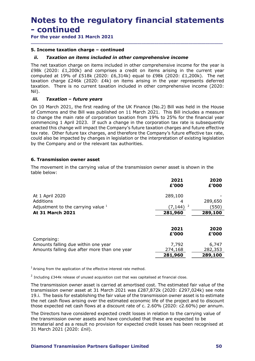# Notes to the regulatory financial statements Notes to the regulatory financial s<br>
- continued<br>
For the year ended 31 March 2021<br>
5. Income taxation charge – continued

\_\_\_\_\_\_\_\_\_\_\_\_\_\_\_\_\_\_\_\_\_\_\_\_\_\_\_\_\_\_\_\_\_\_\_\_\_\_\_\_\_\_\_\_\_\_\_\_\_\_\_\_\_\_\_\_\_\_\_\_\_\_\_\_\_\_\_\_\_\_\_\_\_\_\_\_\_\_\_\_\_\_\_\_\_\_\_\_\_\_

For the year ended 31 March 2021

# 5. Income taxation charge – continued

**Notes to the regulatory financial statements<br>
Continued**<br>
or the year ended 31 March 2021<br> **Income taxation charge – continued**<br>
ii. Taxation on items included in other comprehensive income<br>
the net taxation charge on it The net taxation charge on items included in other comprehensive income for the year is £98k (2020: £1,200k) and comprises a credit on items arising in the current year computed at 19% of £518k (2020: £6,314k) equal to £98k (2020: £1,200k). The net taxation charge £246k (2020: £4k) on items arising in the year represents deferred taxation. There is no current taxation included in other comprehensive income (2020: Nil). **Notes to the regulatory financial standary**<br>
For the year ended 31 March 2021<br> **S. Income taxation charge – continued**<br> **ii.** Taxation on items included in other comprehensive incom-<br>
The net taxation charge on items inc

On 10 March 2021, the first reading of the UK Finance (No.2) Bill was held in the House of Commons and the Bill was published on 11 March 2021. This Bill includes a measure to change the main rate of corporation taxation from 19% to 25% for the financial year commencing 1 April 2023. If such a change in the corporation tax rate is subsequently enacted this change will impact the Company's future taxation charges and future effective tax rate. Other future tax charges, and therefore the Company's future effective tax rate, could also be impacted by changes in legislation or the interpretation of existing legislation by the Company and or the relevant tax authorities. Example the current year<br>
old 201: E1,200k). The net<br>
year represents deferred<br>
year represents deferred<br>
is Bill includes a measure<br>
5% for the financial year<br>
tax rate is subsequently<br>
arges and future effective<br>
is fut

# 6. Transmission owner asset

| Taxation - future years<br>On 10 March 2021, the first reading of the UK Finance (No.2) Bill was held in the House<br>of Commons and the Bill was published on 11 March 2021. This Bill includes a measure<br>to change the main rate of corporation taxation from 19% to 25% for the financial year<br>commencing 1 April 2023. If such a change in the corporation tax rate is subsequently<br>enacted this change will impact the Company's future taxation charges and future effective<br>tax rate. Other future tax charges, and therefore the Company's future effective tax rate,<br>could also be impacted by changes in legislation or the interpretation of existing legislation<br>The movement in the carrying value of the transmission owner asset is shown in the<br>table below:<br>2021<br>2020<br>£'000<br>£'000<br>At 1 April 2020<br>289,100<br>Additions<br>289,650<br>4<br>(550)<br>Adjustment to the carrying value $1$<br>$(7, 144)^{-2}$<br>At 31 March 2021<br>281,960<br>289,100<br>2021<br>2020<br>£'000<br>£'000<br>Comprising:<br>Amounts falling due within one year<br>7,792<br>6,747<br>Amounts falling due after more than one year<br>274,168<br>282,353<br>281,960<br>289,100<br>$^2$ Including £344k release of unused acquisition cost that was capitalised at financial close.<br>The transmission owner asset is carried at amortised cost. The estimated fair value of the<br>transmission owner asset at 31 March 2021 was £287,872k (2020: £297,024k) see note<br>19.i. The basis for establishing the fair value of the transmission owner asset is to estimate<br>the net cash flows arising over the estimated economic life of the project and to discount<br>those expected net cash flows at a discount rate of c. 2.60% (2020: c2.60%) per annum.<br>The Directors have considered expected credit losses in relation to the carrying value of<br>the transmission owner assets and have concluded that these are expected to be<br>immaterial and as a result no provision for expected credit losses has been recognised at | taxation charge LZTON (2020. LTN) on items ansing in the year represents deferred<br>taxation. There is no current taxation included in other comprehensive income (2020:<br>Nil). |  |
|----------------------------------------------------------------------------------------------------------------------------------------------------------------------------------------------------------------------------------------------------------------------------------------------------------------------------------------------------------------------------------------------------------------------------------------------------------------------------------------------------------------------------------------------------------------------------------------------------------------------------------------------------------------------------------------------------------------------------------------------------------------------------------------------------------------------------------------------------------------------------------------------------------------------------------------------------------------------------------------------------------------------------------------------------------------------------------------------------------------------------------------------------------------------------------------------------------------------------------------------------------------------------------------------------------------------------------------------------------------------------------------------------------------------------------------------------------------------------------------------------------------------------------------------------------------------------------------------------------------------------------------------------------------------------------------------------------------------------------------------------------------------------------------------------------------------------------------------------------------------------------------------------------------------------------------------------------------------------------------------------------------------------------------------------------------------------------|------------------------------------------------------------------------------------------------------------------------------------------------------------------------------------|--|
|                                                                                                                                                                                                                                                                                                                                                                                                                                                                                                                                                                                                                                                                                                                                                                                                                                                                                                                                                                                                                                                                                                                                                                                                                                                                                                                                                                                                                                                                                                                                                                                                                                                                                                                                                                                                                                                                                                                                                                                                                                                                                  | iii.                                                                                                                                                                               |  |
|                                                                                                                                                                                                                                                                                                                                                                                                                                                                                                                                                                                                                                                                                                                                                                                                                                                                                                                                                                                                                                                                                                                                                                                                                                                                                                                                                                                                                                                                                                                                                                                                                                                                                                                                                                                                                                                                                                                                                                                                                                                                                  | by the Company and or the relevant tax authorities.                                                                                                                                |  |
|                                                                                                                                                                                                                                                                                                                                                                                                                                                                                                                                                                                                                                                                                                                                                                                                                                                                                                                                                                                                                                                                                                                                                                                                                                                                                                                                                                                                                                                                                                                                                                                                                                                                                                                                                                                                                                                                                                                                                                                                                                                                                  | 6. Transmission owner asset                                                                                                                                                        |  |
|                                                                                                                                                                                                                                                                                                                                                                                                                                                                                                                                                                                                                                                                                                                                                                                                                                                                                                                                                                                                                                                                                                                                                                                                                                                                                                                                                                                                                                                                                                                                                                                                                                                                                                                                                                                                                                                                                                                                                                                                                                                                                  |                                                                                                                                                                                    |  |
|                                                                                                                                                                                                                                                                                                                                                                                                                                                                                                                                                                                                                                                                                                                                                                                                                                                                                                                                                                                                                                                                                                                                                                                                                                                                                                                                                                                                                                                                                                                                                                                                                                                                                                                                                                                                                                                                                                                                                                                                                                                                                  |                                                                                                                                                                                    |  |
|                                                                                                                                                                                                                                                                                                                                                                                                                                                                                                                                                                                                                                                                                                                                                                                                                                                                                                                                                                                                                                                                                                                                                                                                                                                                                                                                                                                                                                                                                                                                                                                                                                                                                                                                                                                                                                                                                                                                                                                                                                                                                  |                                                                                                                                                                                    |  |
|                                                                                                                                                                                                                                                                                                                                                                                                                                                                                                                                                                                                                                                                                                                                                                                                                                                                                                                                                                                                                                                                                                                                                                                                                                                                                                                                                                                                                                                                                                                                                                                                                                                                                                                                                                                                                                                                                                                                                                                                                                                                                  |                                                                                                                                                                                    |  |
|                                                                                                                                                                                                                                                                                                                                                                                                                                                                                                                                                                                                                                                                                                                                                                                                                                                                                                                                                                                                                                                                                                                                                                                                                                                                                                                                                                                                                                                                                                                                                                                                                                                                                                                                                                                                                                                                                                                                                                                                                                                                                  | $1$ Arising from the application of the effective interest rate method.                                                                                                            |  |
|                                                                                                                                                                                                                                                                                                                                                                                                                                                                                                                                                                                                                                                                                                                                                                                                                                                                                                                                                                                                                                                                                                                                                                                                                                                                                                                                                                                                                                                                                                                                                                                                                                                                                                                                                                                                                                                                                                                                                                                                                                                                                  |                                                                                                                                                                                    |  |
|                                                                                                                                                                                                                                                                                                                                                                                                                                                                                                                                                                                                                                                                                                                                                                                                                                                                                                                                                                                                                                                                                                                                                                                                                                                                                                                                                                                                                                                                                                                                                                                                                                                                                                                                                                                                                                                                                                                                                                                                                                                                                  | 31 March 2021 (2020: £nil).                                                                                                                                                        |  |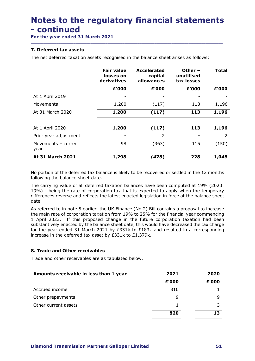# Notes to the regulatory financial statements Notes to the regulatory financial s<br>
- continued<br>
For the year ended 31 March 2021<br>
7. Deferred tax assets

# 7. Deferred tax assets

As referred to in note 5 earlier, the UK Finance (No.2) Bill contains a proposal to increase the main rate of corporation taxation from 19% to 25% for the financial year commencing 1 April 2023. If this proposed change in the future corporation taxation had been for the year ended 31 March 2021 by £331k to £183k and resulted in a corresponding increase in the deferred tax asset by £331k to £1,379k. Io portion of the deferred tax balance is likely to be recovered or settled in the 12 months<br>
blowing the balance sheet date.<br>
the carrying value of all deferred taxation balances have been computed at 19% (2020:<br>
9%) -

# 8. Trade and Other receivables

| The carrying value of all deferred taxation balances have been computed at 19% (2020:<br>19%) - being the rate of corporation tax that is expected to apply when the temporary<br>differences reverse and reflects the latest enacted legislation in force at the balance sheet<br>date.                                                                                                                                                                                                                                      |       |       |  |
|-------------------------------------------------------------------------------------------------------------------------------------------------------------------------------------------------------------------------------------------------------------------------------------------------------------------------------------------------------------------------------------------------------------------------------------------------------------------------------------------------------------------------------|-------|-------|--|
| As referred to in note 5 earlier, the UK Finance (No.2) Bill contains a proposal to increase<br>the main rate of corporation taxation from 19% to 25% for the financial year commencing<br>1 April 2023. If this proposed change in the future corporation taxation had been<br>substantively enacted by the balance sheet date, this would have decreased the tax charge<br>for the year ended 31 March 2021 by $E331k$ to $E183k$ and resulted in a corresponding<br>ncrease in the deferred tax asset by £331k to £1,379k. |       |       |  |
| <b>8. Trade and Other receivables</b>                                                                                                                                                                                                                                                                                                                                                                                                                                                                                         |       |       |  |
| Trade and other receivables are as tabulated below.                                                                                                                                                                                                                                                                                                                                                                                                                                                                           |       |       |  |
| Amounts receivable in less than 1 year                                                                                                                                                                                                                                                                                                                                                                                                                                                                                        | 2021  | 2020  |  |
|                                                                                                                                                                                                                                                                                                                                                                                                                                                                                                                               | £'000 | £'000 |  |
| Accrued income                                                                                                                                                                                                                                                                                                                                                                                                                                                                                                                | 810   |       |  |
| Other prepayments                                                                                                                                                                                                                                                                                                                                                                                                                                                                                                             | 9     | 9     |  |
| Other current assets                                                                                                                                                                                                                                                                                                                                                                                                                                                                                                          |       | 3     |  |
|                                                                                                                                                                                                                                                                                                                                                                                                                                                                                                                               |       | 13    |  |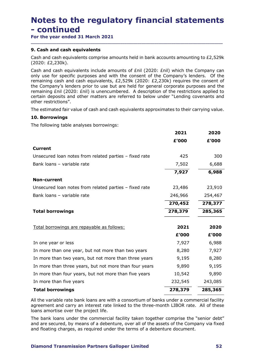# Notes to the regulatory financial statements Notes to the regulatory financial s<br>
- continued<br>
For the year ended 31 March 2021<br>
9. Cash and cash equivalents

\_\_\_\_\_\_\_\_\_\_\_\_\_\_\_\_\_\_\_\_\_\_\_\_\_\_\_\_\_\_\_\_\_\_\_\_\_\_\_\_\_\_\_\_\_\_\_\_\_\_\_\_\_\_\_\_\_\_\_\_\_\_\_\_\_\_\_\_\_\_\_\_\_\_\_\_\_\_\_\_\_\_\_\_\_\_\_\_\_\_

For the year ended 31 March 2021

# 9. Cash and cash equivalents

Cash and cash equivalents include amounts of £nil (2020: £nil) which the Company can only use for specific purposes and with the consent of the Company's lenders. Of the remaining cash and cash equivalents, £2,529k (2020: £2,230k) requires the consent of the Company's lenders prior to use but are held for general corporate purposes and the remaining £nil (2020: £nil) is unencumbered. A description of the restrictions applied to certain deposits and other matters are referred to below under "Lending covenants and other restrictions". **Notes to the regulatory financial s**<br> **- continued**<br> **For the year ended 31 March 2021**<br> **9. Cash and cash equivalents**<br> **2.020:** E2,230k).<br>
Cash and cash equivalents comprise amounts held in bank accounts at<br>
(2020: E2,2

| 9. Cash and cash equivalents                                                                                                                                                                                                                                                                                                                                                                                                                                                                                                                                                          |         |         |
|---------------------------------------------------------------------------------------------------------------------------------------------------------------------------------------------------------------------------------------------------------------------------------------------------------------------------------------------------------------------------------------------------------------------------------------------------------------------------------------------------------------------------------------------------------------------------------------|---------|---------|
| Cash and cash equivalents comprise amounts held in bank accounts amounting to $E2,529k$<br>2020: £2,230k).                                                                                                                                                                                                                                                                                                                                                                                                                                                                            |         |         |
| Cash and cash equivalents include amounts of $Enil$ (2020: $Enil$ ) which the Company can<br>only use for specific purposes and with the consent of the Company's lenders. Of the<br>emaining cash and cash equivalents, $E2,529k$ (2020: $E2,230k$ ) requires the consent of<br>the Company's lenders prior to use but are held for general corporate purposes and the<br>remaining Enil (2020: Enil) is unencumbered. A description of the restrictions applied to<br>certain deposits and other matters are referred to below under "Lending covenants and<br>other restrictions". |         |         |
| The estimated fair value of cash and cash equivalents approximates to their carrying value.                                                                                                                                                                                                                                                                                                                                                                                                                                                                                           |         |         |
| 10. Borrowings                                                                                                                                                                                                                                                                                                                                                                                                                                                                                                                                                                        |         |         |
| The following table analyses borrowings:                                                                                                                                                                                                                                                                                                                                                                                                                                                                                                                                              |         |         |
|                                                                                                                                                                                                                                                                                                                                                                                                                                                                                                                                                                                       | 2021    | 2020    |
|                                                                                                                                                                                                                                                                                                                                                                                                                                                                                                                                                                                       | £'000   | £'000   |
| <b>Current</b>                                                                                                                                                                                                                                                                                                                                                                                                                                                                                                                                                                        |         |         |
| Unsecured loan notes from related parties - fixed rate                                                                                                                                                                                                                                                                                                                                                                                                                                                                                                                                | 425     | 300     |
| Bank loans - variable rate                                                                                                                                                                                                                                                                                                                                                                                                                                                                                                                                                            | 7,502   | 6,688   |
|                                                                                                                                                                                                                                                                                                                                                                                                                                                                                                                                                                                       | 7,927   | 6,988   |
| <b>Non-current</b>                                                                                                                                                                                                                                                                                                                                                                                                                                                                                                                                                                    |         |         |
| Unsecured loan notes from related parties - fixed rate                                                                                                                                                                                                                                                                                                                                                                                                                                                                                                                                | 23,486  | 23,910  |
| Bank loans - variable rate                                                                                                                                                                                                                                                                                                                                                                                                                                                                                                                                                            | 246,966 | 254,467 |
|                                                                                                                                                                                                                                                                                                                                                                                                                                                                                                                                                                                       | 270,452 | 278,377 |
| <b>Total borrowings</b>                                                                                                                                                                                                                                                                                                                                                                                                                                                                                                                                                               | 278,379 | 285,365 |
| Total borrowings are repayable as follows:                                                                                                                                                                                                                                                                                                                                                                                                                                                                                                                                            | 2021    | 2020    |
|                                                                                                                                                                                                                                                                                                                                                                                                                                                                                                                                                                                       | £'000   | £'000   |
| In one year or less                                                                                                                                                                                                                                                                                                                                                                                                                                                                                                                                                                   | 7,927   | 6,988   |
| In more than one year, but not more than two years                                                                                                                                                                                                                                                                                                                                                                                                                                                                                                                                    | 8,280   | 7,927   |
| In more than two years, but not more than three years                                                                                                                                                                                                                                                                                                                                                                                                                                                                                                                                 | 9,195   | 8,280   |
| In more than three years, but not more than four years                                                                                                                                                                                                                                                                                                                                                                                                                                                                                                                                | 9,890   | 9,195   |
| In more than four years, but not more than five years                                                                                                                                                                                                                                                                                                                                                                                                                                                                                                                                 | 10,542  | 9,890   |
|                                                                                                                                                                                                                                                                                                                                                                                                                                                                                                                                                                                       | 232,545 | 243,085 |
| In more than five years                                                                                                                                                                                                                                                                                                                                                                                                                                                                                                                                                               |         |         |

The bank loans under the commercial facility taken together comprise the "senior debt" and are secured, by means of a debenture, over all of the assets of the Company via fixed and floating charges, as required under the terms of a debenture document.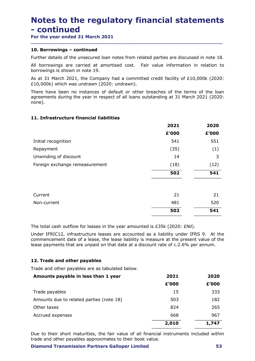# Notes to the regulatory financial statements Notes to the regulatory financial s<br>
- continued<br>
For the year ended 31 March 2021<br>
10. Borrowings - continued **Notes to the regulatory financial statements**<br> **- Continued**<br>
For the year ended 31 March 2021<br> **10. Borrowings – continued**<br>
Further details of the unsecured loan notes from related parties are discussed in note 18.<br>
All

# 10. Borrowings – continued

# 11. Infrastructure financial liabilities

| .0. Borrowings - continued                                                                                                                                                                                                                                              |            |           |
|-------------------------------------------------------------------------------------------------------------------------------------------------------------------------------------------------------------------------------------------------------------------------|------------|-----------|
| urther details of the unsecured loan notes from related parties are discussed in note 18.                                                                                                                                                                               |            |           |
| Il borrowings are carried at amortised cost. Fair value information in relation to<br>orrowings is shown in note 19.                                                                                                                                                    |            |           |
| is at 31 March 2021, the Company had a committed credit facility of $£10,000k$ (2020:<br>10,000k) which was undrawn (2020: undrawn).                                                                                                                                    |            |           |
| here have been no instances of default or other breaches of the terms of the loan<br>greements during the year in respect of all loans outstanding at 31 March 2021 (2020:<br>ione).                                                                                    |            |           |
| 1. Infrastructure financial liabilities                                                                                                                                                                                                                                 |            |           |
|                                                                                                                                                                                                                                                                         | 2021       | 2020      |
|                                                                                                                                                                                                                                                                         | £'000      | £'000     |
| Initial recognition                                                                                                                                                                                                                                                     | 541        | 551       |
| Repayment                                                                                                                                                                                                                                                               | (35)<br>14 | (1)       |
| Unwinding of discount<br>Foreign exchange remeasurement                                                                                                                                                                                                                 | (18)       | 3<br>(12) |
|                                                                                                                                                                                                                                                                         | 502        | 541       |
|                                                                                                                                                                                                                                                                         |            |           |
| Current                                                                                                                                                                                                                                                                 | 21         | 21        |
| Non-current                                                                                                                                                                                                                                                             | 481        | 520       |
|                                                                                                                                                                                                                                                                         | 502        | 541       |
| he total cash outflow for leases in the year amounted is £35k (2020: £Nil).                                                                                                                                                                                             |            |           |
| Inder IFRIC12, infrastructure leases are accounted as a liability under IFRS 9. At the<br>ommencement date of a lease, the lease liability is measure at the present value of the<br>ease payments that are unpaid on that date at a discount rate of c.2.6% per annum. |            |           |
| 2. Trade and other payables                                                                                                                                                                                                                                             |            |           |
| rade and other payables are as tabulated below.                                                                                                                                                                                                                         |            |           |
| Amounts payable in less than 1 year                                                                                                                                                                                                                                     | 2021       | 2020      |
|                                                                                                                                                                                                                                                                         | £'000      | £'000     |
| Trade payables                                                                                                                                                                                                                                                          | 15         | 333       |
| Amounts due to related parties (note 18)                                                                                                                                                                                                                                | 503        | 182       |

# 12. Trade and other payables

| Current                                                                                                                                                                         | 21    | 21    |
|---------------------------------------------------------------------------------------------------------------------------------------------------------------------------------|-------|-------|
| Non-current                                                                                                                                                                     | 481   | 520   |
|                                                                                                                                                                                 | 502   | 541   |
| The total cash outflow for leases in the year amounted is $E35k$ (2020: $ENil$ ).                                                                                               |       |       |
| commencement date of a lease, the lease liability is measure at the present value of the<br>lease payments that are unpaid on that date at a discount rate of c.2.6% per annum. |       |       |
|                                                                                                                                                                                 |       |       |
| 12. Trade and other payables                                                                                                                                                    |       |       |
|                                                                                                                                                                                 |       |       |
| Amounts payable in less than 1 year                                                                                                                                             | 2021  | 2020  |
| Trade and other payables are as tabulated below.                                                                                                                                | £'000 | £'000 |
| Trade payables                                                                                                                                                                  | 15    | 333   |
| Amounts due to related parties (note 18)                                                                                                                                        | 503   | 182   |
| Other taxes                                                                                                                                                                     | 824   | 265   |
| Accrued expenses                                                                                                                                                                | 668   | 967   |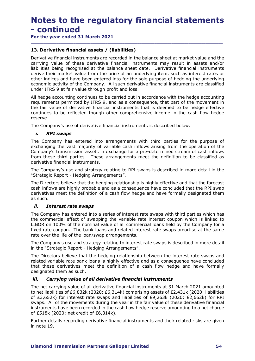# Notes to the regulatory financial statements Notes to the regulatory financial s<br>
- continued<br>
For the year ended 31 March 2021<br>
13. Derivative financial assets / (liabilities)

\_\_\_\_\_\_\_\_\_\_\_\_\_\_\_\_\_\_\_\_\_\_\_\_\_\_\_\_\_\_\_\_\_\_\_\_\_\_\_\_\_\_\_\_\_\_\_\_\_\_\_\_\_\_\_\_\_\_\_\_\_\_\_\_\_\_\_\_\_\_\_\_\_\_\_\_\_\_\_\_\_\_\_\_\_\_\_\_\_\_

For the year ended 31 March 2021

# 13. Derivative financial assets / (liabilities)

Derivative financial instruments are recorded in the balance sheet at market value and the carrying value of these derivative financial instruments may result in assets and/or liabilities being recognised at the balance sheet date. Derivative financial instruments derive their market value from the price of an underlying item, such as interest rates or other indices and have been entered into for the sole purpose of hedging the underlying economic activity of the Company. All such derivative financial instruments are classified under IFRS 9 at fair value through profit and loss. i. RPI swaps

All hedge accounting continues to be carried out in accordance with the hedge accounting requirements permitted by IFRS 9, and as a consequence, that part of the movement in the fair value of derivative financial instruments that is deemed to be hedge effective continues to be reflected though other comprehensive income in the cash flow hedge reserve. II hedge accounting continues to be carried out in accordance with the equirements permitted by IFRS 9, and as a consequence, that part of equivements of derivative financial instruments that is deemed to be reflected thou

The Company's use of derivative financial instruments is described below.

The Company has entered into arrangements with third parties for the purpose of exchanging the vast majority of variable cash inflows arising from the operation of the Company's transmission assets in exchange for a pre-determined stream of cash inflows from these third parties. These arrangements meet the definition to be classified as derivative financial instruments.

The Company's use and strategy relating to RPI swaps is described in more detail in the "Strategic Report - Hedging Arrangements".

The Directors believe that the hedging relationship is highly effective and that the forecast cash inflows are highly probable and as a consequence have concluded that the RPI swap derivatives meet the definition of a cash flow hedge and have formally designated them as such.

The Company has entered into a series of interest rate swaps with third parties which has the commercial effect of swapping the variable rate interest coupon which is linked to continues to be reflected though other comprehensive income in the cash flow hedge<br>
The Company's use of derivative financial instruments is described below.<br> **EXECUT: RPI swaps**<br>
The Company has entered into arrangement fixed rate coupon. The bank loans and related interest rate swaps amortise at the same rate over the life of the loan/swap arrangements. The Company's use and strategy relating to RPI swaps is described in more detail in the Strategic Report - Hedging Arrangements".<br>The Directors believe that the hedging relationship is highly effective and that the forecas

The Company's use and strategy relating to interest rate swaps is described in more detail in the "Strategic Report - Hedging Arrangements".

The Directors believe that the hedging relationship between the interest rate swaps and related variable rate bank loans is highly effective and as a consequence have concluded that these derivatives meet the definition of a cash flow hedge and have formally designated them as such.

The net carrying value of all derivative financial instruments at 31 March 2021 amounted to net liabilities of £6,832k (2020: £6,314k) comprising assets of £2,431k (2020: liabilities of £3,652k) for interest rate swaps and liabilities of £9,263k (2020: £2,662k) for RPI swaps. All of the movements during the year in the fair value of these derivative financial instruments have been recorded in the cash flow hedge reserve amounting to a net charge of £518k (2020: net credit of £6,314k).

Further details regarding derivative financial instruments and their related risks are given in note 19.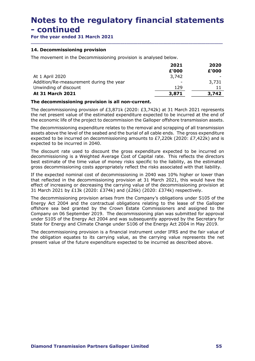# Notes to the regulatory financial statements Notes to the regulatory financial s<br>
- continued<br>
For the year ended 31 March 2021<br>
14. Decommissioning provision

# 14. Decommissioning provision

| 14. Decommissioning provision                                                                                                                                                                                                                                                                                                                                                                                                                                               |               |               |
|-----------------------------------------------------------------------------------------------------------------------------------------------------------------------------------------------------------------------------------------------------------------------------------------------------------------------------------------------------------------------------------------------------------------------------------------------------------------------------|---------------|---------------|
| The movement in the Decommissioning provision is analysed below.                                                                                                                                                                                                                                                                                                                                                                                                            |               |               |
|                                                                                                                                                                                                                                                                                                                                                                                                                                                                             | 2021<br>£'000 | 2020<br>£'000 |
| At 1 April 2020                                                                                                                                                                                                                                                                                                                                                                                                                                                             | 3,742         |               |
| Addition/Re-measurement during the year<br>Unwinding of discount                                                                                                                                                                                                                                                                                                                                                                                                            | 129           | 3,731<br>11   |
| At 31 March 2021                                                                                                                                                                                                                                                                                                                                                                                                                                                            | 3,871         | 3,742         |
| The decommissioning provision is all non-current.                                                                                                                                                                                                                                                                                                                                                                                                                           |               |               |
| The decommissioning provision of £3,871k (2020: £3,742k) at 31 March 2021 represents<br>the net present value of the estimated expenditure expected to be incurred at the end of<br>the economic life of the project to decommission the Galloper offshore transmission assets.<br>The decommissioning expenditure relates to the removal and scrapping of all transmission<br>assets above the level of the seabed and the burial of all cable ends. The gross expenditure |               |               |
| expected to be incurred on decommissioning amounts to £7,220k (2020: £7,422k) and is<br>expected to be incurred in 2040.                                                                                                                                                                                                                                                                                                                                                    |               |               |
| The discount rate used to discount the gross expenditure expected to be incurred on<br>decommissioning is a Weighted Average Cost of Capital rate. This reflects the directors<br>best estimate of the time value of money risks specific to the liability, as the estimated<br>gross decommissioning costs appropriately reflect the risks associated with that liability.                                                                                                 |               |               |
| If the expected nominal cost of decommissioning in 2040 was 10% higher or lower than<br>that reflected in the decommissioning provision at 31 March 2021, this would have the                                                                                                                                                                                                                                                                                               |               |               |

## The decommissioning provision is all non-current.

If the expected nominal cost of decommissioning in 2040 was 10% higher or lower than that reflected in the decommissioning provision at 31 March 2021, this would have the effect of increasing or decreasing the carrying value of the decommissioning provision at 31 March 2021 by £13k (2020: £374k) and (£26k) (2020: £374k) respectively.

The decommissioning provision arises from the Company's obligations under S105 of the Energy Act 2004 and the contractual obligations relating to the lease of the Galloper offshore sea bed granted by the Crown Estate Commissioners and assigned to the Company on 06 September 2019. The decommissioning plan was submitted for approval under S105 of the Energy Act 2004 and was subsequently approved by the Secretary for State for Energy and Climate Change under S106 of the Energy Act 2004 in May 2019.

The decommissioning provision is a financial instrument under IFRS and the fair value of the obligation equates to its carrying value, as the carrying value represents the net present value of the future expenditure expected to be incurred as described above.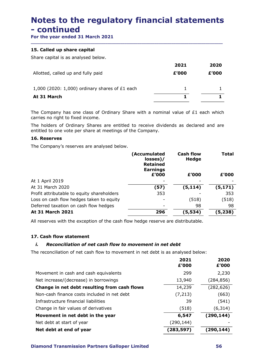# Notes to the regulatory financial statements Notes to the regulatory financial s<br>
- continued<br>
For the year ended 31 March 2021<br>
15. Called up share capital

# 15. Called up share capital

| <b>Notes to the regulatory financial statements</b>                                                                                                |              |              |
|----------------------------------------------------------------------------------------------------------------------------------------------------|--------------|--------------|
|                                                                                                                                                    |              |              |
|                                                                                                                                                    |              |              |
|                                                                                                                                                    |              |              |
|                                                                                                                                                    |              |              |
|                                                                                                                                                    |              |              |
|                                                                                                                                                    |              |              |
| - continued                                                                                                                                        |              |              |
| For the year ended 31 March 2021                                                                                                                   |              |              |
| 15. Called up share capital                                                                                                                        |              |              |
| Share capital is as analysed below.                                                                                                                |              |              |
|                                                                                                                                                    | 2021         | 2020         |
| Allotted, called up and fully paid                                                                                                                 | £'000        | £'000        |
| 1,000 (2020: 1,000) ordinary shares of $£1$ each                                                                                                   | 1            |              |
| At 31 March                                                                                                                                        | $\mathbf{1}$ | $\mathbf{1}$ |
|                                                                                                                                                    |              |              |
| The Company has one class of Ordinary Share with a nominal value of £1 each which<br>carries no right to fixed income.                             |              |              |
| The holders of Ordinary Shares are entitled to receive dividends as declared and are<br>entitled to one vote per share at meetings of the Company. |              |              |
|                                                                                                                                                    |              |              |
| 16. Reserves                                                                                                                                       |              |              |
| The Company's reserves are analysed below.                                                                                                         |              |              |

# 16. Reserves

| Allotted, called up and fully paid<br>£'000<br>£'000<br>1,000 (2020: 1,000) ordinary shares of £1 each<br>1<br>At 31 March<br>1                    |
|----------------------------------------------------------------------------------------------------------------------------------------------------|
|                                                                                                                                                    |
|                                                                                                                                                    |
|                                                                                                                                                    |
| The Company has one class of Ordinary Share with a nominal value of $E1$ each which<br>carries no right to fixed income.                           |
| The holders of Ordinary Shares are entitled to receive dividends as declared and are<br>entitled to one vote per share at meetings of the Company. |
| 16. Reserves                                                                                                                                       |
| The Company's reserves are analysed below.                                                                                                         |
| <b>Cash flow</b><br>(Accumulated<br><b>Total</b><br>$losses$ )/<br><b>Hedge</b><br><b>Retained</b><br><b>Earnings</b>                              |
| £'000<br>£'000<br>£'000                                                                                                                            |
| At 1 April 2019                                                                                                                                    |
| (57)<br>(5, 171)<br>(5, 114)<br>At 31 March 2020                                                                                                   |
| Profit attributable to equity shareholders<br>353<br>353<br>Loss on cash flow hedges taken to equity<br>(518)<br>(518)                             |
| Deferred taxation on cash flow hedges<br>98<br>98                                                                                                  |
| At 31 March 2021<br>296<br>(5, 534)<br>(5, 238)                                                                                                    |
| All reserves with the exception of the cash flow hedge reserve are distributable.                                                                  |
|                                                                                                                                                    |
| 17. Cash flow statement                                                                                                                            |
| Reconciliation of net cash flow to movement in net debt<br>i.                                                                                      |
| The reconciliation of net cash flow to movement in net debt is as analysed below:                                                                  |
| 2021<br>2020<br>£'000<br>£'000                                                                                                                     |
| 299<br>2,230<br>Movement in cash and cash equivalents                                                                                              |
|                                                                                                                                                    |
| Net increase/(decrease) in borrowings<br>13,940<br>(284, 856)                                                                                      |
| 14,239<br>(282, 626)<br>Change in net debt resulting from cash flows                                                                               |
| Non-cash finance costs included in net debt<br>(7, 213)<br>(663)                                                                                   |

# 17. Cash flow statement

| oss on cash flow hedges taken to equity<br>(518)<br>eferred taxation on cash flow hedges<br>98<br>296<br>(5, 534)<br>t 31 March 2021.<br>Il reserves with the exception of the cash flow hedge reserve are distributable.<br>7. Cash flow statement<br>Reconciliation of net cash flow to movement in net debt<br>i.<br>he reconciliation of net cash flow to movement in net debt is as analysed below:<br>2021<br>£'000<br>Movement in cash and cash equivalents<br>299 | (518)<br>98<br>(5, 238)<br>2020<br>£'000 |
|---------------------------------------------------------------------------------------------------------------------------------------------------------------------------------------------------------------------------------------------------------------------------------------------------------------------------------------------------------------------------------------------------------------------------------------------------------------------------|------------------------------------------|
|                                                                                                                                                                                                                                                                                                                                                                                                                                                                           |                                          |
|                                                                                                                                                                                                                                                                                                                                                                                                                                                                           |                                          |
|                                                                                                                                                                                                                                                                                                                                                                                                                                                                           |                                          |
|                                                                                                                                                                                                                                                                                                                                                                                                                                                                           |                                          |
|                                                                                                                                                                                                                                                                                                                                                                                                                                                                           |                                          |
|                                                                                                                                                                                                                                                                                                                                                                                                                                                                           |                                          |
|                                                                                                                                                                                                                                                                                                                                                                                                                                                                           |                                          |
|                                                                                                                                                                                                                                                                                                                                                                                                                                                                           |                                          |
|                                                                                                                                                                                                                                                                                                                                                                                                                                                                           | 2,230                                    |
| Net increase/(decrease) in borrowings<br>13,940                                                                                                                                                                                                                                                                                                                                                                                                                           | (284, 856)                               |
| 14,239<br>Change in net debt resulting from cash flows                                                                                                                                                                                                                                                                                                                                                                                                                    | (282, 626)                               |
| Non-cash finance costs included in net debt<br>(7, 213)                                                                                                                                                                                                                                                                                                                                                                                                                   | (663)                                    |
| Infrastructure financial liabilities<br>39                                                                                                                                                                                                                                                                                                                                                                                                                                | (541)                                    |
| (518)<br>Change in fair values of derivatives                                                                                                                                                                                                                                                                                                                                                                                                                             | (6, 314)                                 |
| Movement in net debt in the year<br>6,547<br>(290, 144)                                                                                                                                                                                                                                                                                                                                                                                                                   |                                          |
| Net debt at start of year<br>(290, 144)                                                                                                                                                                                                                                                                                                                                                                                                                                   |                                          |
| (290, 144)<br>Net debt at end of year<br>(283, 597)                                                                                                                                                                                                                                                                                                                                                                                                                       |                                          |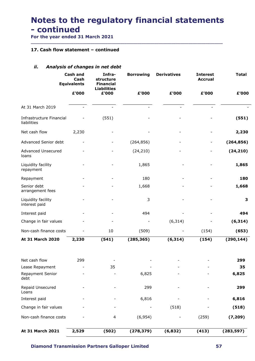# Notes to the regulatory financial statements Notes to the regulatory financial s<br>
- continued<br>
For the year ended 31 March 2021<br>
17. Cash flow statement - continued

# 17. Cash flow statement – continued

| 17. Cash flow statement - continued     |                                               |                                         |                          |                              |                                   |              |
|-----------------------------------------|-----------------------------------------------|-----------------------------------------|--------------------------|------------------------------|-----------------------------------|--------------|
| ii.                                     |                                               | Analysis of changes in net debt         |                          |                              |                                   |              |
|                                         | <b>Cash and</b><br>Cash<br><b>Equivalents</b> | Infra-<br>structure<br><b>Financial</b> | <b>Borrowing</b>         | <b>Derivatives</b>           | <b>Interest</b><br><b>Accrual</b> | <b>Total</b> |
|                                         | £'000                                         | <b>Liabilities</b><br>£'000             | £'000                    | £'000                        | £'000                             | £'000        |
| At 31 March 2019                        |                                               | $\overline{\phantom{a}}$                | $\overline{\phantom{a}}$ | $\overline{\phantom{a}}$     | $\overline{\phantom{a}}$          |              |
| Infrastructure Financial<br>liabilities | $\overline{\phantom{a}}$                      | (551)                                   |                          | $\overline{\phantom{a}}$     | $\overline{\phantom{a}}$          | (551)        |
| Net cash flow                           | 2,230                                         |                                         |                          |                              | $\overline{\phantom{a}}$          | 2,230        |
| Advanced Senior debt                    | $\overline{\phantom{a}}$                      | $-$                                     | (264, 856)               | $\overline{\phantom{a}}$     | $\sim$                            | (264, 856)   |
| Advanced Unsecured<br>loans             |                                               |                                         | (24, 210)                |                              |                                   | (24, 210)    |
| Liquidity facility<br>repayment         |                                               |                                         | 1,865                    |                              |                                   | 1,865        |
| Repayment                               |                                               | $\overline{\phantom{a}}$                | 180                      |                              | $\overline{\phantom{a}}$          | 180          |
| Senior debt<br>arrangement fees         |                                               |                                         | 1,668                    |                              |                                   | 1,668        |
| Liquidity facility<br>interest paid     |                                               |                                         | 3                        |                              |                                   | 3            |
| Interest paid                           |                                               | $\overline{\phantom{a}}$                | 494                      |                              | $\overline{\phantom{0}}$          | 494          |
| Change in fair values                   |                                               |                                         | $\overline{\phantom{a}}$ | (6, 314)                     |                                   | (6, 314)     |
| Non-cash finance costs                  | $\overline{a}$                                | 10                                      | (509)                    | $\qquad \qquad \blacksquare$ | (154)                             | (653)        |
| At 31 March 2020                        | 2,230                                         | (541)                                   | (285, 365)               | (6, 314)                     | (154)                             | (290, 144)   |
| Net cash flow                           | 299                                           |                                         |                          |                              |                                   | 299          |
| Lease Repayment                         |                                               | 35                                      |                          |                              |                                   | 35           |
| Repayment Senior<br>debt                |                                               |                                         | 6,825                    |                              |                                   | 6,825        |
| Repaid Unsecured<br>Loans               |                                               |                                         | 299                      |                              |                                   | 299          |
| Interest paid                           |                                               | $\overline{\phantom{a}}$                | 6,816                    |                              | $\overline{\phantom{a}}$          | 6,816        |
| Change in fair values                   |                                               | $\overline{\phantom{a}}$                | $\overline{\phantom{a}}$ | (518)                        | ٠                                 | (518)        |
| Non-cash finance costs                  |                                               | $\overline{4}$                          | (6, 954)                 | $\overline{\phantom{a}}$     | (259)                             | (7, 209)     |
| At 31 March 2021                        | 2,529                                         | (502)                                   | (278, 379)               | (6, 832)                     | (413)                             | (283, 597)   |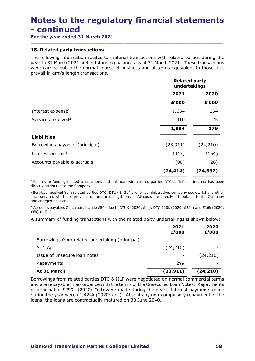# Notes to the regulatory financial statements Notes to the regulatory financial s<br>
- continued<br>
For the year ended 31 March 2021<br>
18. Related party transactions

# 18. Related party transactions

The following information relates to material transactions with related parties during the **Notes to the regulatory financial statements**<br> **- Continued**<br>
For the year ended 31 March 2021<br> **18. Related party transactions**<br>
The following information relates to material transactions with related parties during the<br> were carried out in the normal course of business and at terms equivalent to those that prevail in arm's length transactions.

| 18. Related party transactions                                                                                                                                                                                                                                                                                           |                                      |           |  |
|--------------------------------------------------------------------------------------------------------------------------------------------------------------------------------------------------------------------------------------------------------------------------------------------------------------------------|--------------------------------------|-----------|--|
| The following information relates to material transactions with related parties during the<br>year to 31 March 2021 and outstanding balances as at 31 March 2021. These transactions<br>were carried out in the normal course of business and at terms equivalent to those that<br>prevail in arm's length transactions. |                                      |           |  |
|                                                                                                                                                                                                                                                                                                                          | <b>Related party</b><br>undertakings |           |  |
|                                                                                                                                                                                                                                                                                                                          | 2021                                 | 2020      |  |
|                                                                                                                                                                                                                                                                                                                          | £'000                                | £'000     |  |
| Interest expense <sup>1</sup>                                                                                                                                                                                                                                                                                            | 1,684                                | 154       |  |
| Services received <sup>2</sup>                                                                                                                                                                                                                                                                                           | 310                                  | 25        |  |
|                                                                                                                                                                                                                                                                                                                          | 1,994                                | 179       |  |
| <b>Liabilities:</b>                                                                                                                                                                                                                                                                                                      |                                      |           |  |
| Borrowings payable <sup>1</sup> (principal)                                                                                                                                                                                                                                                                              | (23, 911)                            | (24, 210) |  |
| Interest accrual <sup>1</sup>                                                                                                                                                                                                                                                                                            | (413)                                | (154)     |  |
| Accounts payable & accruals <sup>3</sup>                                                                                                                                                                                                                                                                                 | (90)                                 | (28)      |  |
|                                                                                                                                                                                                                                                                                                                          | (24, 414)                            | (24, 392) |  |
| <sup>1</sup> Relates to funding-related transactions and balances with related parties DTC & IILP; all interest has been<br>directly attributed to the Company.                                                                                                                                                          |                                      |           |  |
| <sup>2</sup> Services received from related parties DTC, DTUK & IILP are for administrative, company secretarial and other<br>such services which are provided on an arm's length basis. All costs are directly attributable to the Company<br>and charged as such.                                                      |                                      |           |  |
| <sup>3</sup> Accounts payables & accruals include £54k due to DTUK (2020: £nil), DTC £10k (2020: £22k) and £26k (2020:<br>£6k) to IILP.                                                                                                                                                                                  |                                      |           |  |
|                                                                                                                                                                                                                                                                                                                          |                                      |           |  |

| Borrowings payable <sup>1</sup> (principal)                                                                                                                                                                                                                                                                                                                                                                                       | (23, 911)     | (24, 210)     |
|-----------------------------------------------------------------------------------------------------------------------------------------------------------------------------------------------------------------------------------------------------------------------------------------------------------------------------------------------------------------------------------------------------------------------------------|---------------|---------------|
| Interest accrual <sup>1</sup>                                                                                                                                                                                                                                                                                                                                                                                                     | (413)         | (154)         |
| Accounts payable $\&$ accruals <sup>3</sup>                                                                                                                                                                                                                                                                                                                                                                                       | (90)          | (28)          |
|                                                                                                                                                                                                                                                                                                                                                                                                                                   | (24, 414)     | (24, 392)     |
| <sup>1</sup> Relates to funding-related transactions and balances with related parties DTC & IILP; all interest has been<br>directly attributed to the Company.                                                                                                                                                                                                                                                                   |               |               |
| <sup>2</sup> Services received from related parties DTC, DTUK & IILP are for administrative, company secretarial and other<br>such services which are provided on an arm's length basis. All costs are directly attributable to the Company<br>and charged as such.                                                                                                                                                               |               |               |
| <sup>3</sup> Accounts payables & accruals include £54k due to DTUK (2020: £nil), DTC £10k (2020: £22k) and £26k (2020:<br>£6k) to IILP.                                                                                                                                                                                                                                                                                           |               |               |
| A summary of funding transactions with the related party undertakings is shown below:                                                                                                                                                                                                                                                                                                                                             |               |               |
|                                                                                                                                                                                                                                                                                                                                                                                                                                   | 2021<br>£'000 | 2020<br>£'000 |
| Borrowings from related undertaking (principal)                                                                                                                                                                                                                                                                                                                                                                                   |               |               |
| At 1 April                                                                                                                                                                                                                                                                                                                                                                                                                        | (24, 210)     |               |
| Issue of unsecure loan notes                                                                                                                                                                                                                                                                                                                                                                                                      |               | (24, 210)     |
| Repayments                                                                                                                                                                                                                                                                                                                                                                                                                        | 299           |               |
| At 31 March                                                                                                                                                                                                                                                                                                                                                                                                                       | (23, 911)     | (24, 210)     |
| Borrowings from related parties DTC & IILP were negotiated on normal commercial terms<br>and are repayable in accordance with the terms of the Unsecured Loan Notes. Repayments<br>of principal of £299k (2020: £nil) were made during the year. Interest payments made<br>during the year were $£1,424k$ (2020: £nil). Absent any non-compulsory repayment of the<br>loans, the loans are contractually matured on 30 June 2040. |               |               |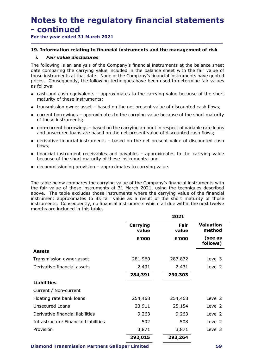\_\_\_\_\_\_\_\_\_\_\_\_\_\_\_\_\_\_\_\_\_\_\_\_\_\_\_\_\_\_\_\_\_\_\_\_\_\_\_\_\_\_\_\_\_\_\_\_\_\_\_\_\_\_\_\_\_\_\_\_\_\_\_\_\_\_\_\_\_\_\_\_\_\_\_\_\_\_\_\_\_\_\_\_\_\_\_\_\_\_

For the year ended 31 March 2021

# 19. Information relating to financial instruments and the management of risk

**lotes to the regulatory financial stand Continued**<br>
or the year ended 31 March 2021<br> **D.** Information relating to financial instruments and the manage<br>
i. Fair value disclosures<br>
i. Fair value disclosures<br>
the comparing t The following is an analysis of the Company's financial instruments at the balance sheet date comparing the carrying value included in the balance sheet with the fair value of those instruments at that date. None of the Company's financial instruments have quoted prices. Consequently, the following techniques have been used to determine fair values as follows: **otes to the regulatory financial statements**<br> **Continued**<br> **The year ended 31 March 2021**<br> **Information relating to financial instruments and the management of risk**<br> **I.** Fair value disclosures<br>
E following is an analysi **Example 1. From the manulation From the manulation From The Company's financial instruments at the balance sheet** e following is an analysis of the Company's financial instruments at the balance sheet e company is

- cash and cash equivalents approximates to the carrying value because of the short maturity of these instruments;
- transmission owner asset based on the net present value of discounted cash flows;
- current borrowings approximates to the carrying value because of the short maturity of these instruments;
- and unsecured loans are based on the net present value of discounted cash flows;
- derivative financial instruments based on the net present value of discounted cash flows;
- because of the short maturity of these instruments; and
- decommissioning provision approximates to carrying value.

| non-current borrowings - based on the carrying amount in respect of variable rate loans<br>and unsecured loans are based on the net present value of discounted cash flows;                                                                                                                                                                                                                                                                                                                      |          |         |                     |
|--------------------------------------------------------------------------------------------------------------------------------------------------------------------------------------------------------------------------------------------------------------------------------------------------------------------------------------------------------------------------------------------------------------------------------------------------------------------------------------------------|----------|---------|---------------------|
| derivative financial instruments - based on the net present value of discounted cash<br>flows;                                                                                                                                                                                                                                                                                                                                                                                                   |          |         |                     |
| financial instrument receivables and payables - approximates to the carrying value<br>because of the short maturity of these instruments; and                                                                                                                                                                                                                                                                                                                                                    |          |         |                     |
| decommissioning provision – approximates to carrying value.                                                                                                                                                                                                                                                                                                                                                                                                                                      |          |         |                     |
| The table below compares the carrying value of the Company's financial instruments with<br>he fair value of those instruments at 31 March 2021, using the techniques described<br>above. The table excludes those instruments where the carrying value of the financial<br>nstrument approximates to its fair value as a result of the short maturity of those<br>nstruments. Consequently, no financial instruments which fall due within the next twelve<br>months are included in this table. |          | 2021    |                     |
|                                                                                                                                                                                                                                                                                                                                                                                                                                                                                                  | Carrying | Fair    | <b>Valuation</b>    |
|                                                                                                                                                                                                                                                                                                                                                                                                                                                                                                  | value    | value   | method              |
|                                                                                                                                                                                                                                                                                                                                                                                                                                                                                                  | £'000    | £'000   | (see as<br>follows) |
| <b>Assets</b>                                                                                                                                                                                                                                                                                                                                                                                                                                                                                    |          |         |                     |
| Transmission owner asset                                                                                                                                                                                                                                                                                                                                                                                                                                                                         | 281,960  | 287,872 | Level 3             |
| Derivative financial assets                                                                                                                                                                                                                                                                                                                                                                                                                                                                      | 2,431    | 2,431   | Level 2             |
|                                                                                                                                                                                                                                                                                                                                                                                                                                                                                                  | 284,391  | 290,303 |                     |
| <b>Liabilities</b>                                                                                                                                                                                                                                                                                                                                                                                                                                                                               |          |         |                     |
| Current / Non-current                                                                                                                                                                                                                                                                                                                                                                                                                                                                            |          |         |                     |
| Floating rate bank loans                                                                                                                                                                                                                                                                                                                                                                                                                                                                         | 254,468  | 254,468 | Level 2             |
| <b>Unsecured Loans</b>                                                                                                                                                                                                                                                                                                                                                                                                                                                                           | 23,911   | 25,154  | Level 2             |
| Derivative financial liabilities                                                                                                                                                                                                                                                                                                                                                                                                                                                                 | 9,263    | 9,263   | Level 2             |
| Infrastructure Financial Liabilities                                                                                                                                                                                                                                                                                                                                                                                                                                                             | 502      | 508     | Level 2             |
| Provision                                                                                                                                                                                                                                                                                                                                                                                                                                                                                        | 3,871    | 3,871   | Level 3             |
|                                                                                                                                                                                                                                                                                                                                                                                                                                                                                                  |          |         |                     |
|                                                                                                                                                                                                                                                                                                                                                                                                                                                                                                  | 292,015  | 293,264 |                     |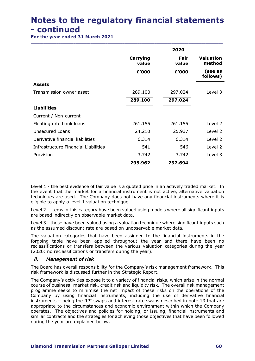# Notes to the regulatory financial statements Notes to the regulatory financial s<br>
- continued<br>
For the year ended 31 March 2021<br>
20

| <b>Valuation</b><br>Carrying<br>Fair<br>method<br>value<br>value |
|------------------------------------------------------------------|
|                                                                  |
| (see as<br>£'000<br>£'000<br>follows)                            |
| <b>Assets</b>                                                    |
| 289,100<br>297,024<br>Transmission owner asset<br>Level 3        |
| 297,024<br>289,100                                               |
| <b>Liabilities</b>                                               |
| Current / Non-current                                            |
| Floating rate bank loans<br>261,155<br>261,155<br>Level 2        |
| <b>Unsecured Loans</b><br>24,210<br>25,937<br>Level 2            |
| Derivative financial liabilities<br>6,314<br>6,314<br>Level 2    |
| Infrastructure Financial Liabilities<br>541<br>546<br>Level 2    |
| 3,742<br>3,742<br>Level 3<br>Provision                           |
| 295,962<br>297,694                                               |

The Company's activities expose it to a variety of financial risks, which arise in the normal course of business: market risk, credit risk and liquidity risk. The overall risk management programme seeks to minimise the net impact of these risks on the operations of the Company by using financial instruments, including the use of derivative financial instruments – being the RPI swaps and interest rate swaps described in note 13 that are appropriate to the circumstances and economic environment within which the Company operates. The objectives and policies for holding, or issuing, financial instruments and similar contracts and the strategies for achieving those objectives that have been followed during the year are explained below.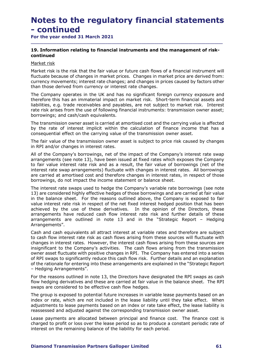\_\_\_\_\_\_\_\_\_\_\_\_\_\_\_\_\_\_\_\_\_\_\_\_\_\_\_\_\_\_\_\_\_\_\_\_\_\_\_\_\_\_\_\_\_\_\_\_\_\_\_\_\_\_\_\_\_\_\_\_\_\_\_\_\_\_\_\_\_\_\_\_\_\_\_\_\_\_\_\_\_\_\_\_\_\_\_\_\_\_

For the year ended 31 March 2021

# 19. Information relating to financial instruments and the management of riskcontinued

# Market risk

Market risk is the risk that the fair value or future cash flows of a financial instrument will fluctuate because of changes in market prices. Changes in market price are derived from: currency movements; interest rate changes; and changes in prices caused by factors other than those derived from currency or interest rate changes.

The Company operates in the UK and has no significant foreign currency exposure and therefore this has an immaterial impact on market risk. Short-term financial assets and **Notes to the regulatory financial statements**<br>
For the year ended 31 March 2021<br>
19. Information relating to financial instruments and the management of risk-<br>
continued<br>
Market risk is the risk that the fair value or fut rate risk arises from the use of following financial instruments: transmission owner asset; borrowings; and cash/cash equivalents.

The transmission owner asset is carried at amortised cost and the carrying value is affected by the rate of interest implicit within the calculation of finance income that has a consequential effect on the carrying value of the transmission owner asset.

The fair value of the transmission owner asset is subject to price risk caused by changes in RPI and/or changes in interest rates.

All of the Company's borrowings, net of the impact of the Company's interest rate swap arrangements (see note 13), have been issued at fixed rates which exposes the Company to fair value interest rate risk and as a result, the fair value of borrowings (net of the interest rate swap arrangements) fluctuate with changes in interest rates. All borrowings are carried at amortised cost and therefore changes in interest rates, in respect of those borrowings, do not impact the income statement or balance sheet.

The interest rate swaps used to hedge the Company's variable rate borrowings (see note 13) are considered highly effective hedges of those borrowings and are carried at fair value in the balance sheet. For the reasons outlined above, the Company is exposed to fair value interest rate risk in respect of the net fixed interest hedged position that has been achieved by the use of these derivatives. In the opinion of the Directors, these arrangements have reduced cash flow interest rate risk and further details of these arrangements are outlined in note 13 and in the "Strategic Report – Hedging Arrangements". Arif of the Company solution, and the migreat of the companination and an arrangements (see note 13), have been issued at fixed rates which to fair value interest rate swap arrangements (see note 13), have been issued at f The interest rate swaps used to hedge the Company's variable rate borrowings (see note<br>The interest rate in the balance sheet. For the reasons outlined above, the Company is exposed to fair<br>in the balance sheet. For the re

Cash and cash equivalents all attract interest at variable rates and therefore are subject to cash flow interest rate risk as cash flows arising from these sources will fluctuate with changes in interest rates. However, the interest cash flows arising from these sources are insignificant to the Company's activities. The cash flows arising from the transmission owner asset fluctuate with positive changes in RPI. The Company has entered into a series of RPI swaps to significantly reduce this cash flow risk. Further details and an explanation of the rationale for entering into these arrangements are explained in the "Strategic Report in the balance sheet. For the reassons outlined above, the Company is exposed to fair-<br>value interest rate risk in respect of the net fixed interest hedged position that has been<br>achieved by the use of these derivatives. I value interest rate is x in respect to the net interel interelative and further detailed prostom interelated by the use of these derivatives. In the opinion of the Directors, these arrangements have reduced cash flow inter

For the reasons outlined in note 13, the Directors have designated the RPI swaps as cash flow hedging derivatives and these are carried at fair value in the balance sheet. The RPI swaps are considered to be effective cash flow hedges.

The group is exposed to potential future increases in variable lease payments based on an adjustments to lease payments based on an index or rate take effect, the lease liability is

charged to profit or loss over the lease period so as to produce a constant periodic rate of interest on the remaining balance of the liability for each period.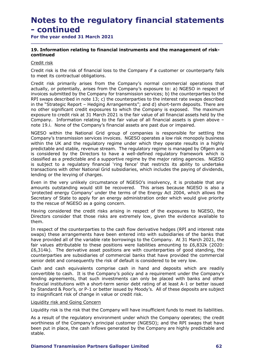\_\_\_\_\_\_\_\_\_\_\_\_\_\_\_\_\_\_\_\_\_\_\_\_\_\_\_\_\_\_\_\_\_\_\_\_\_\_\_\_\_\_\_\_\_\_\_\_\_\_\_\_\_\_\_\_\_\_\_\_\_\_\_\_\_\_\_\_\_\_\_\_\_\_\_\_\_\_\_\_\_\_\_\_\_\_\_\_\_\_

For the year ended 31 March 2021

# 19. Information relating to financial instruments and the management of riskcontinued

## Credit risk

Credit risk is the risk of financial loss to the Company if a customer or counterparty fails to meet its contractual obligations.

Credit risk primarily arises from the Company's normal commercial operations that actually, or potentially, arises from the Company's exposure to: a) NGESO in respect of invoices submitted by the Company for transmission services; b) the counterparties to the RPI swaps described in note 13; c) the counterparties to the interest rate swaps described **Notes to the regulatory financial statements**<br>
For the year ended 31 March 2021<br>
ID. Information relating to financial instruments and the management of risk-<br>
credit risk<br>
Credit risk<br>
Credit risk<br>
Credit risk is the ris no other significant credit exposures to which the Company is exposed. The maximum exposure to credit risk at 31 March 2021 is the fair value of all financial assets held by the Company. Information relating to the fair value of all financial assets is given above – note 19.i. None of the Company's financial assets are past due or impaired.

NGESO within the National Grid group of companies is responsible for settling the Company's transmission services invoices. NGESO operates a low risk monopoly business within the UK and the regulatory regime under which they operate results in a highly predictable and stable, revenue stream. The regulatory regime is managed by Ofgem and is considered by the Directors to have a well-defined regulatory framework which is classified as a predictable and a supportive regime by the major rating agencies. NGESO is subject to a regulatory financial 'ring fence' that restricts its ability to undertake transactions with other National Grid subsidiaries, which includes the paying of dividends, lending or the levying of charges. actually, or potentially, aniss nothi the Company Septestics of the conterparties to the involces submitted by the Company for transmission services; b) the counterpraties to the involces submitted by the Company for trans exposure to Ceut it is a counter of the counter of the counter of the counter of the company. Information extents are part the company's financial assets are past due or impaired.<br>NGESO within the National Grid group of co

Even in the very unlikely circumstance of NGESO's insolvency, it is probable that any amounts outstanding would still be recovered. This arises because NGESO is also a 'protected energy Company' under the terms of the Energy Act 2004, which allows the Secretary of State to apply for an energy administration order which would give priority

Having considered the credit risks arising in respect of the exposures to NGESO, the Directors consider that those risks are extremely low, given the evidence available to them.

swaps) these arrangements have been entered into with subsidiaries of the banks that have provided all of the variable rate borrowings to the Company. At 31 March 2021, the fair values attributable to these positions were liabilities amounting to £6,832k (2020:  $£6,314k$ ). The derivative asset positions are with counterparties of good standing, the counterparties are subsidiaries of commercial banks that have provided the commercial senior debt and consequently the risk of default is considered to be very low.

Cash and cash equivalents comprise cash in hand and deposits which are readily convertible to cash. It is the Company's policy and a requirement under the Company's lending agreements, that such investments can only be placed with banks and other financial institutions with a short-term senior debt rating of at least A-1 or better issued by Standard & Poor's, or P-1 or better issued by Moody's. All of these deposits are subject to insignificant risk of change in value or credit risk.

## Liquidity risk and Going Concern

Liquidity risk is the risk that the Company will have insufficient funds to meet its liabilities.

As a result of the regulatory environment under which the Company operates; the credit worthiness of the Company's principal customer (NGESO); and the RPI swaps that have been put in place, the cash inflows generated by the Company are highly predictable and stable.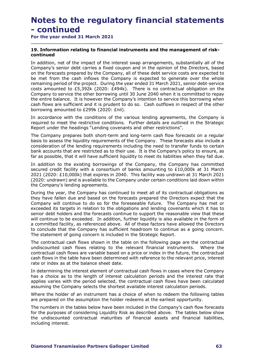\_\_\_\_\_\_\_\_\_\_\_\_\_\_\_\_\_\_\_\_\_\_\_\_\_\_\_\_\_\_\_\_\_\_\_\_\_\_\_\_\_\_\_\_\_\_\_\_\_\_\_\_\_\_\_\_\_\_\_\_\_\_\_\_\_\_\_\_\_\_\_\_\_\_\_\_\_\_\_\_\_\_\_\_\_\_\_\_\_\_

For the year ended 31 March 2021

# 19. Information relating to financial instruments and the management of riskcontinued

In addition, net of the impact of the interest swap arrangements, substantially all of the Company's senior debt carries a fixed coupon and in the opinion of the Directors, based on the forecasts prepared by the Company, all of these debt service costs are expected to be met from the cash inflows the Company is expected to generate over the whole remaining period of the project. During the year ended 31 March 2021, senior debt-service costs amounted to £5,392k (2020:  $E$ 494k). There is no contractual obligation on the Company to service the other borrowing until 30 June 2040 when it is committed to repay the entire balance. It is however the Company's intention to service this borrowing when cash flows are sufficient and it is prudent to do so. Cash outflows in respect of the other borrowing amounted to £299k (2020: £nil).

In accordance with the conditions of the various lending agreements, the Company is required to meet the restrictive conditions. Further details are outlined in the Strategic Report under the headings "Lending covenants and other restrictions".

The Company prepares both short-term and long-term cash flow forecasts on a regular basis to assess the liquidity requirements of the Company. These forecasts also include a consideration of the lending requirements including the need to transfer funds to certain bank accounts that are restricted as to their use. It is the Company's policy to ensure, as far as possible, that it will have sufficient liquidity to meet its liabilities when they fall due.

In addition to the existing borrowings of the Company, the Company has committed secured credit facility with a consortium of banks amounting to £10,000k at 31 March 2021 (2020: £10,000k) that expires in 2040. This facility was undrawn at 31 March 2021 (2020: undrawn) and is available to the Company under certain conditions laid down within the Company's lending agreements.

During the year, the Company has continued to meet all of its contractual obligations as they have fallen due and based on the forecasts prepared the Directors expect that the Company will continue to do so for the foreseeable future. The Company has met or exceeded its targets in relation to the obligations and lending covenants which it has to senior debt holders and the forecasts continue to support the reasonable view that these will continue to be exceeded. In addition, further liquidity is also available in the form of a committed facility, as referenced above. All of these factors have allowed the Directors to conclude that the Company has sufficient headroom to continue as a going concern. In accordance with the conditions of the various lending agreements, the Company is<br>Tequired to meet the restrictive conditions. Further details are outlined in the Strategic<br>Report under the headings "Lending overnants an The statement of going concern is included in the Strategic Report.

The contractual cash flows shown in the table on the following page are the contractual undiscounted cash flows relating to the relevant financial instruments. Where the contractual cash flows are variable based on a price or index in the future, the contractual cash flows in the table have been determined with reference to the relevant price, interest rate or index as at the balance sheet date.

In determining the interest element of contractual cash flows in cases where the Company has a choice as to the length of interest calculation periods and the interest rate that applies varies with the period selected, the contractual cash flows have been calculated assuming the Company selects the shortest available interest calculation periods.

Where the holder of an instrument has a choice of when to redeem the following tables are prepared on the assumption the holder redeems at the earliest opportunity.

The numbers in the tables below have been included in the Company's cash flow forecasts for the purposes of considering Liquidity Risk as described above. The tables below show the undiscounted contractual maturities of financial assets and financial liabilities, including interest.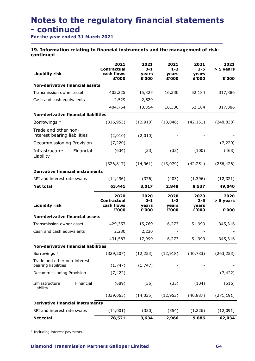# 19. Information relating to financial instruments and the management of riskcontinued

| For the year ended 31 March 2021                                                           |                                                   |                                   |                                   |                                   |                              |
|--------------------------------------------------------------------------------------------|---------------------------------------------------|-----------------------------------|-----------------------------------|-----------------------------------|------------------------------|
| 19. Information relating to financial instruments and the management of risk-<br>ontinued: |                                                   |                                   |                                   |                                   |                              |
| <b>Liquidity risk</b>                                                                      | 2021<br><b>Contractual</b><br>cash flows<br>£'000 | 2021<br>$0 - 1$<br>years<br>£'000 | 2021<br>$1 - 2$<br>years<br>£'000 | 2021<br>$2 - 5$<br>years<br>£'000 | 2021<br>> 5 years<br>£'000   |
| Non-derivative financial assets                                                            |                                                   |                                   |                                   |                                   |                              |
| Transmission owner asset                                                                   | 402,225                                           | 15,825                            | 16,330                            | 52,184                            | 317,886                      |
| Cash and cash equivalents                                                                  | 2,529                                             | 2,529                             |                                   |                                   |                              |
|                                                                                            | 404,754                                           | 18,354                            | 16,330                            | 52,184                            | 317,886                      |
| <b>Non-derivative financial liabilities</b>                                                |                                                   |                                   |                                   |                                   |                              |
| Borrowings +                                                                               | (316, 953)                                        | (12, 918)                         | (13,046)                          | (42, 151)                         | (248, 838)                   |
| Trade and other non-<br>interest bearing liabilities                                       | (2,010)                                           | (2,010)                           |                                   |                                   |                              |
| Decommissioning Provision                                                                  | (7, 220)                                          |                                   |                                   |                                   | (7, 220)                     |
| Infrastructure<br>Financial<br>Liability                                                   | (634)                                             | (33)                              | (33)                              | (100)                             | (468)                        |
|                                                                                            | (326, 817)                                        | (14, 961)                         | (13,079)                          | (42, 251)                         | (256, 426)                   |
| <b>Derivative financial instruments</b>                                                    |                                                   |                                   |                                   |                                   |                              |
| RPI and interest rate swaps                                                                | (14, 496)                                         | (376)                             | (403)                             | (1, 396)                          | (12, 321)                    |
| <b>Net total</b>                                                                           | 63,441                                            | 3,017                             | 2,848                             | 8,537                             | 49,040                       |
| <b>Liquidity risk</b>                                                                      | 2020<br><b>Contractual</b><br>cash flows<br>£'000 | 2020<br>$0 - 1$<br>years<br>£'000 | 2020<br>$1 - 2$<br>years<br>£'000 | 2020<br>$2 - 5$<br>years<br>£'000 | 2020<br>$> 5$ years<br>£'000 |
| <b>Non-derivative financial assets</b>                                                     |                                                   |                                   |                                   |                                   |                              |
| Transmission owner asset                                                                   | 429,357                                           | 15,769                            | 16,273                            | 51,999                            | 345,316                      |
| Cash and cash equivalents                                                                  | 2,230                                             | 2,230                             |                                   |                                   |                              |
|                                                                                            | 431,587                                           | 17,999                            | 16,273                            | 51,999                            | 345,316                      |
| Non-derivative financial liabilities                                                       |                                                   |                                   |                                   |                                   |                              |
| Borrowings +                                                                               | (329, 207)                                        | (12, 253)                         | (12, 918)                         | (40, 783)                         | (263, 253)                   |
| Trade and other non-interest<br>bearing liabilities                                        | (1,747)                                           | (1,747)                           |                                   |                                   |                              |
| Decommissioning Provision                                                                  | (7, 422)                                          |                                   |                                   |                                   | (7, 422)                     |
| Infrastructure<br>Financial<br>Liability                                                   | (689)                                             | (35)                              | (35)                              | (104)                             | (516)                        |
|                                                                                            | (339,065)                                         | (14, 035)                         | (12, 953)                         | (40, 887)                         | (271, 191)                   |
| <b>Derivative financial instruments</b>                                                    |                                                   |                                   |                                   |                                   |                              |
| RPI and interest rate swaps                                                                | (14,001)                                          | (330)                             | (354)                             | (1,226)                           | (12,091)                     |
| <b>Net total</b>                                                                           | 78,521                                            | 3,634                             | 2,966                             | 9,886                             | 62,034                       |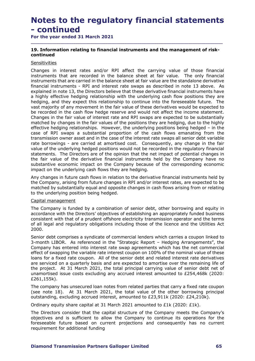\_\_\_\_\_\_\_\_\_\_\_\_\_\_\_\_\_\_\_\_\_\_\_\_\_\_\_\_\_\_\_\_\_\_\_\_\_\_\_\_\_\_\_\_\_\_\_\_\_\_\_\_\_\_\_\_\_\_\_\_\_\_\_\_\_\_\_\_\_\_\_\_\_\_\_\_\_\_\_\_\_\_\_\_\_\_\_\_\_\_

For the year ended 31 March 2021

# 19. Information relating to financial instruments and the management of riskcontinued

# **Sensitivities**

Changes in interest rates and/or RPI affect the carrying value of those financial instruments that are recorded in the balance sheet at fair value. The only financial instruments that are carried in the balance sheet at fair value are the standalone derivative **Notes to the regulatory financial statements**<br> **- continued**<br> **For the year ended 31 March 2021**<br> **19. Information relating to financial instruments and the management of risk-**<br> **contages** in interest rates and/or RPI af explained in note 13, the Directors believe that these derivative financial instruments have a highly effective hedging relationship with the underlying cash flow positions they are hedging, and they expect this relationship to continue into the foreseeable future. The vast majority of any movement in the fair value of these derivatives would be expected to be recorded in the cash flow hedge reserve and would not affect the income statement. Changes in the fair value of interest rate and RPI swaps are expected to be substantially matched by changes in the fair values of the positions they are hedging, due to the highly **Notes to the regulatory financial statements**<br> **For the year ended 31 March 2021**<br> **19. Information relating to financial instruments and the management of risk-**<br> **continued**<br> **Sensitivities**<br> **Sensitivities**<br> **Sensitivi** case of RPI swaps a substantial proportion of the cash flows emanating from the transmission owner asset and in the case of the interest rate swaps all senior debt variable **F CONTITIUEG1**<br>**For the year ended 31 March 2021**<br>**19. Information relating to financial instruments and the management of risk-<br>continued Sensitivities<br>Changes in interest rates and/or RPI affect the carrying value of t** value of the underlying hedged positions would not be recorded in the regulatory financial statements. The Directors are of the opinion that the net impact of potential changes in the fair value of the derivative financial instruments held by the Company have no substantive economic impact on the Company because of the corresponding economic impact on the underlying cash flows they are hedging. entertive heavying retationsings. Thowever, the uniterlying positions being the cash flows emanating from the<br>case of RPI swaps a substantial proportion of the cash flows emanating from the<br>transmission owere asset and in

Any changes in future cash flows in relation to the derivative financial instruments held by the Company, arising from future changes in RPI and/or interest rates, are expected to be matched by substantially equal and opposite changes in cash flows arising from or relating to the underlying position being hedged.

# Capital management

The Company is funded by a combination of senior debt, other borrowing and equity in accordance with the Directors' objectives of establishing an appropriately funded business consistent with that of a prudent offshore electricity transmission operator and the terms of all legal and regulatory obligations including those of the licence and the Utilities Act 2000.

Senior debt comprises a syndicate of commercial lenders which carries a coupon linked to Company has entered into interest rate swap agreements which has the net commercial effect of swapping the variable rate interest coupon on 100% of the nominal value of these loans for a fixed rate coupon. All of the senior debt and related interest rate derivatives are serviced on a quarterly basis and are expected to amortise over the remaining life of the project. At 31 March 2021, the total principal carrying value of senior debt net of unamortised issue costs excluding any accrued interest amounted to £254,468k (2020: £261,155k).

The company has unsecured loan notes from related parties that carry a fixed rate coupon (see note 18). At 31 March 2021, the total value of the other borrowing principal outstanding, excluding accrued interest, amounted to £23,911k (2020: £24,210k).

Ordinary equity share capital at 31 March 2021 amounted to £1k (2020: £1k).

The Directors consider that the capital structure of the Company meets the Company's objectives and is sufficient to allow the Company to continue its operations for the foreseeable future based on current projections and consequently has no current requirement for additional funding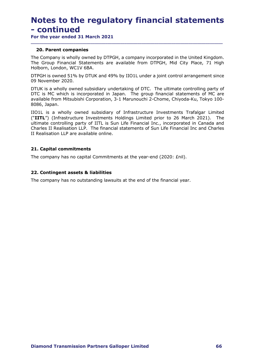# Notes to the regulatory financial statements Notes to the regulatory financial s<br>
- continued<br>
For the year ended 31 March 2021<br>
20. Parent companies

\_\_\_\_\_\_\_\_\_\_\_\_\_\_\_\_\_\_\_\_\_\_\_\_\_\_\_\_\_\_\_\_\_\_\_\_\_\_\_\_\_\_\_\_\_\_\_\_\_\_\_\_\_\_\_\_\_\_\_\_\_\_\_\_\_\_\_\_\_\_\_\_\_\_\_\_\_\_\_\_\_\_\_\_\_\_\_\_\_\_

For the year ended 31 March 2021

# 20. Parent companies

The Company is wholly owned by DTPGH, a company incorporated in the United Kingdom. The Group Financial Statements are available from DTPGH, Mid City Place, 71 High Holborn, London, WC1V 6BA.

DTPGH is owned 51% by DTUK and 49% by IIO1L under a joint control arrangement since 09 November 2020.

DTUK is a wholly owned subsidiary undertaking of DTC. The ultimate controlling party of DTC is MC which is incorporated in Japan. The group financial statements of MC are available from Mitsubishi Corporation, 3-1 Marunouchi 2-Chome, Chiyoda-Ku, Tokyo 100- 8086, Japan.

IIO1L is a wholly owned subsidiary of Infrastructure Investments Trafalgar Limited **Notes to the regulatory financial statements**<br> **For the year ended 31 March 2021**<br> **20. Parent companies**<br> **The Company is wholly owned by DTPGH, a company incorporated in the United Kingdom.**<br> **The Group Financial Statem Notes to the regulatory financial statements**<br> **For the year ended 31 March 2021**<br> **The Company in wholly owned by DTFGH, a company incorporated in the United Kingdom.**<br>
The Group Financial Statements are available from D **Notes to the regulatory financial statements**<br> **For the year ended 31 March 2021**<br> **Por the year ended 31 March 2021**<br> **20. Parent companies**<br> **The Gompy Financial Statements** are available from DTPGH, Mid City Place, 71 **NOTES TO THE FEGUIATOFY TINANCIAI STATEME**<br> **For the year ended 31 March 2021**<br> **20. Parent companies**<br> **The Company is wholly owned by DTPGH, a company incorporated in the United Kir<br>
The Group Financial Statements are a** 

# 21. Capital commitments

The company has no capital Commitments at the year-end (2020: £nil).

# 22. Contingent assets & liabilities

The company has no outstanding lawsuits at the end of the financial year.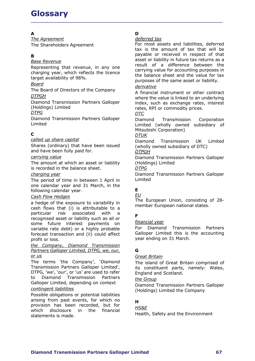The Agreement The Shareholders Agreement

# $\mathbf B$  by the set of  $\mathbf P$

Base Revenue

Representing that revenue, in any one charging year, which reflects the licence target availability of 98%.

# Board

The Board of Directors of the Company DTPGH

Diamond Transmission Partners Galloper (Holdings) Limited

# <u>DTPG</u> DTC

Diamond Transmission Partners Galloper Limited

# $\mathbf C$

called up share capital

Shares (ordinary) that have been issued and have been fully paid for.

# carrying value

The amount at which an asset or liability is recorded in the balance sheet. DTPG

# charging year

The period of time in between 1 April in one calendar year and 31 March, in the  $\overline{E}$ following calendar year.

# Cash Flow Hedges  $EU$

a hedge of the exposure to variability in cash flows that (i) is attributable to a particular risk associated with a recognised asset or liability such as all or some future interest payments on variable rate debt) or a highly probable forecast transaction and (ii) could affect profit or loss.

the Company, Diamond Transmission Partners Galloper Limited, DTPG, we, our, or us

The terms 'the Company', 'Diamond Transmission Partners Galloper Limited', DTPG, 'we', 'our', or 'us' are used to refer to Diamond Transmission Partners Galloper Limited, depending on context contingent liabilities

Possible obligations or potential liabilities arising from past events, for which no **H** provision has been recorded, but for which disclosure in the financial statements is made.

## A D<sub>2</sub> and the contract of the contract of the contract of the contract of the contract of the contract of the contract of the contract of the contract of the contract of the contract of the contract of the contract of the c

# deferred tax

For most assets and liabilities, deferred tax is the amount of tax that will be payable or received in respect of that asset or liability in future tax returns as a result of a difference between the carrying value for accounting purposes in the balance sheet and the value for tax purposes of the same asset or liability. **D**<br> **D**<br> **Cologity** the amount of tax that will be<br>
payable or received in respect of that<br>
asset or liability in future tax returns as a<br>
result of a difference between the<br>
carrying value for accounting purposes in<br>
the

# derivative

A financial instrument or other contract where the value is linked to an underlying index, such as exchange rates, interest <u>DTC</u> and the second second second second second second second second second second second second second second second second second second second second second second second second second second second second second secon

Transmission Corporation Limited (wholly owned subsidiary of Mitsubishi Corporation)

# <u>DTUK</u> and the state of the state of the state of the state of the state of the state of the state of the state o

Diamond Transmission UK Limited (wholly owned subsidiary of DTC)

DTPGH

Diamond Transmission Partners Galloper (Holdings) Limited

## <u>DTPG</u> and the state of the state of the state of the state of the state of the state of the state of the state of the state of the state of the state of the state of the state of the state of the state of the state of the

Diamond Transmission Partners Galloper Limited

# Experimental contracts and contracts of the second contracts

<u>FU</u> and the set of the set of the set of the set of the set of the set of the set of the set of the set of the set of the set of the set of the set of the set of the set of the set of the set of the set of the set of the The European Union, consisting of 28 member European national states.

# **F** and the second contract of the second contract of the second contract of the second contract of the second contract of the second contract of the second contract of the second contract of the second contract of the sec

# financial year

For Diamond Transmission Partners Galloper Limited this is the accounting year ending on 31 March.

# G<sub>a</sub> and the contract of the contract of the contract of the contract of the contract of the contract of the contract of the contract of the contract of the contract of the contract of the contract of the contract of the c

# Great Britain

The island of Great Britain comprised of its constituent parts, namely: Wales, England and Scotland.

# the Group

Diamond Transmission Partners Galloper (Holdings) Limited the Company

## $H$  and the contract of the contract of the contract of the contract of the contract of the contract of the contract of the contract of the contract of the contract of the contract of the contract of the contract of the c HS&E

Health, Safety and the Environment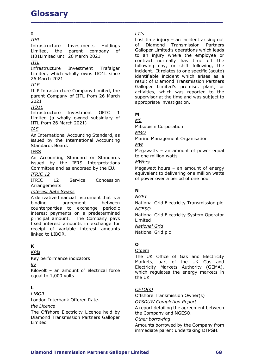# $\mathbf{I}$  and  $\mathbf{I}$  and  $\mathbf{I}$  and  $\mathbf{I}$  and  $\mathbf{I}$

IIHL

Infrastructure Investments Holdings Limited, the parent company of II01Limited until 26 March 2021

IITL

Infrastructure Investment Trafalgar Limited, which wholly owns IIO1L since 26 March 2021

# IILP

IILP Infrastructure Company Limited, the parent Company of IITL from 26 March 2021

# $IIO1l$

Infrastructure Investment OFTO 1 Limited (a wholly owned subsidiary of  $\overline{MC}$ IITL from 26 March 2021)

# IAS

**An International Accounting Standard, as** MMO issued by the International Accounting Mari<br>Standards Board MW Standards Board.

# IFRS

An Accounting Standard or Standards issued by the IFRS Interpretations Committee and as endorsed by the EU.

# IFRIC 12

IFRIC 12 Service Concession Arrangements

# Interest Rate Swaps

A derivative financial instrument that is a binding agreement between National Grid Electricity Transmission plc parent Company of IITL from 26 March<br>
20211<br>
20211<br>
20211<br>
20211<br>
20211<br>
20211<br>
2021 Infrastructure Investment OFTO 1<br>
2021<br>
2021 Infrastructure Investment OFTO 1<br>
2021<br>
2021 MIC United (a whole) owned subsidiary of<br>
2021 2021<br>
2021<br>
2021<br>
1011<br>
1011<br>
1011 The Investment OFTO 1<br>
1011 The Investment OFTO 1<br>
11 IT from 26 March 2021)<br>
11 IT from 26 March 2021<br>
2021<br>
11 IT from 26 March 2021<br>
2021<br>
11 ISS<br>
11 ISS<br>
11 ISS<br>
11 ISS<br>
11 ISS<br>
11 I **ITO11**<br>
Infrastructure Investment OFTO 1<br>
Infrastructure Investment OFTO 1<br>
ILIT from 26 March 2021)<br>
IMENTIFIE from 26 March 2021)<br>
Ans International Accounting Standard, as<br>
March Company March Among Standard and Accou fixed interest amounts in exchange for **National Grid** receipt of variable interest amounts linked to LIBOR.

# K

KPIs

Key performance indicators

kV

Kilovolt – an amount of electrical force equal to 1,000 volts

# Letter and the state of the state of the state of the state of the state of the state of the state of the state

<u>LIBOR</u> and the contract of the contract of the contract of the contract of the contract of the contract of the contract of the contract of the contract of the contract of the contract of the contract of the contract of th

London Interbank Offered Rate.

# the Licence

The Offshore Electricity Licence held by Diamond Transmission Partners Galloper Limited

# LTIs

Lost time injury – an incident arising out Diamond Transmission Partners Galloper Limited's operations which leads to an injury where the employee or contract normally has time off the following day, or shift following, the incident. It relates to one specific (acute) identifiable incident which arises as a result of Diamond Transmission Partners Galloper Limited's premise, plant, or activities, which was reported to the supervisor at the time and was subject to appropriate investigation.

# M<sub>a</sub> and the contract of the contract of the contract of the contract of the contract of the contract of the contract of the contract of the contract of the contract of the contract of the contract of the contract of the c

MC and the state of the state of the state of the state of the state of the state of the state of the state of the state of the state of the state of the state of the state of the state of the state of the state of the sta

Mitsubishi Corporation

<u>MMO</u> and the state of the state of the state of the state of the state of the state of the state of the state of the state of the state of the state of the state of the state of the state of the state of the state of the

Marine Management Organisation

MW

Megawatts – an amount of power equal to one million watts

MWhrs

Megawatt hours – an amount of energy equivalent to delivering one million watts of power over a period of one hour

# N<sub>N</sub>

**NGET** 

NGESO

National Grid Electricity System Operator Limited M<br>
<u>MC</u><br>
Mitsubishi Corporation<br>
MMO<br>
Marine Management Organisation<br>
MW<br>
Megawatts – an amount of power equal<br>
to one million watts<br>
MWhrs<br>
Megawatt hours – an amount of energy<br>
Megawatt hours – an amount of energy<br>
equiv National Grid plc

# O<sub>ccurrent</sub> of the contract of the contract of the contract of the contract of the contract of the contract of the contract of the contract of the contract of the contract of the contract of the contract of the contract of

**Ofgem** and the contract of the contract of the contract of the contract of the contract of the contract of the contract of the contract of the contract of the contract of the contract of the contract of the contract of th

The UK Office of Gas and Electricity Markets, part of the UK Gas and Electricity Markets Authority (GEMA), which regulates the energy markets in the UK

# OFTO(s)

Offshore Transmission Owner(s) OTSDUW Completion Report

A report detailing the agreement between the Company and NGESO.

# Other borrowing

Amounts borrowed by the Company from immediate parent undertaking DTPGH.